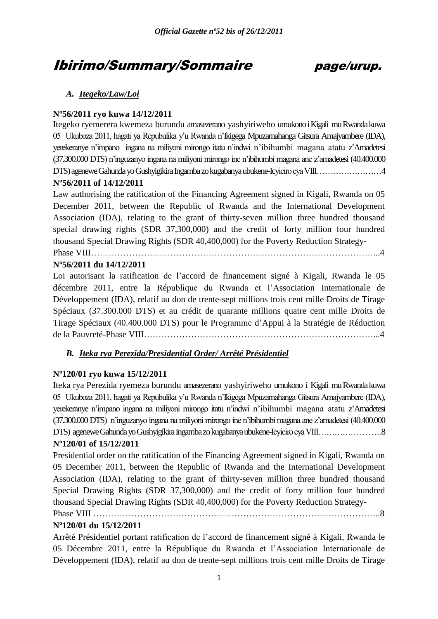# Ibirimo/Summary/Sommaire page/urup.

## *A. Itegeko/Law/Loi*

## **Nº56/2011 ryo kuwa 14/12/2011**

Itegeko ryemerera kwemeza burundu amasezerano yashyiriweho umukono i Kigali mu Rwanda kuwa 05 Ukuboza 2011, hagati ya Repubulika y"u Rwanda n"Ikigega Mpuzamahanga Gitsura Amajyambere (IDA), yerekeranye n"impano ingana na miliyoni mirongo itatu n"indwi n"ibihumbi magana atatu z"Amadetesi (37.300.000 DTS) n"inguzanyo ingana na miliyoni mirongo ine n"ibihumbi magana ane z"amadetesi (40.400.000 DTS) agenewe Gahunda yo Gushyigikira Ingamba zo kugabanya ubukene-Icyiciro cya VIII……………………4 **Nº56/2011 of 14/12/2011**

Law authorising the ratification of the Financing Agreement signed in Kigali, Rwanda on 05 December 2011, between the Republic of Rwanda and the International Development Association (IDA), relating to the grant of thirty-seven million three hundred thousand special drawing rights (SDR 37,300,000) and the credit of forty million four hundred thousand Special Drawing Rights (SDR 40,400,000) for the Poverty Reduction Strategy-

Phase VIII……………………………………………………………………………………...4

## **Nº56/2011 du 14/12/2011**

Loi autorisant la ratification de l"accord de financement signé à Kigali, Rwanda le 05 décembre 2011, entre la République du Rwanda et l"Association Internationale de Développement (IDA), relatif au don de trente-sept millions trois cent mille Droits de Tirage Spéciaux (37.300.000 DTS) et au crédit de quarante millions quatre cent mille Droits de Tirage Spéciaux (40.400.000 DTS) pour le Programme d"Appui à la Stratégie de Réduction de la Pauvreté-Phase VIII……………………………………………………………………...4

## *B. Iteka rya Perezida/Presidential Order/ Arrêté Présidentiel*

## **Nº120/01 ryo kuwa 15/12/2011**

Iteka rya Perezida ryemeza burundu amasezerano yashyiriweho umukono i Kigali mu Rwanda kuwa 05 Ukuboza 2011, hagati ya Repubulika y"u Rwanda n"Ikigega Mpuzamahanga Gitsura Amajyambere (IDA), yerekeranye n"impano ingana na miliyoni mirongo itatu n"indwi n"ibihumbi magana atatu z"Amadetesi (37.300.000 DTS) n"inguzanyo ingana na miliyoni mirongo ine n"ibihumbi magana ane z"amadetesi (40.400.000 DTS) agenewe Gahunda yo Gushyigikira Ingamba zo kugabanya ubukene-Icyiciro cya VIII…………………..8

## **Nº120/01 of 15/12/2011**

Presidential order on the ratification of the Financing Agreement signed in Kigali, Rwanda on 05 December 2011, between the Republic of Rwanda and the International Development Association (IDA), relating to the grant of thirty-seven million three hundred thousand Special Drawing Rights (SDR 37,300,000) and the credit of forty million four hundred thousand Special Drawing Rights (SDR 40,400,000) for the Poverty Reduction Strategy-Phase VIII ……………………………………………………………………………………..8

## **Nº120/01 du 15/12/2011**

Arrêté Présidentiel portant ratification de l"accord de financement signé à Kigali, Rwanda le 05 Décembre 2011, entre la République du Rwanda et l"Association Internationale de Développement (IDA), relatif au don de trente-sept millions trois cent mille Droits de Tirage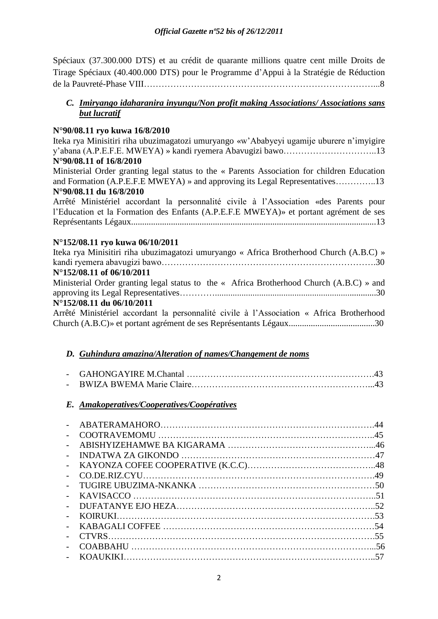Spéciaux (37.300.000 DTS) et au crédit de quarante millions quatre cent mille Droits de Tirage Spéciaux (40.400.000 DTS) pour le Programme d"Appui à la Stratégie de Réduction de la Pauvreté-Phase VIII……………………………………………………………………...8

## *C. Imiryango idaharanira inyungu/Non profit making Associations/ Associations sans but lucratif*

## **N°90/08.11 ryo kuwa 16/8/2010**

Iteka rya Minisitiri riha ubuzimagatozi umuryango «w"Ababyeyi ugamije uburere n"imyigire y"abana (A.P.E.F.E. MWEYA) » kandi ryemera Abavugizi bawo…………………………..13 **N°90/08.11 of 16/8/2010**

Ministerial Order granting legal status to the « Parents Association for children Education and Formation (A.P.E.F.E MWEYA) » and approving its Legal Representatives…………..13 **N°90/08.11 du 16/8/2010**

Arrêté Ministériel accordant la personnalité civile à l"Association «des Parents pour l"Education et la Formation des Enfants (A.P.E.F.E MWEYA)» et portant agrément de ses Représentants Légaux...............................................................................................................13

## **N°152/08.11 ryo kuwa 06/10/2011**

| Iteka rya Minisitiri riha ubuzimagatozi umuryango « Africa Brotherhood Church (A.B.C) »  |
|------------------------------------------------------------------------------------------|
|                                                                                          |
| N°152/08.11 of 06/10/2011                                                                |
| Ministerial Order granting legal status to the « Africa Brotherhood Church (A.B.C) » and |
|                                                                                          |
| N°152/08.11 du 06/10/2011                                                                |
| Arrêté Ministériel accordant la personnalité civile à l'Association « Africa Brotherhood |
|                                                                                          |

## *D. Guhindura amazina/Alteration of names/Changement de noms*

## *E. Amakoperatives/Cooperatives/Coopératives*

| $\sim$         |  |
|----------------|--|
| $\sim$         |  |
|                |  |
| $\overline{a}$ |  |
| $\sim$         |  |
|                |  |
|                |  |
|                |  |
|                |  |
|                |  |
|                |  |
|                |  |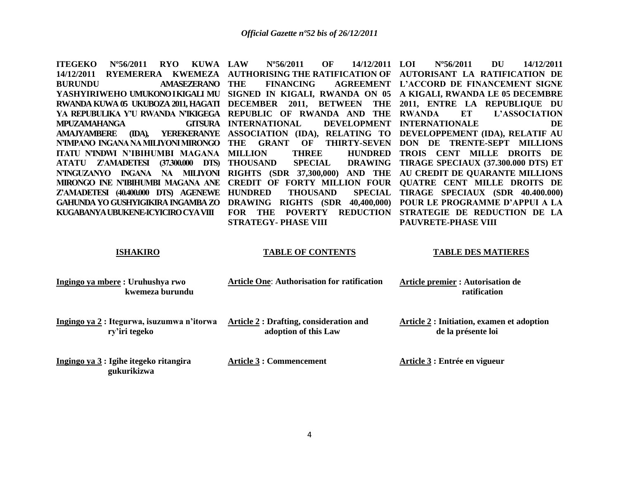| <b>ITEGEKO</b><br>$N^{\circ}56/2011$<br><b>RYO</b><br>KUWA LAW | OF<br>14/12/2011<br>$N^{\circ}56/2011$                         | <b>LOI</b><br>$N^{\circ}56/2011$<br>DU<br>14/12/2011       |
|----------------------------------------------------------------|----------------------------------------------------------------|------------------------------------------------------------|
| 14/12/2011<br><b>RYEMERERA</b><br><b>KWEMEZA</b>               | <b>AUTHORISING THE RATIFICATION OF</b>                         | AUTORISANT LA RATIFICATION DE                              |
| <b>BURUNDU</b><br><b>AMASEZERANO</b>                           | THE<br><b>FINANCING</b><br><b>AGREEMENT</b>                    | L'ACCORD DE FINANCEMENT SIGNE                              |
| YASHYIRIWEHO UMUKONOIKIGALI MU                                 | SIGNED IN KIGALI, RWANDA ON 05                                 | A KIGALI, RWANDA LE 05 DECEMBRE                            |
| RWANDA KUWA 05 UKUBOZA 2011, HAGATI DECEMBER 2011, BETWEEN     | <b>THE</b>                                                     | 2011, ENTRE LA REPUBLIQUE DU                               |
| YA REPUBULIKA Y'U RWANDA N'IKIGEGA                             | REPUBLIC OF RWANDA AND<br>THE                                  | ET<br><b>RWANDA</b><br>L'ASSOCIATION                       |
| <b>GITSURA</b><br>MPUZAMAHANGA                                 | <b>DEVELOPMENT</b><br><b>INTERNATIONAL</b>                     | <b>INTERNATIONALE</b><br>DE                                |
| YEREKERANYE<br><b>AMAJYAMBERE</b><br>(IDA),                    | ASSOCIATION (IDA), RELATING TO                                 | DEVELOPPEMENT (IDA), RELATIF AU                            |
| N'IMPANO INGANA NA MILIYONI MIRONGO                            | <b>GRANT</b><br>THE<br>OF<br><b>THIRTY-SEVEN</b>               | DON DE TRENTE-SEPT<br><b>MILLIONS</b>                      |
| ITATU N'INDWI N'IBIHUMBI MAGANA                                | <b>HUNDRED</b><br><b>MILLION</b><br><b>THREE</b>               | <b>TROIS CENT</b><br><b>MILLE</b><br><b>DROITS</b><br>- DE |
| <b>Z'AMADETESI</b><br>(37.300.000)<br>DTS)<br><b>ATATU</b>     | <b>THOUSAND</b><br><b>SPECIAL</b><br><b>DRAWING</b>            | TIRAGE SPECIAUX (37.300.000 DTS) ET                        |
| N'INGUZANYO<br>INGANA<br>NA 1<br><b>MILIYONI</b>               | <b>RIGHTS</b> (SDR 37,300,000)<br>AND THE                      | AU CREDIT DE QUARANTE MILLIONS                             |
| MIRONGO INE N'IBIHUMBI MAGANA ANE                              | <b>CREDIT OF</b><br><b>FORTY MILLION FOUR</b>                  | <b>QUATRE CENT MILLE DROITS DE</b>                         |
| Z'AMADETESI (40.400.000 DTS) AGENEWE                           | <b>HUNDRED</b><br><b>THOUSAND</b><br><b>SPECIAL</b>            | TIRAGE SPECIAUX (SDR 40.400.000)                           |
| <b>GAHUNDA YO GUSHYIGIKIRA INGAMBA ZO</b>                      | <b>DRAWING</b><br><b>RIGHTS (SDR</b><br>40,400,000)            | POUR LE PROGRAMME D'APPUI A LA                             |
| KUGABANYA UBUKENE-ICYICIRO CYA VIII                            | <b>REDUCTION</b><br><b>FOR</b><br><b>THE</b><br><b>POVERTY</b> | STRATEGIE DE REDUCTION DE LA                               |
|                                                                | <b>STRATEGY- PHASE VIII</b>                                    | PAUVRETE-PHASE VIII                                        |
|                                                                |                                                                |                                                            |
| <b>ISHAKIRO</b>                                                | <b>TABLE OF CONTENTS</b>                                       | <b>TABLE DES MATIERES</b>                                  |
|                                                                |                                                                |                                                            |
| Ingingo ya mbere: Uruhushya rwo                                | <b>Article One: Authorisation for ratification</b>             | <b>Article premier : Autorisation de</b>                   |
| kwemeza burundu                                                |                                                                | ratification                                               |
|                                                                |                                                                |                                                            |

**Ingingo ya 2 : Itegurwa, isuzumwa n'itorwa Article 2 : Drafting, consideration and ry'iri tegeko** 

 **adoption of this Law** 

**Article 2 : Initiation, examen et adoption de la présente loi** 

| Ingingo ya 3 : Igihe itegeko ritangira | <b>Article 3 : Commencement</b> | Article 3 : Entrée en vigueur |
|----------------------------------------|---------------------------------|-------------------------------|
| gukurikizwa                            |                                 |                               |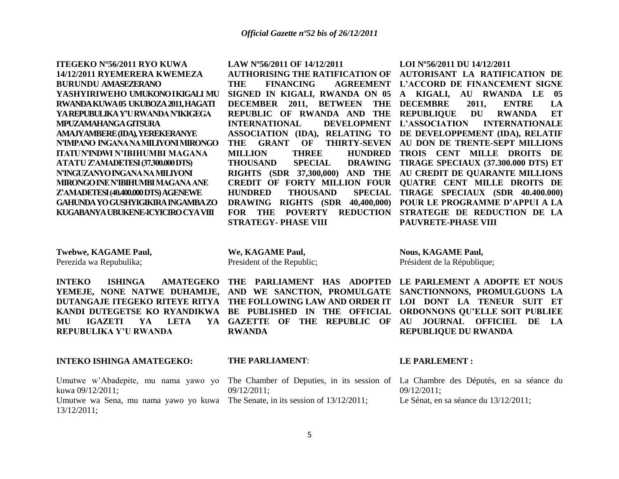**ITEGEKO Nº56/2011 RYO KUWA 14/12/2011 RYEMERERA KWEMEZA BURUNDU AMASEZERANO YASHYIRIWEHO UMUKONO I KIGALI MU RWANDA KUWA 05 UKUBOZA 2011, HAGATI YA REPUBULIKA Y'U RWANDA N'IKIGEGA MPUZAMAHANGA GITSURA AMAJYAMBERE (IDA), YEREKERANYE N'IMPANO INGANA NA MILIYONI MIRONGO ITATU N'INDWI N'IBIHUMBI MAGANA ATATU Z'AMADETESI (37.300.000 DTS) N'INGUZANYO INGANA NA MILIYONI MIRONGO INE N'IBIHUMBI MAGANA ANE Z'AMADETESI (40.400.000 DTS) AGENEWE GAHUNDA YO GUSHYIGIKIRA INGAMBA ZO KUGABANYA UBUKENE-ICYICIRO CYA VIII**

**LAW Nº56/2011 OF 14/12/2011**

**INTERNATIONAL THOUSAND SPECIAL HUNDRED THOUSAND STRATEGY- PHASE VIII** 

**LOI Nº56/2011 DU 14/12/2011**

**AUTHORISING THE RATIFICATION OF AUTORISANT LA RATIFICATION DE THE FINANCING AGREEMENT L'ACCORD DE FINANCEMENT SIGNE SIGNED IN KIGALI, RWANDA ON 05 A KIGALI, AU RWANDA LE 05 DECEMBER 2011, BETWEEN THE DECEMBRE 2011, ENTRE LA REPUBLIC OF RWANDA AND THE REPUBLIQUE DU RWANDA ET ASSOCIATION (IDA), RELATING TO DE DEVELOPPEMENT (IDA), RELATIF THE GRANT OF THIRTY-SEVEN AU DON DE TRENTE-SEPT MILLIONS MILLION THREE HUNDRED TROIS CENT MILLE DROITS DE RIGHTS (SDR 37,300,000) AND THE AU CREDIT DE QUARANTE MILLIONS CREDIT OF FORTY MILLION FOUR QUATRE CENT MILLE DROITS DE DRAWING RIGHTS (SDR 40,400,000) POUR LE PROGRAMME D'APPUI A LA FOR THE POVERTY REDUCTION STRATEGIE DE REDUCTION DE LA L'ASSOCIATION INTERNATIONALE TIRAGE SPECIAUX (37.300.000 DTS) ET**  SPECIAL TIRAGE SPECIAUX (SDR 40.400.000) **PAUVRETE-PHASE VIII**

**Twebwe, KAGAME Paul,** Perezida wa Repubulika;

**We, KAGAME Paul,** President of the Republic; **Nous, KAGAME Paul,** Président de la République;

**MU IGAZETI YA LETA YA REPUBULIKA Y'U RWANDA**

## **INTEKO ISHINGA AMATEGEKO:**

Umutwe w'Abadepite, mu nama yawo yo The Chamber of Deputies, in its session of La Chambre des Députés, en sa séance du kuwa 09/12/2011; Umutwe wa Sena, mu nama yawo yo kuwa The Senate, in its session of 13/12/2011; 13/12/2011;

**YEMEJE, NONE NATWE DUHAMIJE, AND WE SANCTION, PROMULGATE SANCTIONNONS, PROMULGUONS LA DUTANGAJE ITEGEKO RITEYE RITYA THE FOLLOWING LAW AND ORDER IT LOI DONT LA TENEUR SUIT ET KANDI DUTEGETSE KO RYANDIKWA BE PUBLISHED IN THE OFFICIAL ORDONNONS QU'ELLE SOIT PUBLIEE GAZETTE OF THE REPUBLIC OF AU JOURNAL OFFICIEL DE LA RWANDA**

**INTEKO** ISHINGA AMATEGEKO THE PARLIAMENT HAS ADOPTED LE PARLEMENT A ADOPTE ET NOUS **REPUBLIQUE DU RWANDA**

## **THE PARLIAMENT**:

09/12/2011;

## **LE PARLEMENT :**

09/12/2011; Le Sénat, en sa séance du 13/12/2011;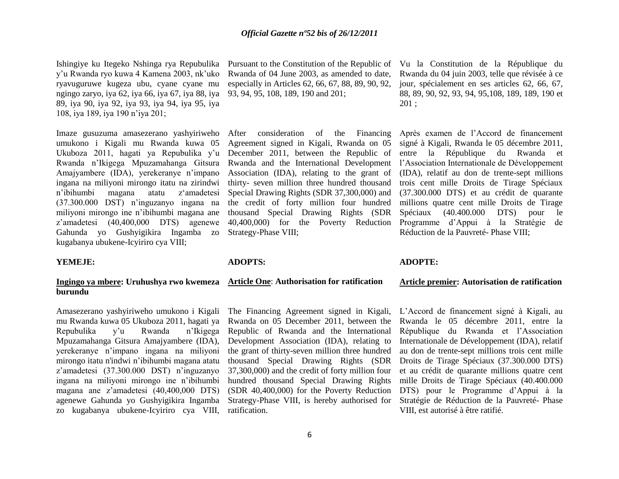Ishingiye ku Itegeko Nshinga rya Repubulika y"u Rwanda ryo kuwa 4 Kamena 2003, nk"uko ryavuguruwe kugeza ubu, cyane cyane mu ngingo zaryo, iya 62, iya 66, iya 67, iya 88, iya 89, iya 90, iya 92, iya 93, iya 94, iya 95, iya 108, iya 189, iya 190 n"iya 201;

Imaze gusuzuma amasezerano yashyiriweho umukono i Kigali mu Rwanda kuwa 05 Ukuboza 2011, hagati ya Repubulika y"u Rwanda n"Ikigega Mpuzamahanga Gitsura Amajyambere (IDA), yerekeranye n"impano ingana na miliyoni mirongo itatu na zirindwi n"ibihumbi magana atatu z"amadetesi (37.300.000 DST) n"inguzanyo ingana na miliyoni mirongo ine n"ibihumbi magana ane z"amadetesi (40,400,000 DTS) agenewe Gahunda yo Gushyigikira Ingamba zo kugabanya ubukene-Icyiriro cya VIII;

## **YEMEJE:**

## **Ingingo ya mbere: Uruhushya rwo kwemeza Article One**: **Authorisation for ratification burundu**

Amasezerano yashyiriweho umukono i Kigali mu Rwanda kuwa 05 Ukuboza 2011, hagati ya Repubulika y"u Rwanda n"Ikigega Mpuzamahanga Gitsura Amajyambere (IDA), yerekeranye n"impano ingana na miliyoni mirongo itatu n'indwi n"ibihumbi magana atatu z"amadetesi (37.300.000 DST) n"inguzanyo ingana na miliyoni mirongo ine n"ibihumbi magana ane z"amadetesi (40,400,000 DTS) agenewe Gahunda yo Gushyigikira Ingamba zo kugabanya ubukene-Icyiriro cya VIII,

Rwanda of 04 June 2003, as amended to date, especially in Articles 62, 66, 67, 88, 89, 90, 92, 93, 94, 95, 108, 189, 190 and 201;

After consideration of the Financing Agreement signed in Kigali, Rwanda on 05 December 2011, between the Republic of Rwanda and the International Development Association (IDA), relating to the grant of thirty- seven million three hundred thousand Special Drawing Rights (SDR 37,300,000) and the credit of forty million four hundred thousand Special Drawing Rights (SDR Strategy-Phase VIII;

#### **ADOPTS:**

The Financing Agreement signed in Kigali, Rwanda on 05 December 2011, between the Republic of Rwanda and the International Development Association (IDA), relating to the grant of thirty-seven million three hundred thousand Special Drawing Rights (SDR 37,300,000) and the credit of forty million four hundred thousand Special Drawing Rights (SDR 40,400,000) for the Poverty Reduction Strategy-Phase VIII, is hereby authorised for ratification.

Pursuant to the Constitution of the Republic of Vu la Constitution de la République du Rwanda du 04 juin 2003, telle que révisée à ce jour, spécialement en ses articles 62, 66, 67, 88, 89, 90, 92, 93, 94, 95,108, 189, 189, 190 et 201 ;

40,400,000) for the Poverty Reduction Programme d"Appui à la Stratégie de Après examen de l"Accord de financement signé à Kigali, Rwanda le 05 décembre 2011, entre la République du Rwanda et l"Association Internationale de Développement (IDA), relatif au don de trente-sept millions trois cent mille Droits de Tirage Spéciaux (37.300.000 DTS) et au crédit de quarante millions quatre cent mille Droits de Tirage Spéciaux (40.400.000 DTS) pour le Réduction de la Pauvreté- Phase VIII;

## **ADOPTE:**

#### **Article premier: Autorisation de ratification**

L"Accord de financement signé à Kigali, au Rwanda le 05 décembre 2011, entre la République du Rwanda et l"Association Internationale de Développement (IDA), relatif au don de trente-sept millions trois cent mille Droits de Tirage Spéciaux (37.300.000 DTS) et au crédit de quarante millions quatre cent mille Droits de Tirage Spéciaux (40.400.000 DTS) pour le Programme d"Appui à la Stratégie de Réduction de la Pauvreté- Phase VIII, est autorisé à être ratifié.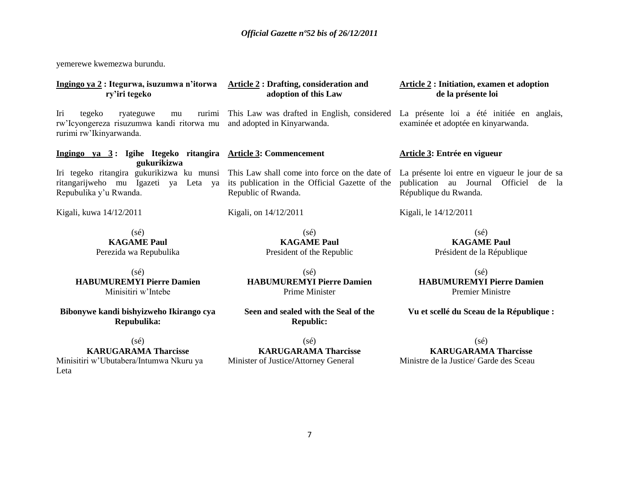yemerewe kwemezwa burundu.

| Ingingo ya 2: Itegurwa, isuzumwa n'itorwa<br>ry'iri tegeko                                                         | <b>Article 2: Drafting, consideration and</b><br>adoption of this Law                                                  | <b>Article 2: Initiation, examen et adoption</b><br>de la présente loi                                           |
|--------------------------------------------------------------------------------------------------------------------|------------------------------------------------------------------------------------------------------------------------|------------------------------------------------------------------------------------------------------------------|
| Iri<br>tegeko<br>ryateguwe<br>rurimi<br>mu<br>rw'Icyongereza risuzumwa kandi ritorwa mu<br>rurimi rw'Ikinyarwanda. | This Law was drafted in English, considered<br>and adopted in Kinyarwanda.                                             | La présente loi a été initiée en anglais,<br>examinée et adoptée en kinyarwanda.                                 |
| Ingingo ya 3: Igihe Itegeko ritangira Article 3: Commencement<br>gukurikizwa                                       |                                                                                                                        | Article 3: Entrée en vigueur                                                                                     |
| Iri tegeko ritangira gukurikizwa ku munsi<br>ritangarijweho mu Igazeti ya Leta ya<br>Repubulika y'u Rwanda.        | This Law shall come into force on the date of<br>its publication in the Official Gazette of the<br>Republic of Rwanda. | La présente loi entre en vigueur le jour de sa<br>publication au Journal Officiel de la<br>République du Rwanda. |
| Kigali, kuwa 14/12/2011                                                                                            | Kigali, on 14/12/2011                                                                                                  | Kigali, le 14/12/2011                                                                                            |
| $(s\acute{e})$<br><b>KAGAME Paul</b><br>Perezida wa Repubulika                                                     | $(s\acute{e})$<br><b>KAGAME Paul</b><br>President of the Republic                                                      | $(s\acute{e})$<br><b>KAGAME Paul</b><br>Président de la République                                               |
| $(s\acute{e})$<br><b>HABUMUREMYI Pierre Damien</b><br>Minisitiri w'Intebe                                          | $(s\acute{e})$<br><b>HABUMUREMYI Pierre Damien</b><br>Prime Minister                                                   | (sé)<br><b>HABUMUREMYI Pierre Damien</b><br><b>Premier Ministre</b>                                              |
| Bibonywe kandi bishyizweho Ikirango cya<br>Repubulika:                                                             | Seen and sealed with the Seal of the<br><b>Republic:</b>                                                               | Vu et scellé du Sceau de la République :                                                                         |
| $(s\acute{e})$<br><b>KARUGARAMA Tharcisse</b><br>Minisitiri w'Ubutabera/Intumwa Nkuru ya<br>Leta                   | $(s\acute{e})$<br><b>KARUGARAMA Tharcisse</b><br>Minister of Justice/Attorney General                                  | $(s\acute{e})$<br><b>KARUGARAMA Tharcisse</b><br>Ministre de la Justice/ Garde des Sceau                         |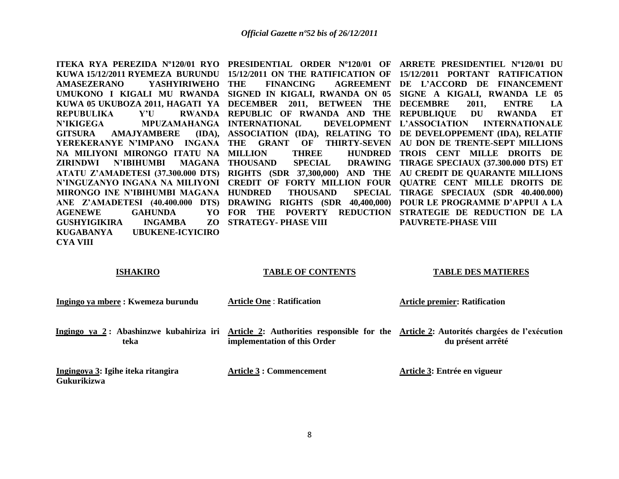**ITEKA RYA PEREZIDA Nº120/01 RYO PRESIDENTIAL ORDER Nº120/01 OF ARRETE PRESIDENTIEL Nº120/01 DU KUWA 15/12/2011 RYEMEZA BURUNDU 15/12/2011 ON THE RATIFICATION OF 15/12/2011 PORTANT RATIFICATION AMASEZERANO YASHYIRIWEHO**  UMUKONO I KIGALI MU RWANDA SIGNED IN KIGALI, RWANDA ON 05 SIGNE A KIGALI, RWANDA LE 05 **KUWA 05 UKUBOZA 2011, HAGATI YA DECEMBER 2011, BETWEEN THE DECEMBRE 2011, ENTRE LA REPUBULIKA** Y'U **N'IKIGEGA MPUZAMAHANGA INTERNATIONAL DEVELOPMENT GITSURA AMAJYAMBERE** YEREKERANYE N'IMPANO INGANA THE GRANT OF THIRTY-SEVEN AU DON DE TRENTE-SEPT MILLIONS **NA MILIYONI MIRONGO ITATU NA ZIRINDWI N'IBIHUMBI MAGANA ATATU Z'AMADETESI (37.300.000 DTS) RIGHTS (SDR 37,300,000) AND THE AU CREDIT DE QUARANTE MILLIONS N'INGUZANYO INGANA NA MILIYONI CREDIT OF FORTY MILLION FOUR QUATRE CENT MILLE DROITS DE MIRONGO INE N'IBIHUMBI MAGANA HUNDRED THOUSAND SPECIAL ANE Z'AMADETESI (40.400.000 DTS) DRAWING RIGHTS (SDR 40,400,000) POUR LE PROGRAMME D'APPUI A LA AGENEWE GAHUNDA GUSHYIGIKIRA INGAMBA KUGABANYA UBUKENE-ICYICIRO CYA VIII THE FINANCING AGREEMENT DE L'ACCORD DE FINANCEMENT REPUBLIC OF RWANDA AND THE REPUBLIQUE DU RWANDA ET ASSOCIATION (IDA), RELATING TO DE DEVELOPPEMENT (IDA), RELATIF MILLION THREE HUNDRED TROIS CENT MILLE DROITS DE THOUSAND SPECIAL DRAWING TIRAGE SPECIAUX (37.300.000 DTS) ET FOR THE POVERTY REDUCTION STRATEGIE DE REDUCTION DE LA STRATEGY- PHASE VIII L'ASSOCIATION INTERNATIONALE TIRAGE SPECIAUX (SDR 40.400.000) PAUVRETE-PHASE VIII**

| <b>ISHAKIRO</b> |  |
|-----------------|--|
|                 |  |

## **TABLE OF CONTENTS**

#### **TABLE DES MATIERES**

| Ingingo ya mbere : Kwemeza burundu                       | <b>Article One: Ratification</b>                                                                                   | <b>Article premier: Ratification</b>                              |
|----------------------------------------------------------|--------------------------------------------------------------------------------------------------------------------|-------------------------------------------------------------------|
| teka                                                     | Ingingo ya 2: Abashinzwe kubahiriza iri Article 2: Authorities responsible for the<br>implementation of this Order | Article 2: Autorités chargées de l'exécution<br>du présent arrêté |
| Ingingoya 3: Igihe iteka ritangira<br><b>Gukurikizwa</b> | Article 3 : Commencement                                                                                           | Article 3: Entrée en vigueur                                      |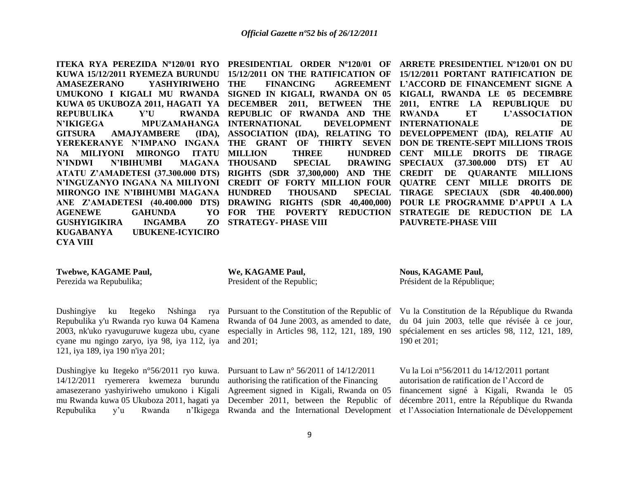**AMASEZERANO YASHYIRIWEHO REPUBULIKA** Y'U **N'IKIGEGA MPUZAMAHANGA INTERNATIONAL DEVELOPMENT GITSURA AMAJYAMBERE NA MILIYONI MIRONGO ITATU N'INDWI N'IBIHUMBI MIRONGO INE N'IBIHUMBI MAGANA AGENEWE GAHUNDA GUSHYIGIKIRA INGAMBA KUGABANYA UBUKENE-ICYICIRO CYA VIII**

**RWANDA REPUBLIC OF RWANDA AND THE RWANDA MAGANA THOUSAND SPECIAL THOUSAND STRATEGY- PHASE VIII** 

**ITEKA RYA PEREZIDA Nº120/01 RYO PRESIDENTIAL ORDER Nº120/01 OF ARRETE PRESIDENTIEL Nº120/01 ON DU KUWA 15/12/2011 RYEMEZA BURUNDU 15/12/2011 ON THE RATIFICATION OF 15/12/2011 PORTANT RATIFICATION DE UMUKONO I KIGALI MU RWANDA SIGNED IN KIGALI, RWANDA ON 05 KIGALI, RWANDA LE 05 DECEMBRE KUWA 05 UKUBOZA 2011, HAGATI YA DECEMBER 2011, BETWEEN THE 2011, ENTRE LA REPUBLIQUE DU YEREKERANYE N'IMPANO INGANA THE GRANT OF THIRTY SEVEN DON DE TRENTE-SEPT MILLIONS TROIS ATATU Z'AMADETESI (37.300.000 DTS) RIGHTS (SDR 37,300,000) AND THE CREDIT DE QUARANTE MILLIONS N'INGUZANYO INGANA NA MILIYONI CREDIT OF FORTY MILLION FOUR QUATRE CENT MILLE DROITS DE ANE Z'AMADETESI (40.400.000 DTS) DRAWING RIGHTS (SDR 40,400,000) POUR LE PROGRAMME D'APPUI A LA THE FINANCING AGREEMENT L'ACCORD DE FINANCEMENT SIGNE A ASSOCIATION (IDA), RELATING TO DEVELOPPEMENT (IDA), RELATIF AU MILLION THREE HUNDRED CENT MILLE DROITS DE TIRAGE FOR THE POVERTY REDUCTION STRATEGIE DE REDUCTION DE LA ET L'ASSOCIATION INTERNATIONALE DE DE DE SPECIAUX (37.300.000 DTS) ET AU TIRAGE SPECIAUX (SDR 40.400.000) PAUVRETE-PHASE VIII**

**Twebwe, KAGAME Paul,**

Perezida wa Repubulika;

#### **We, KAGAME Paul,**

President of the Republic;

Dushingiye ku Itegeko Nshinga rya Repubulika y'u Rwanda ryo kuwa 04 Kamena 2003, nk'uko ryavuguruwe kugeza ubu, cyane cyane mu ngingo zaryo, iya 98, iya 112, iya 121, iya 189, iya 190 n'iya 201;

Dushingiye ku Itegeko n°56/2011 ryo kuwa. 14/12/2011 ryemerera kwemeza burundu amasezerano yashyiriweho umukono i Kigali Agreement signed in Kigali, Rwanda on 05 mu Rwanda kuwa 05 Ukuboza 2011, hagati ya December 2011, between the Republic of Repubulika y'u Rwanda

Pursuant to the Constitution of the Republic of Rwanda of 04 June 2003, as amended to date, especially in Articles 98, 112, 121, 189, 190 and 201;

Pursuant to Law n° 56/2011 of 14/12/2011 authorising the ratification of the Financing **Nous, KAGAME Paul,** Président de la République;

Vu la Constitution de la République du Rwanda du 04 juin 2003, telle que révisée à ce jour, spécialement en ses articles 98, 112, 121, 189, 190 et 201;

Rwanda and the International Development et l"Association Internationale de Développement Vu la Loi n°56/2011 du 14/12/2011 portant autorisation de ratification de l"Accord de financement signé à Kigali, Rwanda le 05 décembre 2011, entre la République du Rwanda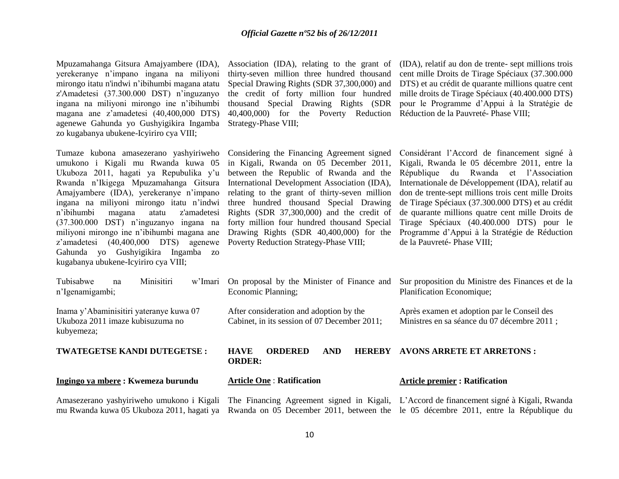Mpuzamahanga Gitsura Amajyambere (IDA), yerekeranye n"impano ingana na miliyoni mirongo itatu n'indwi n"ibihumbi magana atatu z'Amadetesi (37.300.000 DST) n"inguzanyo ingana na miliyoni mirongo ine n"ibihumbi magana ane z"amadetesi (40,400,000 DTS) agenewe Gahunda yo Gushyigikira Ingamba zo kugabanya ubukene-Icyiriro cya VIII;

Tumaze kubona amasezerano yashyiriweho Considering the Financing Agreement signed umukono i Kigali mu Rwanda kuwa 05 Ukuboza 2011, hagati ya Repubulika y'u Rwanda n"Ikigega Mpuzamahanga Gitsura Amajyambere (IDA), yerekeranye n"impano ingana na miliyoni mirongo itatu n"indwi n"ibihumbi magana atatu z'amadetesi (37.300.000 DST) n"inguzanyo ingana na miliyoni mirongo ine n"ibihumbi magana ane z'amadetesi (40,400,000 DTS) agenewe Poverty Reduction Strategy-Phase VIII; Gahunda yo Gushyigikira Ingamba zo kugabanya ubukene-Icyiriro cya VIII;

thirty-seven million three hundred thousand Special Drawing Rights (SDR 37,300,000) and the credit of forty million four hundred thousand Special Drawing Rights (SDR 40,400,000) for the Poverty Reduction Réduction de la Pauvreté- Phase VIII; Strategy-Phase VIII;

Association (IDA), relating to the grant of (IDA), relatif au don de trente- sept millions trois cent mille Droits de Tirage Spéciaux (37.300.000 DTS) et au crédit de quarante millions quatre cent mille droits de Tirage Spéciaux (40.400.000 DTS) pour le Programme d"Appui à la Stratégie de

in Kigali, Rwanda on 05 December 2011, between the Republic of Rwanda and the International Development Association (IDA), relating to the grant of thirty-seven million three hundred thousand Special Drawing Rights (SDR 37,300,000) and the credit of forty million four hundred thousand Special Drawing Rights (SDR 40,400,000) for the

Considérant l"Accord de financement signé à Kigali, Rwanda le 05 décembre 2011, entre la République du Rwanda et l"Association Internationale de Développement (IDA), relatif au don de trente-sept millions trois cent mille Droits de Tirage Spéciaux (37.300.000 DTS) et au crédit de quarante millions quatre cent mille Droits de Tirage Spéciaux (40.400.000 DTS) pour le Programme d"Appui à la Stratégie de Réduction de la Pauvreté- Phase VIII;

| Minisitiri<br>Tubisabwe<br>na<br>n'Igenamigambi;                                          | w'Imari | On proposal by the Minister of Finance and<br>Economic Planning;                        |                             | Sur proposition du Ministre des Finances et de la<br>Planification Economique;                                                     |
|-------------------------------------------------------------------------------------------|---------|-----------------------------------------------------------------------------------------|-----------------------------|------------------------------------------------------------------------------------------------------------------------------------|
| Inama y'Abaminisitiri yateranye kuwa 07<br>Ukuboza 2011 imaze kubisuzuma no<br>kubyemeza; |         | After consideration and adoption by the<br>Cabinet, in its session of 07 December 2011; |                             | Après examen et adoption par le Conseil des<br>Ministres en sa séance du 07 décembre 2011 ;                                        |
| <b>TWATEGETSE KANDI DUTEGETSE:</b>                                                        |         | ORDERED<br><b>HAVE</b><br><b>ORDER:</b>                                                 | <b>AND</b><br><b>HEREBY</b> | <b>AVONS ARRETE ET ARRETONS:</b>                                                                                                   |
| Ingingo ya mbere : Kwemeza burundu                                                        |         | <b>Article One: Ratification</b>                                                        |                             | <b>Article premier : Ratification</b>                                                                                              |
|                                                                                           |         |                                                                                         |                             | Amasezerano yashyiriweho umukono i Kigali The Financing Agreement signed in Kigali, L'Accord de financement signé à Kigali, Rwanda |

10

mu Rwanda kuwa 05 Ukuboza 2011, hagati ya Rwanda on 05 December 2011, between the le 05 décembre 2011, entre la République du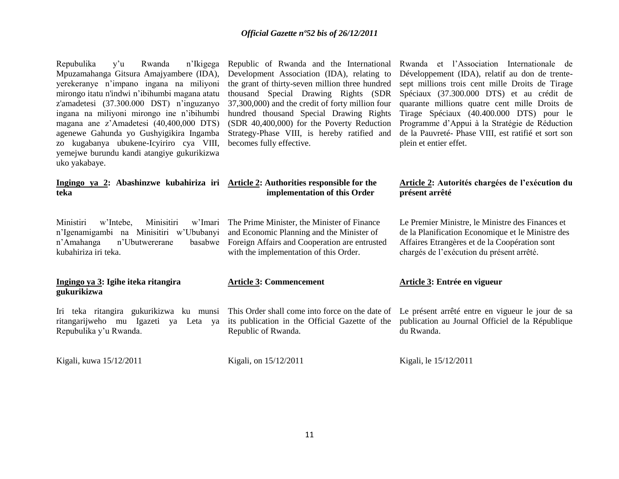| Repubulika<br>v <sup>2</sup> u<br>Rwanda<br>n'Ikigega<br>Mpuzamahanga Gitsura Amajyambere (IDA),<br>yerekeranye n'impano ingana na miliyoni<br>mirongo itatu n'indwi n'ibihumbi magana atatu<br>z'amadetesi (37.300.000 DST) n'inguzanyo<br>ingana na miliyoni mirongo ine n'ibihumbi<br>magana ane z'Amadetesi (40,400,000 DTS)<br>agenewe Gahunda yo Gushyigikira Ingamba<br>zo kugabanya ubukene-Icyiriro cya VIII,<br>yemejwe burundu kandi atangiye gukurikizwa<br>uko yakabaye. | Republic of Rwanda and the International<br>Development Association (IDA), relating to<br>the grant of thirty-seven million three hundred<br>thousand Special Drawing Rights (SDR<br>37,300,000) and the credit of forty million four<br>hundred thousand Special Drawing Rights<br>(SDR 40,400,000) for the Poverty Reduction<br>Strategy-Phase VIII, is hereby ratified and<br>becomes fully effective. | Rwanda et l'Association Internationale de<br>Développement (IDA), relatif au don de trente-<br>sept millions trois cent mille Droits de Tirage<br>Spéciaux (37.300.000 DTS) et au crédit de<br>quarante millions quatre cent mille Droits de<br>Tirage Spéciaux (40.400.000 DTS) pour le<br>Programme d'Appui à la Stratégie de Réduction<br>de la Pauvreté- Phase VIII, est ratifié et sort son<br>plein et entier effet. |
|---------------------------------------------------------------------------------------------------------------------------------------------------------------------------------------------------------------------------------------------------------------------------------------------------------------------------------------------------------------------------------------------------------------------------------------------------------------------------------------|-----------------------------------------------------------------------------------------------------------------------------------------------------------------------------------------------------------------------------------------------------------------------------------------------------------------------------------------------------------------------------------------------------------|----------------------------------------------------------------------------------------------------------------------------------------------------------------------------------------------------------------------------------------------------------------------------------------------------------------------------------------------------------------------------------------------------------------------------|
| Ingingo ya 2: Abashinzwe kubahiriza iri Article 2: Authorities responsible for the<br>teka                                                                                                                                                                                                                                                                                                                                                                                            | implementation of this Order                                                                                                                                                                                                                                                                                                                                                                              | Article 2: Autorités chargées de l'exécution du<br>présent arrêté                                                                                                                                                                                                                                                                                                                                                          |
| Ministiri<br>Minisitiri<br>w'Imari<br>w'Intebe,<br>n'Igenamigambi na Minisitiri w'Ububanyi<br>n'Amahanga<br>n'Ubutwererane<br>basabwe<br>kubahiriza iri teka.                                                                                                                                                                                                                                                                                                                         | The Prime Minister, the Minister of Finance<br>and Economic Planning and the Minister of<br>Foreign Affairs and Cooperation are entrusted<br>with the implementation of this Order.                                                                                                                                                                                                                       | Le Premier Ministre, le Ministre des Finances et<br>de la Planification Economique et le Ministre des<br>Affaires Etrangères et de la Coopération sont<br>chargés de l'exécution du présent arrêté.                                                                                                                                                                                                                        |
| Ingingo ya 3: Igihe iteka ritangira<br>gukurikizwa                                                                                                                                                                                                                                                                                                                                                                                                                                    | <b>Article 3: Commencement</b>                                                                                                                                                                                                                                                                                                                                                                            | Article 3: Entrée en vigueur                                                                                                                                                                                                                                                                                                                                                                                               |
| Iri teka ritangira gukurikizwa ku munsi<br>ritangarijweho mu Igazeti<br>Leta ya<br>ya<br>Repubulika y'u Rwanda.                                                                                                                                                                                                                                                                                                                                                                       | This Order shall come into force on the date of<br>its publication in the Official Gazette of the<br>Republic of Rwanda.                                                                                                                                                                                                                                                                                  | Le présent arrêté entre en vigueur le jour de sa<br>publication au Journal Officiel de la République<br>du Rwanda.                                                                                                                                                                                                                                                                                                         |
| Kigali, kuwa 15/12/2011                                                                                                                                                                                                                                                                                                                                                                                                                                                               | Kigali, on 15/12/2011                                                                                                                                                                                                                                                                                                                                                                                     | Kigali, le 15/12/2011                                                                                                                                                                                                                                                                                                                                                                                                      |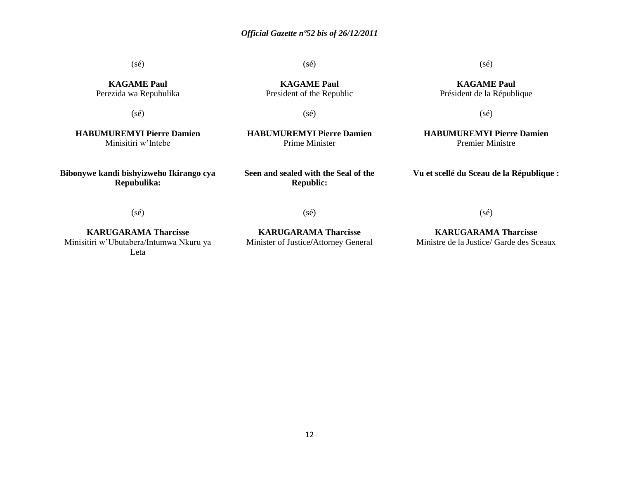(sé)

(sé)

(sé)

**KAGAME Paul** Président de la République

**KAGAME Paul** Perezida wa Repubulika

(sé)

**KAGAME Paul** President of the Republic

(sé)

**HABUMUREMYI Pierre Damien** Prime Minister

**HABUMUREMYI Pierre Damien** Minisitiri w"Intebe

**Bibonywe kandi bishyizweho Ikirango cya Repubulika:**

**Seen and sealed with the Seal of the Republic:**

(sé)

**HABUMUREMYI Pierre Damien** Premier Ministre

**Vu et scellé du Sceau de la République :**

(sé)

**KARUGARAMA Tharcisse** Minisitiri w"Ubutabera/Intumwa Nkuru ya Leta

(sé)

**KARUGARAMA Tharcisse** Minister of Justice**/**Attorney General

**KARUGARAMA Tharcisse** Ministre de la Justice/ Garde des Sceaux

(sé)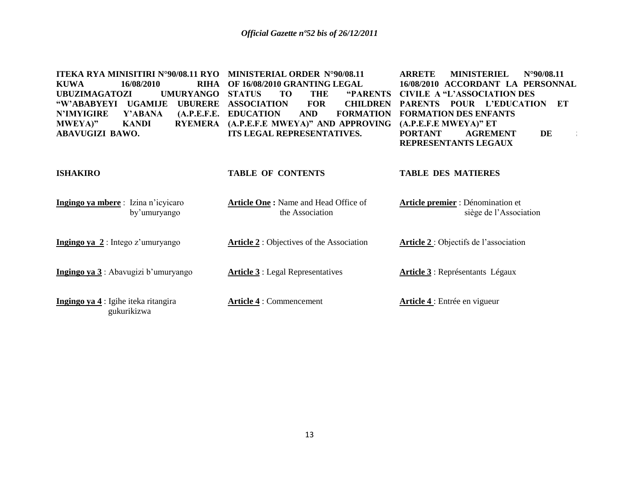| <b>ITEKA RYA MINISITIRI N°90/08.11 RYO</b><br>16/08/2010<br><b>RIHA</b><br><b>KUWA</b><br><b>UMURYANGO</b><br><b>UBUZIMAGATOZI</b><br>"W'ABABYEYI<br><b>UGAMIJE</b><br><b>UBURERE</b><br><b>N'IMYIGIRE</b><br>(A.P.E.F.E.<br>Y'ABANA<br><b>RYEMERA</b><br>MWEYA)"<br><b>KANDI</b><br><b>ABAVUGIZI BAWO.</b> | MINISTERIAL ORDER N°90/08.11<br>OF 16/08/2010 GRANTING LEGAL<br><b>"PARENTS"</b><br><b>STATUS</b><br>TO<br><b>THE</b><br><b>ASSOCIATION</b><br><b>FOR</b><br><b>CHILDREN</b><br><b>EDUCATION</b><br><b>FORMATION</b><br><b>AND</b><br>(A.P.E.F.E MWEYA)" AND APPROVING<br>ITS LEGAL REPRESENTATIVES. | <b>ARRETE</b><br><b>MINISTERIEL</b><br>$N^{\circ}90/08.11$<br>16/08/2010 ACCORDANT LA PERSONNAL<br><b>CIVILE A "L'ASSOCIATION DES</b><br>POUR L'EDUCATION<br>ET<br><b>PARENTS</b><br><b>FORMATION DES ENFANTS</b><br>$(A.P.E.F.E MWEYA)$ " ET<br>DE<br><b>PORTANT</b><br><b>AGREMENT</b><br>$\mathbf{I}$<br>REPRESENTANTS LEGAUX |
|-------------------------------------------------------------------------------------------------------------------------------------------------------------------------------------------------------------------------------------------------------------------------------------------------------------|------------------------------------------------------------------------------------------------------------------------------------------------------------------------------------------------------------------------------------------------------------------------------------------------------|----------------------------------------------------------------------------------------------------------------------------------------------------------------------------------------------------------------------------------------------------------------------------------------------------------------------------------|
| <b>ISHAKIRO</b>                                                                                                                                                                                                                                                                                             | <b>TABLE OF CONTENTS</b>                                                                                                                                                                                                                                                                             | <b>TABLE DES MATIERES</b>                                                                                                                                                                                                                                                                                                        |
| Ingingo ya mbere: Izina n'icyicaro<br>by'umuryango                                                                                                                                                                                                                                                          | Article One: Name and Head Office of<br>the Association                                                                                                                                                                                                                                              | Article premier : Dénomination et<br>siège de l'Association                                                                                                                                                                                                                                                                      |
| Ingingo ya $2$ : Intego z'umuryango                                                                                                                                                                                                                                                                         | <b>Article 2</b> : Objectives of the Association                                                                                                                                                                                                                                                     | Article 2: Objectifs de l'association                                                                                                                                                                                                                                                                                            |
| <b>Ingingo ya 3</b> : Abavugizi b'umuryango                                                                                                                                                                                                                                                                 | <b>Article 3</b> : Legal Representatives                                                                                                                                                                                                                                                             | Article 3 : Représentants Légaux                                                                                                                                                                                                                                                                                                 |
| Ingingo ya 4 : Igihe iteka ritangira<br>gukurikizwa                                                                                                                                                                                                                                                         | <b>Article 4: Commencement</b>                                                                                                                                                                                                                                                                       | Article 4 : Entrée en vigueur                                                                                                                                                                                                                                                                                                    |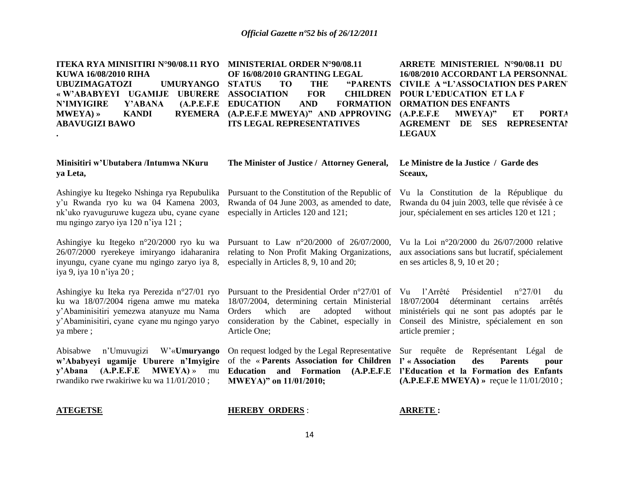| <b>ITEKA RYA MINISITIRI N°90/08.11 RYO</b><br>KUWA 16/08/2010 RIHA<br><b>UBUZIMAGATOZI</b><br><b>UMURYANGO</b><br>«W'ABABYEYI UGAMIJE<br><b>UBURERE</b><br><b>N'IMYIGIRE</b><br>Y'ABANA<br>(A.P.E.F.E)<br><b>RYEMERA</b><br><b>MWEYA</b> ) »<br><b>KANDI</b><br><b>ABAVUGIZI BAWO</b> | MINISTERIAL ORDER N°90/08.11<br>OF 16/08/2010 GRANTING LEGAL<br><b>STATUS</b><br><b>TO</b><br><b>THE</b><br>"PARENTS<br><b>ASSOCIATION</b><br><b>FOR</b><br><b>CHILDREN</b><br><b>AND</b><br><b>EDUCATION</b><br><b>FORMATION</b><br>(A.P.E.F.E MWEYA)" AND APPROVING<br><b>ITS LEGAL REPRESENTATIVES</b> | <b>ARRETE MINISTERIEL N°90/08.11 DU</b><br>16/08/2010 ACCORDANT LA PERSONNAL<br><b>CIVILE A "L'ASSOCIATION DES PAREN"</b><br><b>POUR L'EDUCATION ET LA F</b><br><b>ORMATION DES ENFANTS</b><br><b>PORTA</b><br>(A.P.E.F.E<br>MWEYA)"<br>ET<br>DE<br><b>SES</b><br><b>REPRESENTAI</b><br><b>AGREMENT</b><br><b>LEGAUX</b> |
|---------------------------------------------------------------------------------------------------------------------------------------------------------------------------------------------------------------------------------------------------------------------------------------|-----------------------------------------------------------------------------------------------------------------------------------------------------------------------------------------------------------------------------------------------------------------------------------------------------------|--------------------------------------------------------------------------------------------------------------------------------------------------------------------------------------------------------------------------------------------------------------------------------------------------------------------------|
| Minisitiri w'Ubutabera /Intumwa NKuru<br>ya Leta,                                                                                                                                                                                                                                     | The Minister of Justice / Attorney General,                                                                                                                                                                                                                                                               | Le Ministre de la Justice / Garde des<br>Sceaux,                                                                                                                                                                                                                                                                         |
| Ashingiye ku Itegeko Nshinga rya Repubulika<br>y'u Rwanda ryo ku wa 04 Kamena 2003,<br>nk'uko ryavuguruwe kugeza ubu, cyane cyane<br>mu ngingo zaryo iya 120 n'iya 121;                                                                                                               | Pursuant to the Constitution of the Republic of<br>Rwanda of 04 June 2003, as amended to date,<br>especially in Articles 120 and 121;                                                                                                                                                                     | Vu la Constitution de la République du<br>Rwanda du 04 juin 2003, telle que révisée à ce<br>jour, spécialement en ses articles 120 et 121 ;                                                                                                                                                                              |
| Ashingiye ku Itegeko n°20/2000 ryo ku wa Pursuant to Law n°20/2000 of 26/07/2000,<br>26/07/2000 ryerekeye imiryango idaharanira<br>inyungu, cyane cyane mu ngingo zaryo iya 8,<br>iya 9, iya 10 n'iya 20;                                                                             | relating to Non Profit Making Organizations,<br>especially in Articles 8, 9, 10 and 20;                                                                                                                                                                                                                   | Vu la Loi n°20/2000 du 26/07/2000 relative<br>aux associations sans but lucratif, spécialement<br>en ses articles 8, 9, 10 et 20;                                                                                                                                                                                        |
| Ashingiye ku Iteka rya Perezida n°27/01 ryo<br>ku wa 18/07/2004 rigena amwe mu mateka<br>y'Abaminisitiri yemezwa atanyuze mu Nama<br>y'Abaminisitiri, cyane cyane mu ngingo yaryo<br>ya mbere;                                                                                        | Pursuant to the Presidential Order n°27/01 of Vu<br>18/07/2004, determining certain Ministerial<br>Orders<br>which<br>adopted<br>without<br>are<br>consideration by the Cabinet, especially in<br>Article One;                                                                                            | l'Arrêté<br>Présidentiel<br>$n^{\circ}27/01$<br>du<br>18/07/2004<br>déterminant<br>certains<br>arrêtés<br>ministériels qui ne sont pas adoptés par le<br>Conseil des Ministre, spécialement en son<br>article premier;                                                                                                   |
| n'Umuvugizi<br>Abisabwe<br>W'«Umuryango<br>w'Ababyeyi ugamije Uburere n'Imyigire<br>(A.P.E.F.E)<br>$MWEYA$ ) »<br>y'Abana<br>mu<br>rwandiko rwe rwakiriwe ku wa 11/01/2010;                                                                                                           | On request lodged by the Legal Representative<br>of the «Parents Association for Children<br>and Formation<br>(A.P.E.F.E<br><b>Education</b><br>MWEYA)" on 11/01/2010;                                                                                                                                    | Sur requête de<br>Représentant Légal<br>de<br>l' « Association<br>des<br><b>Parents</b><br>pour<br>l'Education et la Formation des Enfants<br>$(A.P.E.F.E MWEYA)$ » reçue le $11/01/2010$ ;                                                                                                                              |
| <b>ATEGETSE</b>                                                                                                                                                                                                                                                                       | <b>HEREBY ORDERS:</b>                                                                                                                                                                                                                                                                                     | <b>ARRETE:</b>                                                                                                                                                                                                                                                                                                           |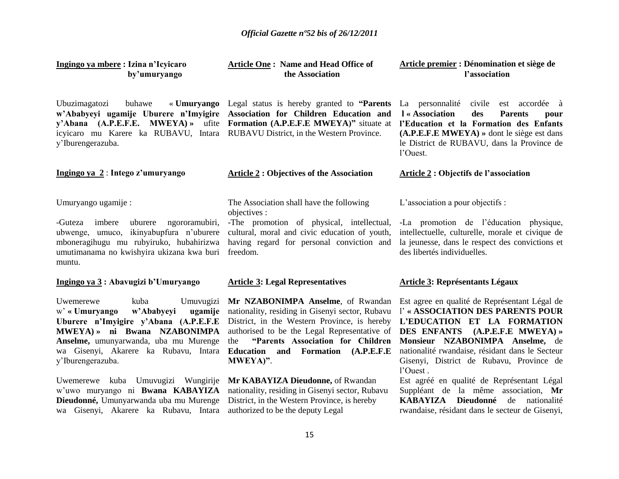| Ingingo ya mbere: Izina n'Icyicaro<br>by'umuryango                                                                                                                                                                                                                                                                                                                                                                       | <b>Article One: Name and Head Office of</b><br>the Association                                                                                                                                                                                                                                                                                                                                                                                                            | Article premier : Dénomination et siège de<br>l'association                                                                                                                                                                                                                                                                                                                                                                                                                                   |
|--------------------------------------------------------------------------------------------------------------------------------------------------------------------------------------------------------------------------------------------------------------------------------------------------------------------------------------------------------------------------------------------------------------------------|---------------------------------------------------------------------------------------------------------------------------------------------------------------------------------------------------------------------------------------------------------------------------------------------------------------------------------------------------------------------------------------------------------------------------------------------------------------------------|-----------------------------------------------------------------------------------------------------------------------------------------------------------------------------------------------------------------------------------------------------------------------------------------------------------------------------------------------------------------------------------------------------------------------------------------------------------------------------------------------|
| Ubuzimagatozi<br>buhawe<br>icyicaro mu Karere ka RUBAVU, Intara RUBAVU District, in the Western Province.<br>y'Iburengerazuba.                                                                                                                                                                                                                                                                                           | « <b>Umuryango</b> Legal status is hereby granted to " <b>Parents</b><br>w'Ababyeyi ugamije Uburere n'Imyigire Association for Children Education and<br>y'Abana (A.P.E.F.E. MWEYA) » ufite Formation (A.P.E.F.E MWEYA)" situate at                                                                                                                                                                                                                                       | La personnalité<br>civile est accordée à<br>l « Association<br>des<br><b>Parents</b><br>pour<br>l'Education et la Formation des Enfants<br>$(A.P.E.F.E MWEYA)$ » dont le siège est dans<br>le District de RUBAVU, dans la Province de<br>l'Ouest.                                                                                                                                                                                                                                             |
| Ingingo ya $2:$ Intego z'umuryango                                                                                                                                                                                                                                                                                                                                                                                       | <b>Article 2 : Objectives of the Association</b>                                                                                                                                                                                                                                                                                                                                                                                                                          | <b>Article 2: Objectifs de l'association</b>                                                                                                                                                                                                                                                                                                                                                                                                                                                  |
| Umuryango ugamije:<br>imbere<br>uburere<br>ngororamubiri,<br>-Guteza<br>ubwenge, umuco, ikinyabupfura n'uburere<br>mboneragihugu mu rubyiruko, hubahirizwa<br>umutimanama no kwishyira ukizana kwa buri<br>muntu.                                                                                                                                                                                                        | The Association shall have the following<br>objectives :<br>-The promotion of physical, intellectual,<br>cultural, moral and civic education of youth,<br>having regard for personal conviction and<br>freedom.                                                                                                                                                                                                                                                           | L'association a pour objectifs :<br>-La promotion de l'éducation physique,<br>intellectuelle, culturelle, morale et civique de<br>la jeunesse, dans le respect des convictions et<br>des libertés individuelles.                                                                                                                                                                                                                                                                              |
| Ingingo ya 3: Abavugizi b'Umuryango                                                                                                                                                                                                                                                                                                                                                                                      | <b>Article 3: Legal Representatives</b>                                                                                                                                                                                                                                                                                                                                                                                                                                   | <b>Article 3: Représentants Légaux</b>                                                                                                                                                                                                                                                                                                                                                                                                                                                        |
| Uwemerewe<br>kuba<br>Umuvugizi<br>w'Ababyeyi<br>$w'$ « Umuryango<br>ugamije<br>Uburere n'Imyigire y'Abana (A.P.E.F.E<br>MWEYA) » ni Bwana NZABONIMPA<br>Anselme, umunyarwanda, uba mu Murenge<br>wa Gisenyi, Akarere ka Rubavu, Intara<br>y'Iburengerazuba.<br>Uwemerewe kuba Umuvugizi Wungirije<br>w'uwo muryango ni Bwana KABAYIZA<br>Dieudonné, Umunyarwanda uba mu Murenge<br>wa Gisenyi, Akarere ka Rubavu, Intara | Mr NZABONIMPA Anselme, of Rwandan<br>nationality, residing in Gisenyi sector, Rubavu<br>District, in the Western Province, is hereby<br>authorised to be the Legal Representative of<br>"Parents Association for Children<br>the<br>and Formation (A.P.E.F.E<br><b>Education</b><br>MWEYA)".<br>Mr KABAYIZA Dieudonne, of Rwandan<br>nationality, residing in Gisenyi sector, Rubavu<br>District, in the Western Province, is hereby<br>authorized to be the deputy Legal | Est agree en qualité de Représentant Légal de<br>l' « ASSOCIATION DES PARENTS POUR<br>L'EDUCATION ET LA FORMATION<br>DES ENFANTS (A.P.E.F.E MWEYA) »<br>Monsieur NZABONIMPA Anselme, de<br>nationalité rwandaise, résidant dans le Secteur<br>Gisenyi, District de Rubavu, Province de<br>l'Ouest.<br>Est agréé en qualité de Représentant Légal<br>Suppléant de la même association, Mr<br>Dieudonné<br><b>KABAYIZA</b><br>de nationalité<br>rwandaise, résidant dans le secteur de Gisenyi, |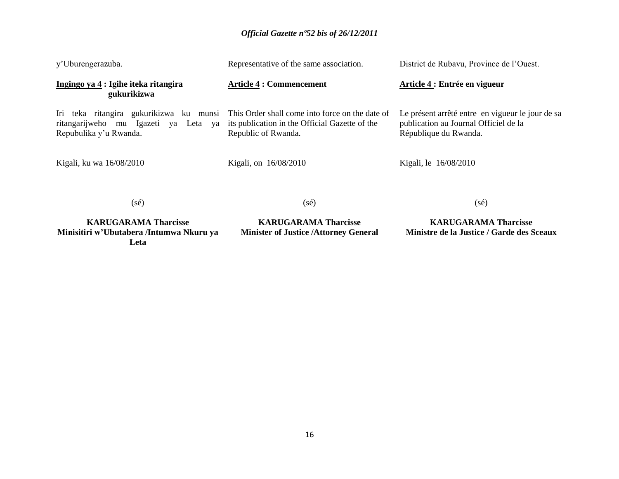|                | District de Rubavu, Province de l'Ouest.                                                                                                                                                                                                                                                                     |
|----------------|--------------------------------------------------------------------------------------------------------------------------------------------------------------------------------------------------------------------------------------------------------------------------------------------------------------|
|                | Article 4 : Entrée en vigueur                                                                                                                                                                                                                                                                                |
|                | Le présent arrêté entre en vigueur le jour de sa<br>publication au Journal Officiel de la<br>République du Rwanda.                                                                                                                                                                                           |
|                | Kigali, le 16/08/2010                                                                                                                                                                                                                                                                                        |
| $(s\acute{e})$ | $(s\acute{e})$                                                                                                                                                                                                                                                                                               |
|                | Representative of the same association.<br><b>Article 4 : Commencement</b><br>Iri teka ritangira gukurikizwa ku munsi This Order shall come into force on the date of<br>ritangarijweho mu Igazeti ya Leta ya its publication in the Official Gazette of the<br>Republic of Rwanda.<br>Kigali, on 16/08/2010 |

**KARUGARAMA Tharcisse Minisitiri w'Ubutabera /Intumwa Nkuru ya Leta**

**KARUGARAMA Tharcisse Minister of Justice /Attorney General**

**KARUGARAMA Tharcisse Ministre de la Justice / Garde des Sceaux**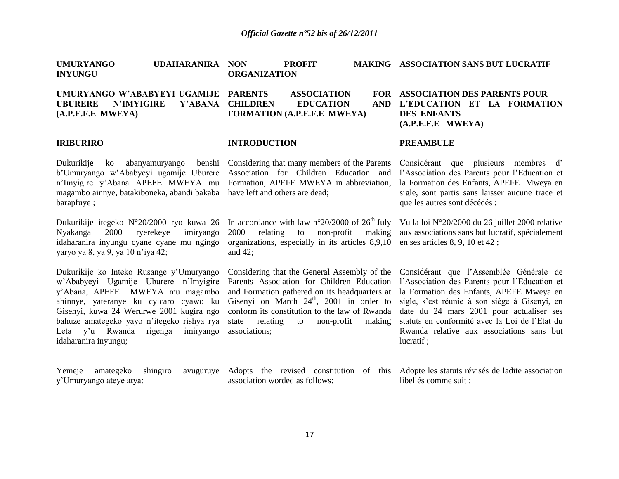| <b>UMURYANGO</b><br>UDAHARANIRA<br><b>INYUNGU</b>                                                                                                                                                                                                                                                                           | <b>NON</b><br><b>PROFIT</b><br><b>ORGANIZATION</b>                                                                                                                                                                                                                                                                       | <b>MAKING ASSOCIATION SANS BUT LUCRATIF</b>                                                                                                                                                                                                                                                                                                   |
|-----------------------------------------------------------------------------------------------------------------------------------------------------------------------------------------------------------------------------------------------------------------------------------------------------------------------------|--------------------------------------------------------------------------------------------------------------------------------------------------------------------------------------------------------------------------------------------------------------------------------------------------------------------------|-----------------------------------------------------------------------------------------------------------------------------------------------------------------------------------------------------------------------------------------------------------------------------------------------------------------------------------------------|
| UMURYANGO W'ABABYEYI UGAMIJE PARENTS<br><b>UBURERE</b><br><b>N'IMYIGIRE</b><br>Y'ABANA<br>(A.P.E.F.E MWEYA)                                                                                                                                                                                                                 | <b>ASSOCIATION</b><br><b>CHILDREN</b><br><b>EDUCATION</b><br><b>AND</b><br>FORMATION (A.P.E.F.E MWEYA)                                                                                                                                                                                                                   | FOR ASSOCIATION DES PARENTS POUR<br>L'EDUCATION ET LA FORMATION<br><b>DES ENFANTS</b><br>$(A.P.E.F.E$ MWEYA)                                                                                                                                                                                                                                  |
| <b>IRIBURIRO</b>                                                                                                                                                                                                                                                                                                            | <b>INTRODUCTION</b>                                                                                                                                                                                                                                                                                                      | <b>PREAMBULE</b>                                                                                                                                                                                                                                                                                                                              |
| Dukurikije<br>abanyamuryango<br>ko<br>b'Umuryango w'Ababyeyi ugamije Uburere<br>n'Imyigire y'Abana APEFE MWEYA mu<br>magambo ainnye, batakiboneka, abandi bakaba<br>barapfuye;                                                                                                                                              | benshi Considering that many members of the Parents<br>Association for Children Education and<br>Formation, APEFE MWEYA in abbreviation,<br>have left and others are dead;                                                                                                                                               | Considérant que plusieurs membres d'<br>l'Association des Parents pour l'Education et<br>la Formation des Enfants, APEFE Mweya en<br>sigle, sont partis sans laisser aucune trace et<br>que les autres sont décédés ;                                                                                                                         |
| Dukurikije itegeko N°20/2000 ryo kuwa 26<br>ryerekeye<br>Nyakanga<br><b>2000</b><br>imiryango<br>idaharanira inyungu cyane cyane mu ngingo<br>yaryo ya 8, ya 9, ya 10 n'iya 42;                                                                                                                                             | In accordance with law $n^{\circ}20/2000$ of $26^{\text{th}}$ July<br>2000<br>relating<br>non-profit<br>making<br>to<br>organizations, especially in its articles 8,9,10<br>and $42$ ;                                                                                                                                   | Vu la loi N°20/2000 du 26 juillet 2000 relative<br>aux associations sans but lucratif, spécialement<br>en ses articles 8, 9, 10 et 42;                                                                                                                                                                                                        |
| Dukurikije ko Inteko Rusange y'Umuryango<br>w'Ababyeyi Ugamije Uburere n'Imyigire<br>y'Abana, APEFE MWEYA mu magambo<br>ahinnye, yateranye ku cyicaro cyawo ku<br>Gisenyi, kuwa 24 Werurwe 2001 kugira ngo<br>bahuze amategeko yayo n'itegeko rishya rya<br>Leta y'u Rwanda<br>rigenga<br>imiryango<br>idaharanira inyungu; | Considering that the General Assembly of the<br>Parents Association for Children Education<br>and Formation gathered on its headquarters at<br>Gisenyi on March $24^{\text{th}}$ , 2001 in order to<br>conform its constitution to the law of Rwanda<br>relating<br>non-profit<br>state<br>making<br>to<br>associations; | Considérant que l'Assemblée Générale de<br>l'Association des Parents pour l'Education et<br>la Formation des Enfants, APEFE Mweya en<br>sigle, s'est réunie à son siège à Gisenyi, en<br>date du 24 mars 2001 pour actualiser ses<br>statuts en conformité avec la Loi de l'Etat du<br>Rwanda relative aux associations sans but<br>lucratif; |
| Yemeje<br>amategeko<br>shingiro<br>avuguruye<br>y'Umuryango ateye atya:                                                                                                                                                                                                                                                     | Adopts the revised constitution of this Adopte les statuts révisés de ladite association<br>association worded as follows:                                                                                                                                                                                               | libellés comme suit :                                                                                                                                                                                                                                                                                                                         |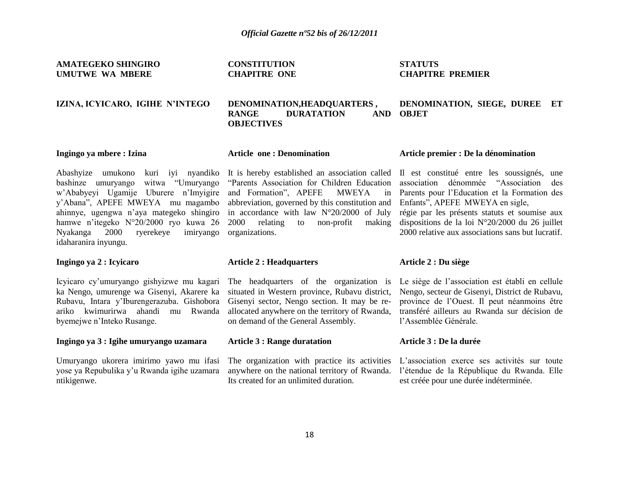**AMATEGEKO SHINGIRO UMUTWE WA MBERE** 

## **IZINA, ICYICARO, IGIHE N'INTEGO**

**DENOMINATION,HEADQUARTERS , RANGE DURATATION** 

# **CHAPITRE PREMIER**

**STATUTS**

## **DENOMINATION, SIEGE, DUREE ET OBJET**

## **Ingingo ya mbere : Izina**

## **Article one : Denomination**

**CONSTITUTION CHAPITRE ONE**

**OBJECTIVES**

bashinze umuryango witwa "Umuryango w"Ababyeyi Ugamije Uburere n"Imyigire y"Abana", APEFE MWEYA mu magambo ahinnye, ugengwa n"aya mategeko shingiro hamwe n"itegeko N°20/2000 ryo kuwa 26 Nyakanga 2000 ryerekeye imiryango idaharanira inyungu.

## **Ingingo ya 2 : Icyicaro**

Icyicaro cy"umuryango gishyizwe mu kagari ka Nengo, umurenge wa Gisenyi, Akarere ka Rubavu, Intara y"Iburengerazuba. Gishobora ariko kwimurirwa ahandi mu Rwanda byemejwe n"Inteko Rusange.

## **Ingingo ya 3 : Igihe umuryango uzamara**

Umuryango ukorera imirimo yawo mu ifasi yose ya Repubulika y"u Rwanda igihe uzamara ntikigenwe.

Abashyize umukono kuri iyi nyandiko It is hereby established an association called "Parents Association for Children Education and Formation", APEFE MWEYA in abbreviation, governed by this constitution and in accordance with law N°20/2000 of July  $2000$  relating to non-profit organizations.

## **Article 2 : Headquarters**

The headquarters of the organization is situated in Western province, Rubavu district, Gisenyi sector, Nengo section. It may be reallocated anywhere on the territory of Rwanda, on demand of the General Assembly.

## **Article 3 : Range duratation**

anywhere on the national territory of Rwanda. Its created for an unlimited duration.

## **Article premier : De la dénomination**

Il est constitué entre les soussignés, une association dénommée "Association des Parents pour l"Education et la Formation des Enfants", APEFE MWEYA en sigle, régie par les présents statuts et soumise aux making dispositions de la loi  $N^{\circ}20/2000$  du 26 juillet 2000 relative aux associations sans but lucratif.

## **Article 2 : Du siège**

Le siège de l"association est établi en cellule Nengo, secteur de Gisenyi, District de Rubavu, province de l"Ouest. Il peut néanmoins être transféré ailleurs au Rwanda sur décision de l"Assemblée Générale.

## **Article 3 : De la durée**

The organization with practice its activities L'association exerce ses activités sur toute l"étendue de la République du Rwanda. Elle est créée pour une durée indéterminée.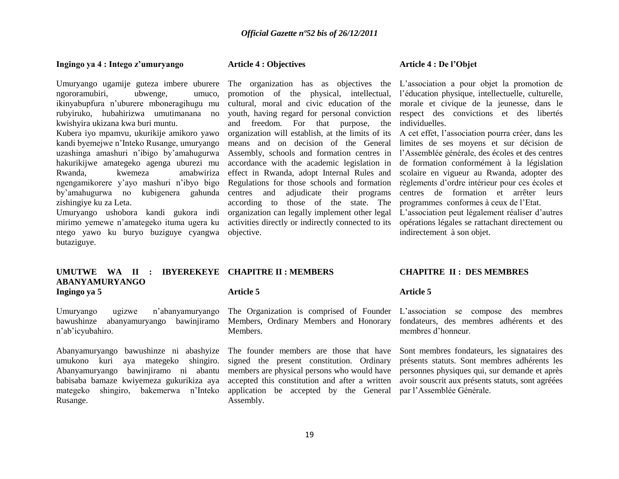#### **Ingingo ya 4 : Intego z'umuryango**

ngororamubiri, ubwenge, umuco, ikinyabupfura n"uburere mboneragihugu mu rubyiruko, hubahirizwa umutimanana no kwishyira ukizana kwa buri muntu.

Kubera iyo mpamvu, ukurikije amikoro yawo kandi byemejwe n"Inteko Rusange, umuryango uzashinga amashuri n"ibigo by"amahugurwa hakurikijwe amategeko agenga uburezi mu Rwanda, kwemeza amabwiriza ngengamikorere y"ayo mashuri n"ibyo bigo by"amahugurwa no kubigenera gahunda zishingiye ku za Leta.

Umuryango ushobora kandi gukora indi mirimo yemewe n"amategeko ituma ugera ku ntego yawo ku buryo buziguye cyangwa butaziguye.

#### **Article 4 : Objectives**

promotion of the physical, intellectual, cultural, moral and civic education of the youth, having regard for personal conviction and freedom. For that purpose, the organization will establish, at the limits of its A cet effet, l"association pourra créer, dans les means and on decision of the General accordance with the academic legislation in effect in Rwanda, adopt Internal Rules and Regulations for those schools and formation centres and adjudicate their programs according to those of the state. The organization can legally implement other legal activities directly or indirectly connected to its objective.

#### **Article 4 : De l'Objet**

Umuryango ugamije guteza imbere uburere The organization has as objectives the L'association a pour objet la promotion de l"éducation physique, intellectuelle, culturelle, morale et civique de la jeunesse, dans le respect des convictions et des libertés individuelles.

> Assembly, schools and formation centres in l"Assemblée générale, des écoles et des centres limites de ses moyens et sur décision de de formation conformément à la législation scolaire en vigueur au Rwanda, adopter des règlements d"ordre intérieur pour ces écoles et centres de formation et arrêter leurs programmes conformes à ceux de l"Etat.

> > L"association peut légalement réaliser d"autres opérations légales se rattachant directement ou indirectement à son objet.

#### **UMUTWE WA II : IBYEREKEYE CHAPITRE II : MEMBERS ABANYAMURYANGO Ingingo ya 5 Article 5**

Umuryango ugizwe n"abanyamuryango bawushinze abanyamuryango bawinjiramo n"ab"icyubahiro.

Abanyamuryango bawushinze ni abashyize The founder members are those that have umukono kuri aya mategeko shingiro. Abanyamuryango bawinjiramo ni abantu babisaba bamaze kwiyemeza gukurikiza aya mategeko shingiro, bakemerwa n"Inteko Rusange.

Members, Ordinary Members and Honorary Members.

signed the present constitution. Ordinary application be accepted by the General par l"Assemblée Générale.Assembly.

## **CHAPITRE II : DES MEMBRES**

## **Article 5**

The Organization is comprised of Founder L"association se compose des membres fondateurs, des membres adhérents et des membres d"honneur.

members are physical persons who would have personnes physiques qui, sur demande et après accepted this constitution and after a written avoir souscrit aux présents statuts, sont agréées Sont membres fondateurs, les signataires des présents statuts. Sont membres adhérents les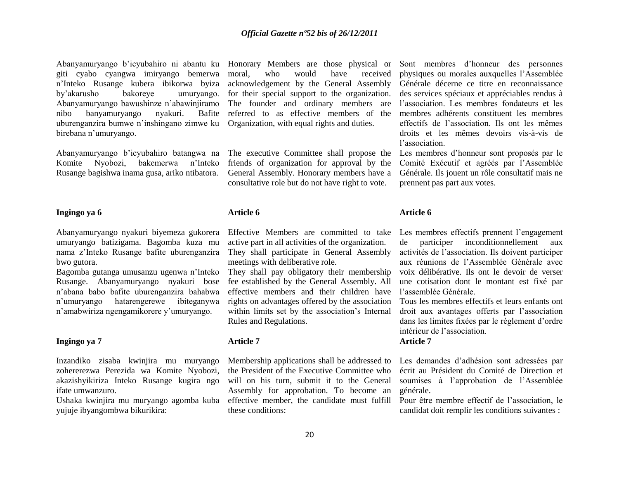Abanyamuryango b'icyubahiro ni abantu ku Honorary Members are those physical or Sont membres d'honneur des personnes giti cyabo cyangwa imiryango bemerwa n"Inteko Rusange kubera ibikorwa byiza by"akarusho bakoreye umuryango. for their special support to the organization. Abanyamuryango bawushinze n"abawinjiramo The founder and ordinary members are nibo banyamuryango nyakuri. uburenganzira bumwe n'inshingano zimwe ku Organization, with equal rights and duties. birebana n"umuryango.

Abanyamuryango b"icyubahiro batangwa na Komite Nyobozi, bakemerwa n"Inteko Rusange bagishwa inama gusa, ariko ntibatora.

## **Ingingo ya 6**

Abanyamuryango nyakuri biyemeza gukorera umuryango batizigama. Bagomba kuza mu nama z"Inteko Rusange bafite uburenganzira bwo gutora.

Bagomba gutanga umusanzu ugenwa n"Inteko Rusange. Abanyamuryango nyakuri bose n"abana babo bafite uburenganzira bahabwa n"umuryango hatarengerewe ibiteganywa n"amabwiriza ngengamikorere y"umuryango.

## **Ingingo ya 7**

Inzandiko zisaba kwinjira mu muryango zohererezwa Perezida wa Komite Nyobozi, akazishyikiriza Inteko Rusange kugira ngo ifate umwanzuro.

Ushaka kwinjira mu muryango agomba kuba yujuje ibyangombwa bikurikira:

who would have received acknowledgement by the General Assembly Bafite referred to as effective members of the

> The executive Committee shall propose the friends of organization for approval by the General Assembly. Honorary members have a consultative role but do not have right to vote.

#### **Article 6**

Effective Members are committed to take active part in all activities of the organization. They shall participate in General Assembly meetings with deliberative role.

They shall pay obligatory their membership fee established by the General Assembly. All effective members and their children have rights on advantages offered by the association within limits set by the association's Internal Rules and Regulations.

## **Article 7**

Membership applications shall be addressed to the President of the Executive Committee who will on his turn, submit it to the General Assembly for approbation. To become an effective member, the candidate must fulfill these conditions:

physiques ou morales auxquelles l"Assemblée Générale décerne ce titre en reconnaissance des services spéciaux et appréciables rendus à l"association. Les membres fondateurs et les membres adhérents constituent les membres effectifs de l"association. Ils ont les mêmes droits et les mêmes devoirs vis-à-vis de l"association.

Les membres d"honneur sont proposés par le Comité Exécutif et agréés par l"Assemblée Générale. Ils jouent un rôle consultatif mais ne prennent pas part aux votes.

#### **Article 6**

Les membres effectifs prennent l"engagement de participer inconditionnellement aux activités de l"association. Ils doivent participer aux réunions de l"Assemblée Générale avec voix délibérative. Ils ont le devoir de verser une cotisation dont le montant est fixé par l"assemblée Générale.

Tous les membres effectifs et leurs enfants ont droit aux avantages offerts par l"association dans les limites fixées par le règlement d"ordre intérieur de l"association.

## **Article 7**

Les demandes d"adhésion sont adressées par écrit au Président du Comité de Direction et soumises à l"approbation de l"Assemblée générale.

Pour être membre effectif de l"association, le candidat doit remplir les conditions suivantes :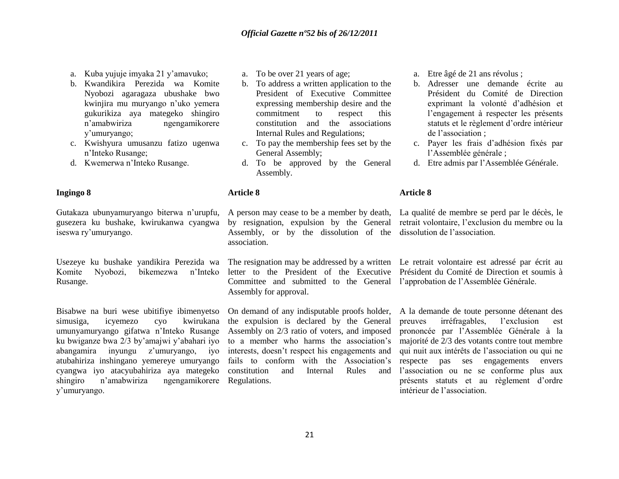- a. Kuba yujuje imyaka 21 y"amavuko;
- b. Kwandikira Perezida wa Komite Nyobozi agaragaza ubushake bwo kwinjira mu muryango n"uko yemera gukurikiza aya mategeko shingiro n"amabwiriza ngengamikorere y"umuryango;
- c. Kwishyura umusanzu fatizo ugenwa n"Inteko Rusange;
- d. Kwemerwa n"Inteko Rusange.

## **Ingingo 8**

Gutakaza ubunyamuryango biterwa n"urupfu, gusezera ku bushake, kwirukanwa cyangwa iseswa ry"umuryango.

Usezeye ku bushake yandikira Perezida wa The resignation may be addressed by a written Le retrait volontaire est adressé par écrit au Komite Nyobozi, bikemezwa n"Inteko Rusange.

Bisabwe na buri wese ubitifiye ibimenyetso simusiga, icyemezo cyo kwirukana umunyamuryango gifatwa n"Inteko Rusange ku bwiganze bwa 2/3 by"amajwi y"abahari iyo abangamira inyungu z"umuryango, iyo atubahiriza inshingano yemereye umuryango cyangwa iyo atacyubahiriza aya mategeko shingiro n'amabwiriza y"umuryango. ngengamikorere Regulations.

- a. To be over 21 years of age;
- b. To address a written application to the President of Executive Committee expressing membership desire and the commitment to respect this constitution and the associations Internal Rules and Regulations;
- c. To pay the membership fees set by the General Assembly;
- d. To be approved by the General Assembly.
- 

## **Article 8**

Assembly, or by the dissolution of the dissolution de l'association. association.

Committee and submitted to the General l"approbation de l"Assemblée Générale. Assembly for approval.

On demand of any indisputable proofs holder, the expulsion is declared by the General Assembly on 2/3 ratio of voters, and imposed to a member who harms the association"s interests, doesn"t respect his engagements and fails to conform with the Association's constitution and Internal Rules and a. Etre âgé de 21 ans révolus ;

- b. Adresser une demande écrite au Président du Comité de Direction exprimant la volonté d"adhésion et l"engagement à respecter les présents statuts et le règlement d"ordre intérieur de l"association ;
- c. Payer les frais d"adhésion fixés par l"Assemblée générale ;
- d. Etre admis par l"Assemblée Générale.

## **Article 8**

A person may cease to be a member by death, La qualité de membre se perd par le décès, le by resignation, expulsion by the General retrait volontaire, l'exclusion du membre ou la

letter to the President of the Executive Président du Comité de Direction et soumis à

A la demande de toute personne détenant des preuves irréfragables, l"exclusion est prononcée par l"Assemblée Générale à la majorité de 2/3 des votants contre tout membre qui nuit aux intérêts de l"association ou qui ne respecte pas ses engagements envers l'association ou ne se conforme plus aux présents statuts et au règlement d"ordre intérieur de l"association.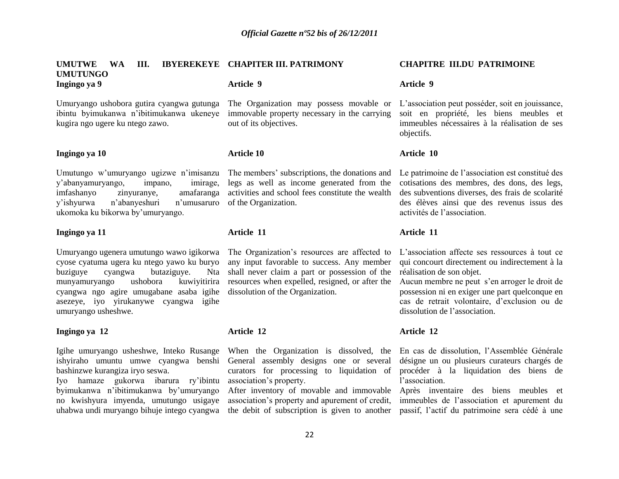| <b>UMUTWE</b><br><b>WA</b><br>III.<br><b>UMUTUNGO</b>                                                                                                                                                                                                                                                                                 | IBYEREKEYE CHAPITER III. PATRIMONY                                                                                                                                                                                                                              | <b>CHAPITRE III.DU PATRIMOINE</b>                                                                                                                                                                                                                                                                                 |
|---------------------------------------------------------------------------------------------------------------------------------------------------------------------------------------------------------------------------------------------------------------------------------------------------------------------------------------|-----------------------------------------------------------------------------------------------------------------------------------------------------------------------------------------------------------------------------------------------------------------|-------------------------------------------------------------------------------------------------------------------------------------------------------------------------------------------------------------------------------------------------------------------------------------------------------------------|
| Ingingo ya 9                                                                                                                                                                                                                                                                                                                          | Article 9                                                                                                                                                                                                                                                       | <b>Article 9</b>                                                                                                                                                                                                                                                                                                  |
| Umuryango ushobora gutira cyangwa gutunga<br>ibintu byimukanwa n'ibitimukanwa ukeneye<br>kugira ngo ugere ku ntego zawo.                                                                                                                                                                                                              | The Organization may possess movable or<br>immovable property necessary in the carrying<br>out of its objectives.                                                                                                                                               | L'association peut posséder, soit en jouissance,<br>soit en propriété, les biens meubles et<br>immeubles nécessaires à la réalisation de ses<br>objectifs.                                                                                                                                                        |
| Ingingo ya 10                                                                                                                                                                                                                                                                                                                         | <b>Article 10</b>                                                                                                                                                                                                                                               | Article 10                                                                                                                                                                                                                                                                                                        |
| Umutungo w'umuryango ugizwe n'imisanzu<br>y'abanyamuryango,<br>impano,<br>imirage,<br>imfashanyo<br>zinyuranye,<br>amafaranga<br>n'abanyeshuri<br>y'ishyurwa<br>n'umusaruro<br>ukomoka ku bikorwa by'umuryango.                                                                                                                       | The members' subscriptions, the donations and<br>legs as well as income generated from the<br>activities and school fees constitute the wealth<br>of the Organization.                                                                                          | Le patrimoine de l'association est constitué des<br>cotisations des membres, des dons, des legs,<br>des subventions diverses, des frais de scolarité<br>des élèves ainsi que des revenus issus des<br>activités de l'association.                                                                                 |
| Ingingo ya 11                                                                                                                                                                                                                                                                                                                         | Article 11                                                                                                                                                                                                                                                      | Article 11                                                                                                                                                                                                                                                                                                        |
| Umuryango ugenera umutungo wawo igikorwa<br>cyose cyatuma ugera ku ntego yawo ku buryo<br>buziguye<br>butaziguye.<br>cyangwa<br>ushobora<br>kuwiyitirira<br>munyamuryango<br>cyangwa ngo agire umugabane asaba igihe<br>asezeye, iyo yirukanywe cyangwa igihe<br>umuryango usheshwe.                                                  | The Organization's resources are affected to<br>any input favorable to success. Any member<br>Nta shall never claim a part or possession of the<br>resources when expelled, resigned, or after the<br>dissolution of the Organization.                          | L'association affecte ses ressources à tout ce<br>qui concourt directement ou indirectement à la<br>réalisation de son objet.<br>Aucun membre ne peut s'en arroger le droit de<br>possession ni en exiger une part quelconque en<br>cas de retrait volontaire, d'exclusion ou de<br>dissolution de l'association. |
| Ingingo ya 12                                                                                                                                                                                                                                                                                                                         | Article 12                                                                                                                                                                                                                                                      | Article 12                                                                                                                                                                                                                                                                                                        |
| Igihe umuryango usheshwe, Inteko Rusange<br>ishyiraho umuntu umwe cyangwa benshi General assembly designs one or several<br>bashinzwe kurangiza iryo seswa.<br>Iyo hamaze gukorwa ibarura ry'ibintu<br>byimukanwa n'ibitimukanwa by'umuryango<br>no kwishyura imyenda, umutungo usigaye<br>uhabwa undi muryango bihuje intego cyangwa | When the Organization is dissolved, the<br>curators for processing to liquidation of<br>association's property.<br>After inventory of movable and immovable<br>association's property and apurement of credit,<br>the debit of subscription is given to another | En cas de dissolution, l'Assemblée Générale<br>désigne un ou plusieurs curateurs chargés de<br>procéder à la liquidation des biens de<br>l'association.<br>Après inventaire des biens meubles et<br>immeubles de l'association et apurement du<br>passif, l'actif du patrimoine sera cédé à une                   |
|                                                                                                                                                                                                                                                                                                                                       | 22                                                                                                                                                                                                                                                              |                                                                                                                                                                                                                                                                                                                   |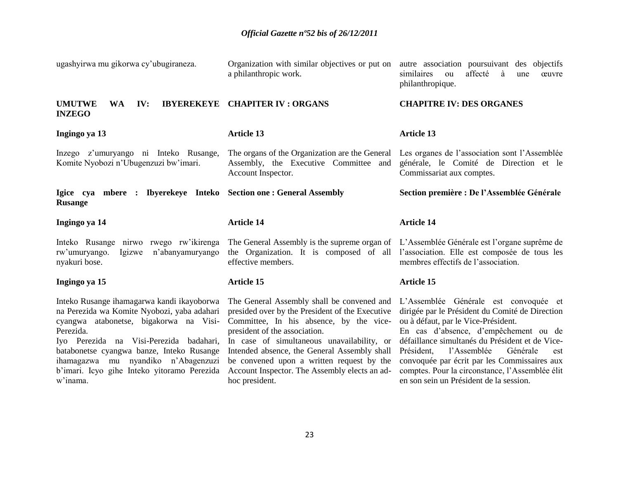| ugashyirwa mu gikorwa cy'ubugiraneza.                                                                                                                                                                                                                                                                                                      | Organization with similar objectives or put on<br>a philanthropic work.                                                                                                                                                                                                                                                                                                                 | autre association poursuivant des objectifs<br>similaires<br>affecté<br>à<br>ou<br>œuvre<br>une<br>philanthropique.                                                                                                                                                                                                                                                                                                       |
|--------------------------------------------------------------------------------------------------------------------------------------------------------------------------------------------------------------------------------------------------------------------------------------------------------------------------------------------|-----------------------------------------------------------------------------------------------------------------------------------------------------------------------------------------------------------------------------------------------------------------------------------------------------------------------------------------------------------------------------------------|---------------------------------------------------------------------------------------------------------------------------------------------------------------------------------------------------------------------------------------------------------------------------------------------------------------------------------------------------------------------------------------------------------------------------|
| <b>UMUTWE</b><br>IV:<br><b>IBYEREKEYE</b><br><b>WA</b><br><b>INZEGO</b>                                                                                                                                                                                                                                                                    | <b>CHAPITER IV: ORGANS</b>                                                                                                                                                                                                                                                                                                                                                              | <b>CHAPITRE IV: DES ORGANES</b>                                                                                                                                                                                                                                                                                                                                                                                           |
| Ingingo ya 13                                                                                                                                                                                                                                                                                                                              | <b>Article 13</b>                                                                                                                                                                                                                                                                                                                                                                       | <b>Article 13</b>                                                                                                                                                                                                                                                                                                                                                                                                         |
| Inzego z'umuryango ni Inteko Rusange,<br>Komite Nyobozi n'Ubugenzuzi bw'imari.                                                                                                                                                                                                                                                             | The organs of the Organization are the General<br>Assembly, the Executive Committee and<br>Account Inspector.                                                                                                                                                                                                                                                                           | Les organes de l'association sont l'Assemblée<br>générale, le Comité de Direction et le<br>Commissariat aux comptes.                                                                                                                                                                                                                                                                                                      |
| Igice cya mbere : Ibyerekeye Inteko Section one : General Assembly<br><b>Rusange</b>                                                                                                                                                                                                                                                       |                                                                                                                                                                                                                                                                                                                                                                                         | Section première : De l'Assemblée Générale                                                                                                                                                                                                                                                                                                                                                                                |
| Ingingo ya 14                                                                                                                                                                                                                                                                                                                              | <b>Article 14</b>                                                                                                                                                                                                                                                                                                                                                                       | <b>Article 14</b>                                                                                                                                                                                                                                                                                                                                                                                                         |
| Inteko Rusange nirwo rwego rw'ikirenga<br>n'abanyamuryango<br>rw'umuryango.<br>Igizwe<br>nyakuri bose.                                                                                                                                                                                                                                     | The General Assembly is the supreme organ of L'Assemblée Générale est l'organe suprême de<br>the Organization. It is composed of all<br>effective members.                                                                                                                                                                                                                              | l'association. Elle est composée de tous les<br>membres effectifs de l'association.                                                                                                                                                                                                                                                                                                                                       |
| Ingingo ya 15                                                                                                                                                                                                                                                                                                                              | <b>Article 15</b>                                                                                                                                                                                                                                                                                                                                                                       | <b>Article 15</b>                                                                                                                                                                                                                                                                                                                                                                                                         |
| Inteko Rusange ihamagarwa kandi ikayoborwa<br>na Perezida wa Komite Nyobozi, yaba adahari<br>cyangwa atabonetse, bigakorwa na Visi-<br>Perezida.<br>Iyo Perezida na Visi-Perezida badahari,<br>batabonetse cyangwa banze, Inteko Rusange<br>ihamagazwa mu nyandiko n'Abagenzuzi<br>b'imari. Icyo gihe Inteko yitoramo Perezida<br>w'inama. | The General Assembly shall be convened and<br>presided over by the President of the Executive<br>Committee, In his absence, by the vice-<br>president of the association.<br>In case of simultaneous unavailability, or<br>Intended absence, the General Assembly shall<br>be convened upon a written request by the<br>Account Inspector. The Assembly elects an ad-<br>hoc president. | L'Assemblée Générale est convoquée et<br>dirigée par le Président du Comité de Direction<br>ou à défaut, par le Vice-Président.<br>En cas d'absence, d'empêchement ou de<br>défaillance simultanés du Président et de Vice-<br>l'Assemblée<br>Président,<br>Générale<br>est<br>convoquée par écrit par les Commissaires aux<br>comptes. Pour la circonstance, l'Assemblée élit<br>en son sein un Président de la session. |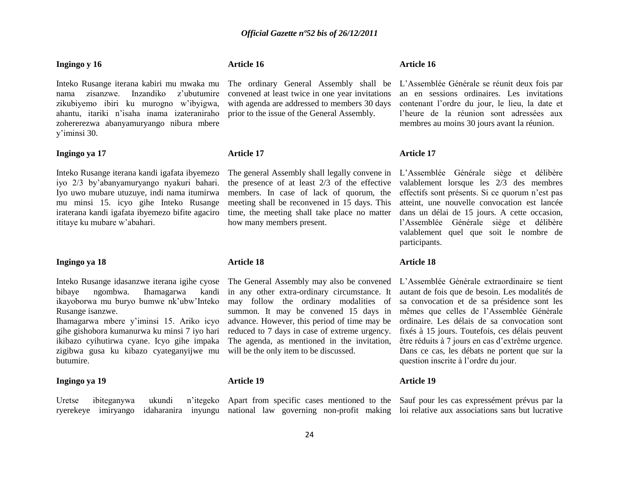#### **Ingingo y 16**

Inteko Rusange iterana kabiri mu mwaka mu nama zisanzwe. Inzandiko z"ubutumire zikubiyemo ibiri ku murogno w"ibyigwa, ahantu, itariki n"isaha inama izateraniraho zohererezwa abanyamuryango nibura mbere y"iminsi 30.

## **Ingingo ya 17**

Inteko Rusange iterana kandi igafata ibyemezo iyo 2/3 by"abanyamuryango nyakuri bahari. Iyo uwo mubare utuzuye, indi nama itumirwa mu minsi 15. icyo gihe Inteko Rusange iraterana kandi igafata ibyemezo bifite agaciro ititaye ku mubare w"abahari.

#### **Ingingo ya 18**

bibaye ngombwa. Ihamagarwa ikayoborwa mu buryo bumwe nk"ubw"Inteko Rusange isanzwe.

Ihamagarwa mbere y"iminsi 15. Ariko icyo gihe gishobora kumanurwa ku minsi 7 iyo hari ikibazo cyihutirwa cyane. Icyo gihe impaka zigibwa gusa ku kibazo cyateganyijwe mu will be the only item to be discussed. butumire.

Uretse ibiteganywa ukundi

## **Ingingo ya 19**

## **Article 16**

convened at least twice in one year invitations with agenda are addressed to members 30 days prior to the issue of the General Assembly.

## **Article 17**

The general Assembly shall legally convene in the presence of at least 2/3 of the effective members. In case of lack of quorum, the meeting shall be reconvened in 15 days. This time, the meeting shall take place no matter how many members present.

#### **Article 18**

Inteko Rusange idasanzwe iterana igihe cyose The General Assembly may also be convened kandi in any other extra-ordinary circumstance. It may follow the ordinary modalities of summon. It may be convened 15 days in advance. However, this period of time may be reduced to 7 days in case of extreme urgency. The agenda, as mentioned in the invitation,

## **Article 19**

ryerekeye imiryango idaharanira inyungu national law governing non-profit making loi relative aux associations sans but lucrative

#### **Article 16**

The ordinary General Assembly shall be L"Assemblée Générale se réunit deux fois par an en sessions ordinaires. Les invitations contenant l"ordre du jour, le lieu, la date et l"heure de la réunion sont adressées aux membres au moins 30 jours avant la réunion.

## **Article 17**

L"Assemblée Générale siège et délibère valablement lorsque les 2/3 des membres effectifs sont présents. Si ce quorum n"est pas atteint, une nouvelle convocation est lancée dans un délai de 15 jours. A cette occasion, l"Assemblée Générale siège et délibère valablement quel que soit le nombre de participants.

## **Article 18**

L"Assemblée Générale extraordinaire se tient autant de fois que de besoin. Les modalités de sa convocation et de sa présidence sont les mêmes que celles de l"Assemblée Générale ordinaire. Les délais de sa convocation sont fixés à 15 jours. Toutefois, ces délais peuvent être réduits à 7 jours en cas d"extrême urgence. Dans ce cas, les débats ne portent que sur la question inscrite à l"ordre du jour.

## **Article 19**

Apart from specific cases mentioned to the Sauf pour les cas expressément prévus par la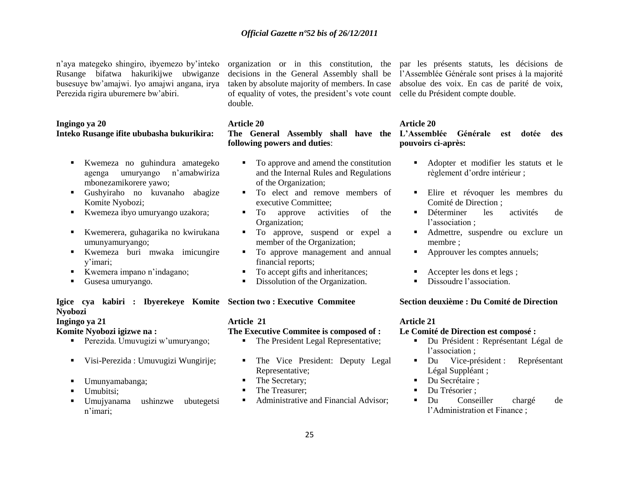n"aya mategeko shingiro, ibyemezo by"inteko Rusange bifatwa hakurikijwe ubwiganze busesuye bw"amajwi. Iyo amajwi angana, irya Perezida rigira uburemere bw"abiri.

## **Ingingo ya 20 Inteko Rusange ifite ububasha bukurikira:**

- Kwemeza no guhindura amategeko agenga umuryango n"amabwiriza mbonezamikorere yawo;
- Gushyiraho no kuvanaho abagize Komite Nyobozi;
- Kwemeza ibyo umuryango uzakora;
- Kwemerera, guhagarika no kwirukana umunyamuryango;
- Kwemeza buri mwaka imicungire y"imari;
- Kwemera impano n"indagano;
- Gusesa umuryango.

## **Igice cya kabiri : Ibyerekeye Komite Section two : Executive Commitee Nyobozi**

**Ingingo ya 21**

## **Komite Nyobozi igizwe na :**

- Perezida. Umuvugizi w"umuryango;
- Visi-Perezida : Umuvugizi Wungirije;
- Umunyamabanga;
- Umubitsi:
- Umujyanama ushinzwe ubutegetsi n"imari;

of equality of votes, the president's vote count celle du Président compte double. double.

organization or in this constitution, the par les présents statuts, les décisions de decisions in the General Assembly shall be l"Assemblée Générale sont prises à la majorité taken by absolute majority of members. In case absolue des voix. En cas de parité de voix,

## **Article 20**

**The General Assembly shall have the L'Assemblée Générale est dotée des following powers and duties**:

- To approve and amend the constitution and the Internal Rules and Regulations of the Organization;
- $\blacksquare$  To elect and remove members of executive Committee;
- $\blacksquare$  To approve activities of the Organization;
- $\blacksquare$  To approve, suspend or expel a member of the Organization;
- $\blacksquare$  To approve management and annual financial reports;
- To accept gifts and inheritances;
- Dissolution of the Organization.

## **Article 21**

## **The Executive Commitee is composed of :**

- The President Legal Representative;
- The Vice President: Deputy Legal Representative;
- The Secretary;
- The Treasurer;
- Administrative and Financial Advisor:

## **Article 20**

**pouvoirs ci-après:**

- Adopter et modifier les statuts et le règlement d"ordre intérieur ;
- Elire et révoquer les membres du Comité de Direction ;
- Déterminer les activités de l'association :
- Admettre, suspendre ou exclure un membre ;
- Approuver les comptes annuels;
- Accepter les dons et legs ;
- Dissoudre l'association

## **Section deuxième : Du Comité de Direction**

## **Article 21**

## **Le Comité de Direction est composé :**

- Du Président : Représentant Légal de l'association :
- Du Vice-président : Représentant Légal Suppléant ;
- Du Secrétaire ;
- Du Trésorier ;
- Du Conseiller chargé de l"Administration et Finance ;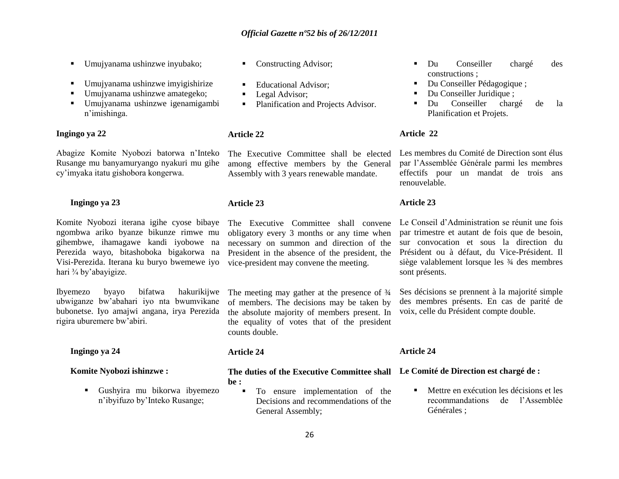- Umujyanama ushinzwe inyubako;
- Umujyanama ushinzwe imyigishirize
- Umujyanama ushinzwe amategeko;
- Umujyanama ushinzwe igenamigambi n"imishinga.

## **Ingingo ya 22**

Abagize Komite Nyobozi batorwa n"Inteko Rusange mu banyamuryango nyakuri mu gihe cy"imyaka itatu gishobora kongerwa.

## **Ingingo ya 23**

Komite Nyobozi iterana igihe cyose bibaye ngombwa ariko byanze bikunze rimwe mu gihembwe, ihamagawe kandi iyobowe na Perezida wayo, bitashoboka bigakorwa na Visi-Perezida. Iterana ku buryo bwemewe iyo hari ¾ by"abayigize.

Ibyemezo byayo bifatwa hakurikijwe ubwiganze bw"abahari iyo nta bwumvikane bubonetse. Iyo amajwi angana, irya Perezida rigira uburemere bw"abiri.

## **Ingingo ya 24**

## **Komite Nyobozi ishinzwe :**

 Gushyira mu bikorwa ibyemezo n"ibyifuzo by"Inteko Rusange;

- Constructing Advisor;
- **Educational Advisor:**
- **Legal Advisor;**
- Planification and Projects Advisor.

## **Article 22**

The Executive Committee shall be elected among effective members by the General Assembly with 3 years renewable mandate.

## **Article 23**

The Executive Committee shall convene obligatory every 3 months or any time when necessary on summon and direction of the President in the absence of the president, the vice-president may convene the meeting.

The meeting may gather at the presence of  $\frac{3}{4}$ of members. The decisions may be taken by the absolute majority of members present. In voix, celle du Président compte double. the equality of votes that of the president counts double.

## **Article 24**

**The duties of the Executive Committee shall Le Comité de Direction est chargé de : be :**

 $\blacksquare$  To ensure implementation of the Decisions and recommendations of the General Assembly;

- Du Conseiller chargé des constructions ;
- Du Conseiller Pédagogique ;
- Du Conseiller Juridique ;
- Du Conseiller chargé de la Planification et Projets.

## **Article 22**

Les membres du Comité de Direction sont élus par l"Assemblée Générale parmi les membres effectifs pour un mandat de trois ans renouvelable.

## **Article 23**

Le Conseil d"Administration se réunit une fois par trimestre et autant de fois que de besoin, sur convocation et sous la direction du Président ou à défaut, du Vice-Président. Il siège valablement lorsque les ¾ des membres sont présents.

Ses décisions se prennent à la majorité simple des membres présents. En cas de parité de

## **Article 24**

 Mettre en exécution les décisions et les recommandations de l"Assemblée Générales ;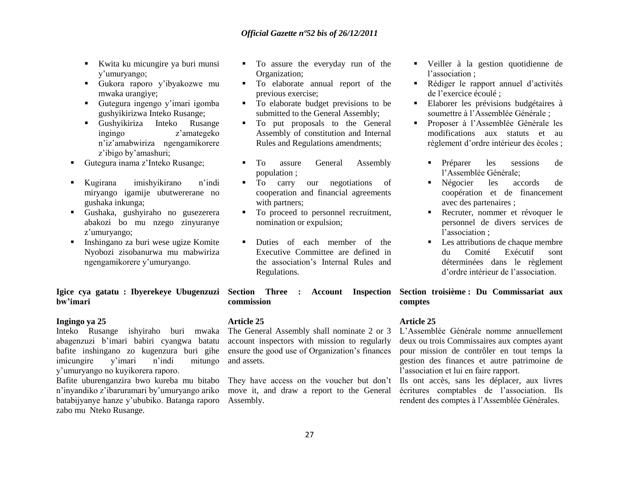- Kwita ku micungire ya buri munsi y"umuryango;
- Gukora raporo y"ibyakozwe mu mwaka urangiye;
- Gutegura ingengo y"imari igomba gushyikirizwa Inteko Rusange;
- Gushyikiriza Inteko Rusange ingingo z"amategeko n"iz"amabwiriza ngengamikorere z"ibigo by"amashuri;
- Gutegura inama z'Inteko Rusange;
- Kugirana imishyikirano n"indi miryango igamije ubutwererane no gushaka inkunga;
- Gushaka, gushyiraho no gusezerera abakozi bo mu nzego zinyuranye z'umuryango;
- Inshingano za buri wese ugize Komite Nyobozi zisobanurwa mu mabwiriza ngengamikorere y"umuryango.

**Igice cya gatatu : Ibyerekeye Ubugenzuzi Section Three : Account Inspection bw'imari**

## **Ingingo ya 25**

Inteko Rusange ishyiraho buri mwaka The General Assembly shall nominate 2 or 3 abagenzuzi b"imari babiri cyangwa batatu bafite inshingano zo kugenzura buri gihe imicungire y"imari n"indi mitungo y"umuryango no kuyikorera raporo.

Bafite uburenganzira bwo kureba mu bitabo n"inyandiko z"ibaruramari by"umuryango ariko batabijyanye hanze y"ububiko. Batanga raporo zabo mu Nteko Rusange.

- $\blacksquare$  To assure the everyday run of the Organization;
- $\blacksquare$  To elaborate annual report of the previous exercise;
- To elaborate budget previsions to be submitted to the General Assembly;
- $\blacksquare$  To put proposals to the General Assembly of constitution and Internal Rules and Regulations amendments;
- To assure General Assembly population ;
- $\blacksquare$  To carry our negotiations of cooperation and financial agreements with partners:
- To proceed to personnel recruitment, nomination or expulsion;
- **Duties** of each member of the Executive Committee are defined in the association"s Internal Rules and Regulations.

**commission**

## **Article 25**

account inspectors with mission to regularly ensure the good use of Organization"s finances and assets.

They have access on the voucher but don't move it, and draw a report to the General Assembly.

- Veiller à la gestion quotidienne de l'association :
- Rédiger le rapport annuel d"activités de l"exercice écoulé ;
- Elaborer les prévisions budgétaires à soumettre à l"Assemblée Générale ;
- Proposer à l"Assemblée Générale les modifications aux statuts et au règlement d"ordre intérieur des écoles ;
	- Préparer les sessions de l"Assemblée Générale;
	- Négocier les accords de coopération et de financement avec des partenaires ;
	- Recruter, nommer et révoquer le personnel de divers services de l'association :
	- **Les attributions de chaque membre** du Comité Exécutif sont déterminées dans le règlement d"ordre intérieur de l"association.

**Section troisième : Du Commissariat aux comptes**

## **Article 25**

L"Assemblée Générale nomme annuellement deux ou trois Commissaires aux comptes ayant pour mission de contrôler en tout temps la gestion des finances et autre patrimoine de l"association et lui en faire rapport.

Ils ont accès, sans les déplacer, aux livres écritures comptables de l"association. Ils rendent des comptes à l"Assemblée Générales.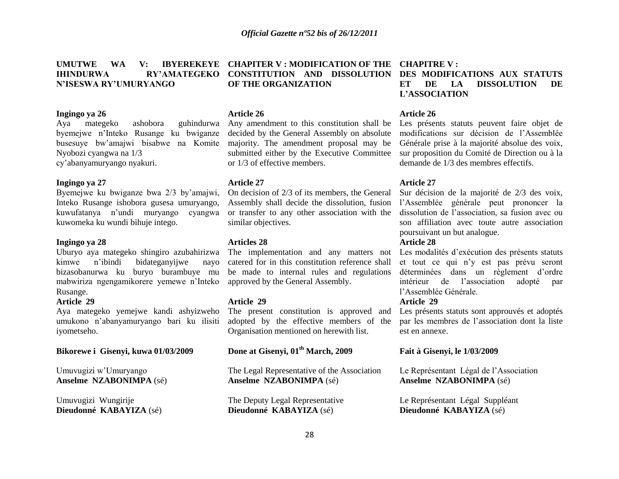#### **UMUTWE WA V: IHINDURWA RY'AMATEGEKO N'ISESWA RY'UMURYANGO CHAPITER V : MODIFICATION OF THE CHAPITRE V : CONSTITUTION AND DISSOLUTION OF THE ORGANIZATION**

#### **Ingingo ya 26**

Aya mategeko ashobora guhindurwa byemejwe n"Inteko Rusange ku bwiganze busesuye bw"amajwi bisabwe na Komite Nyobozi cyangwa na 1/3 cy"abanyamuryango nyakuri.

#### **Ingingo ya 27**

Byemejwe ku bwiganze bwa 2/3 by"amajwi, Inteko Rusange ishobora gusesa umuryango, kuwufatanya n"undi muryango cyangwa kuwomeka ku wundi bihuje intego.

## **Ingingo ya 28**

Uburyo aya mategeko shingiro azubahirizwa kimwe n"ibindi bidateganyijwe nayo bizasobanurwa ku buryo burambuye mu mabwiriza ngengamikorere yemewe n"Inteko Rusange.

## **Article 29**

Aya mategeko yemejwe kandi ashyizweho umukono n"abanyamuryango bari ku ilisiti iyometseho.

## **Bikorewe i Gisenyi, kuwa 01/03/2009**

Umuvugizi w"Umuryango **Anselme NZABONIMPA** (sé)

Umuvugizi Wungirije **Dieudonné KABAYIZA** (sé)

## **Article 26**

Any amendment to this constitution shall be decided by the General Assembly on absolute majority. The amendment proposal may be submitted either by the Executive Committee or 1/3 of effective members.

#### **Article 27**

On decision of 2/3 of its members, the General Assembly shall decide the dissolution, fusion or transfer to any other association with the similar objectives.

#### **Articles 28**

catered for in this constitution reference shall be made to internal rules and regulations approved by the General Assembly.

## **Article 29**

The present constitution is approved and adopted by the effective members of the Organisation mentioned on herewith list.

## **Done at Gisenyi, 01th March, 2009**

The Legal Representative of the Association **Anselme NZABONIMPA** (sé)

The Deputy Legal Representative **Dieudonné KABAYIZA** (sé)

## **DES MODIFICATIONS AUX STATUTS ET DE LA DISSOLUTION DE L'ASSOCIATION**

## **Article 26**

Les présents statuts peuvent faire objet de modifications sur décision de l"Assemblée Générale prise à la majorité absolue des voix, sur proposition du Comité de Direction ou à la demande de 1/3 des membres effectifs.

## **Article 27**

Sur décision de la majorité de 2/3 des voix, l"Assemblée générale peut prononcer la dissolution de l"association, sa fusion avec ou son affiliation avec toute autre association poursuivant un but analogue.

## **Article 28**

The implementation and any matters not Les modalités d'exécution des présents statuts et tout ce qui n"y est pas prévu seront déterminées dans un règlement d'ordre intérieur de l"association adopté par l"Assemblée Générale.

## **Article 29**

Les présents statuts sont approuvés et adoptés par les membres de l"association dont la liste est en annexe.

## **Fait à Gisenyi, le 1/03/2009**

Le Représentant Légal de l"Association **Anselme NZABONIMPA** (sé)

Le Représentant Légal Suppléant **Dieudonné KABAYIZA** (sé)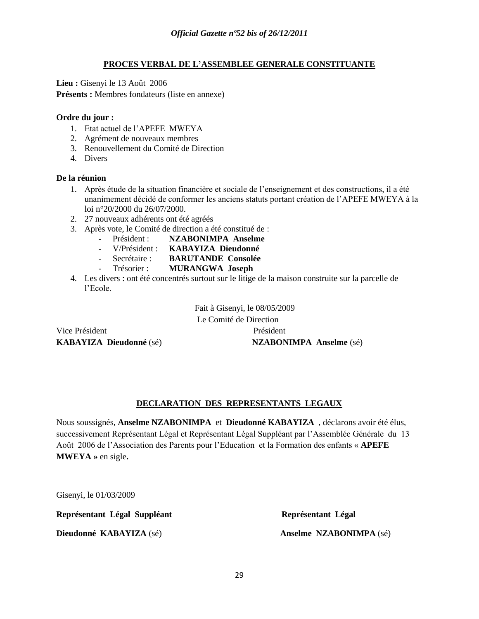## **PROCES VERBAL DE L'ASSEMBLEE GENERALE CONSTITUANTE**

**Lieu :** Gisenyi le 13 Août 2006 **Présents :** Membres fondateurs (liste en annexe)

## **Ordre du jour :**

- 1. Etat actuel de l"APEFE MWEYA
- 2. Agrément de nouveaux membres
- 3. Renouvellement du Comité de Direction
- 4. Divers

## **De la réunion**

- 1. Après étude de la situation financière et sociale de l"enseignement et des constructions, il a été unanimement décidé de conformer les anciens statuts portant création de l"APEFE MWEYA à la loi n°20/2000 du 26/07/2000.
- 2. 27 nouveaux adhérents ont été agréés
- 3. Après vote, le Comité de direction a été constitué de :
	- Président : **NZABONIMPA Anselme**
	- V/Président : **KABAYIZA Dieudonné**
	- Secrétaire : **BARUTANDE Consolée**
	- Trésorier : **MURANGWA Joseph**
- 4. Les divers : ont été concentrés surtout sur le litige de la maison construite sur la parcelle de l"Ecole.

Vice Président Président

Fait à Gisenyi, le 08/05/2009 Le Comité de Direction **KABAYIZA Dieudonné** (sé) **NZABONIMPA Anselme** (sé)

## **DECLARATION DES REPRESENTANTS LEGAUX**

Nous soussignés, **Anselme NZABONIMPA** et **Dieudonné KABAYIZA** , déclarons avoir été élus, successivement Représentant Légal et Représentant Légal Suppléant par l"Assemblée Générale du 13 Août 2006 de l"Association des Parents pour l"Education et la Formation des enfants « **APEFE MWEYA »** en sigle**.**

Gisenyi, le 01/03/2009

**Représentant Légal Suppléant Représentant Légal**

**Dieudonné KABAYIZA** (sé) **Anselme NZABONIMPA** (sé)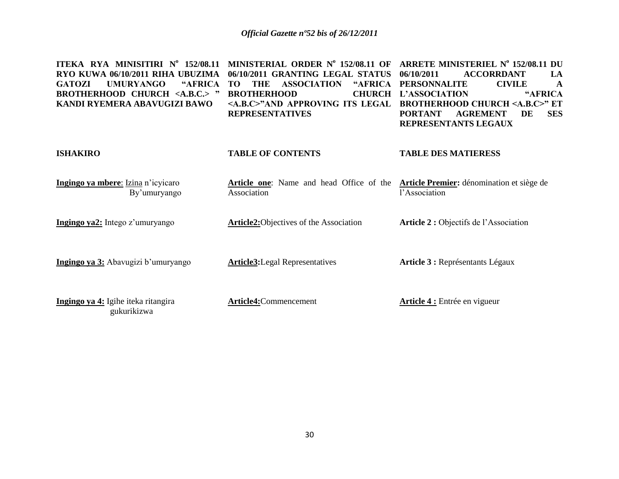| ITEKA RYA MINISITIRI Nº 152/08.11<br>RYO KUWA 06/10/2011 RIHA UBUZIMA<br><b>GATOZI</b><br><b>UMURYANGO</b><br>"AFRICA<br><b>BROTHERHOOD CHURCH <a.b.c.> "</a.b.c.></b><br>KANDI RYEMERA ABAVUGIZI BAWO | MINISTERIAL ORDER $N^{\circ}$ 152/08.11 OF<br>06/10/2011 GRANTING LEGAL STATUS<br><b>THE</b><br><b>ASSOCIATION</b><br>"AFRICA<br>TО<br><b>BROTHERHOOD</b><br><b>CHURCH</b><br><a.b.c>"AND APPROVING ITS LEGAL<br/><b>REPRESENTATIVES</b></a.b.c> | ARRETE MINISTERIEL Nº 152/08.11 DU<br><b>ACCORRDANT</b><br>06/10/2011<br>LA<br><b>PERSONNALITE</b><br><b>CIVILE</b><br>A<br>"AFRICA<br>L'ASSOCIATION<br><b>BROTHERHOOD CHURCH <a.b.c>" ET</a.b.c></b><br><b>AGREMENT</b><br>DE<br><b>SES</b><br><b>PORTANT</b><br>REPRESENTANTS LEGAUX |
|--------------------------------------------------------------------------------------------------------------------------------------------------------------------------------------------------------|--------------------------------------------------------------------------------------------------------------------------------------------------------------------------------------------------------------------------------------------------|----------------------------------------------------------------------------------------------------------------------------------------------------------------------------------------------------------------------------------------------------------------------------------------|
| <b>ISHAKIRO</b>                                                                                                                                                                                        | <b>TABLE OF CONTENTS</b>                                                                                                                                                                                                                         | <b>TABLE DES MATIERESS</b>                                                                                                                                                                                                                                                             |
| Ingingo ya mbere: Izina n'icyicaro<br>By'umuryango                                                                                                                                                     | Article one: Name and head Office of the<br>Association                                                                                                                                                                                          | Article Premier: dénomination et siège de<br>l'Association                                                                                                                                                                                                                             |
| Ingingo ya2: Intego z'umuryango                                                                                                                                                                        | <b>Article2:</b> Objectives of the Association                                                                                                                                                                                                   | Article 2 : Objectifs de l'Association                                                                                                                                                                                                                                                 |
| Ingingo ya 3: Abavugizi b'umuryango                                                                                                                                                                    | <b>Article3:</b> Legal Representatives                                                                                                                                                                                                           | Article 3 : Représentants Légaux                                                                                                                                                                                                                                                       |
| Ingingo ya 4: Igihe iteka ritangira<br>gukurikizwa                                                                                                                                                     | Article4:Commencement                                                                                                                                                                                                                            | <b>Article 4 :</b> Entrée en vigueur                                                                                                                                                                                                                                                   |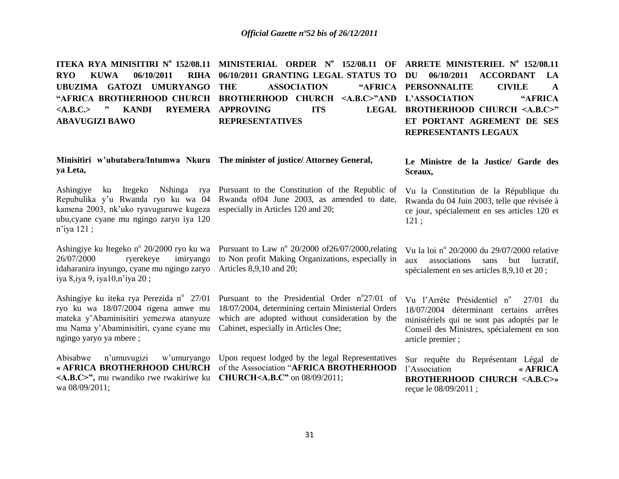**ITEKA RYA MINISITIRI Nº 152/08.11 MINISTERIAL ORDER Nº 152/08.11 OF ARRETE MINISTERIEL Nº 152/08.11 RYO KUWA 06/10/2011 UBUZIMA GATOZI UMURYANGO "AFRICA BROTHERHOOD CHURCH BROTHERHOOD CHURCH <A.B.C>"AND L'ASSOCIATION "AFRICA**   $\langle A.B.C. \rangle$  **\* KANDI ABAVUGIZI BAWO 06/10/2011 GRANTING LEGAL STATUS TO DU 06/10/2011 ACCORDANT LA ASSOCIATION RYEMERA APPROVING ITS REPRESENTATIVES PERSONNALITE CIVILE A**  LEGAL BROTHERHOOD CHURCH <A,B,C>" **ET PORTANT AGREMENT DE SES REPRESENTANTS LEGAUX**

## **Minisitiri w'ubutabera/Intumwa Nkuru The minister of justice/ Attorney General, ya Leta,**

Ashingiye ku Itegeko Nshinga rya Pursuant to the Constitution of the Republic of kamena 2003, nk"uko ryavuguruwe kugeza especially in Articles 120 and 20; ubu,cyane cyane mu ngingo zaryo iya 120 n"iya 121 ;

idaharanira inyungo, cyane mu ngingo zaryo Articles 8,9,10 and 20; iya 8,iya 9, iya10,n"iya 20 ;

ryo ku wa 18/07/2004 rigena amwe mu mu Nama y"Abaminisitiri, cyane cyane mu Cabinet, especially in Articles One; ngingo yaryo ya mbere ;

Abisabwe n"umuvugizi w"umuryango Upon request lodged by the legal Representatives **<A.B.C>",** mu rwandiko rwe rwakiriwe ku **CHURCH<A.B.C"** on 08/09/2011; wa 08/09/2011;

Repubulika y'u Rwanda ryo ku wa 04 Rwanda of 04 June 2003, as amended to date,

Ashingiye ku Itegeko nº 20/2000 ryo ku wa Pursuant to Law nº 20/2000 of 26/07/2000, relating 26/07/2000 ryerekeye imiryango to Non profit Making Organizations, especially in

Ashingiye ku iteka rya Perezida n<sup>o</sup> 27/01 Pursuant to the Presidential Order n<sup>o</sup>27/01 of mateka y"Abaminisitiri yemezwa atanyuze which are adopted without consideration by the 18/07/2004, determining certain Ministerial Orders

**« AFRICA BROTHERHOOD CHURCH** of the Asssociation "**AFRICA BROTHERHOOD** 

**Le Ministre de la Justice/ Garde des Sceaux,**

Vu la Constitution de la République du Rwanda du 04 Juin 2003, telle que révisée à ce jour, spécialement en ses articles 120 et 121 ;

Vu la loi nº 20/2000 du 29/07/2000 relative aux associations sans but lucratif, spécialement en ses articles 8,9,10 et 20 ;

Vu l'Arrête Présidentiel n° 27/01 du 18/07/2004 déterminant certains arrêtes ministériels qui ne sont pas adoptés par le Conseil des Ministres, spécialement en son article premier ;

Sur requête du Représentant Légal de l"Association **« AFRICA BROTHERHOOD CHURCH <A.B.C>»** reçue le 08/09/2011 ;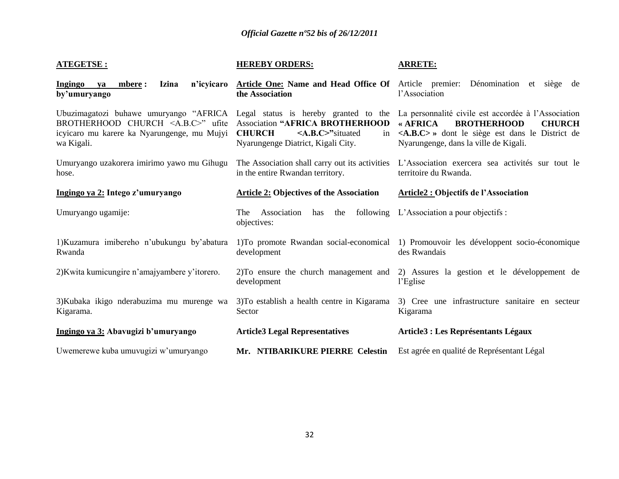| <b>ATEGETSE:</b>                                                                                                | <b>HEREBY ORDERS:</b>                                                                                                         | <b>ARRETE:</b>                                                                                                                                                                                                                                                                           |
|-----------------------------------------------------------------------------------------------------------------|-------------------------------------------------------------------------------------------------------------------------------|------------------------------------------------------------------------------------------------------------------------------------------------------------------------------------------------------------------------------------------------------------------------------------------|
| <b>Izina</b><br>n'icyicaro<br><b>Ingingo</b><br>mbere :<br>va<br>by'umuryango                                   | Article One: Name and Head Office Of Article premier: Dénomination et<br>the Association                                      | siège<br>de<br>l'Association                                                                                                                                                                                                                                                             |
| BROTHERHOOD CHURCH $\langle A.B.C.\rangle$ " ufite<br>icyicaro mu karere ka Nyarungenge, mu Mujyi<br>wa Kigali. | <b>Association "AFRICA BROTHERHOOD</b><br><b>CHURCH</b><br>$\leq$ A.B.C>"situated<br>in<br>Nyarungenge Diatrict, Kigali City. | Ubuzimagatozi buhawe umuryango "AFRICA Legal status is hereby granted to the La personnalité civile est accordée à l'Association<br>« AFRICA<br><b>BROTHERHOOD</b><br><b>CHURCH</b><br><a.b.c> » dont le siège est dans le District de<br/>Nyarungenge, dans la ville de Kigali.</a.b.c> |
| Umuryango uzakorera imirimo yawo mu Gihugu<br>hose.                                                             | The Association shall carry out its activities<br>in the entire Rwandan territory.                                            | L'Association exercera sea activités sur tout le<br>territoire du Rwanda.                                                                                                                                                                                                                |
| Ingingo ya 2: Intego z'umuryango                                                                                | <b>Article 2: Objectives of the Association</b>                                                                               | Article2 : Objectifs de l'Association                                                                                                                                                                                                                                                    |
| Umuryango ugamije:                                                                                              | The Association<br>the<br>has<br>objectives:                                                                                  | following L'Association a pour objectifs :                                                                                                                                                                                                                                               |
| 1) Kuzamura imibereho n'ubukungu by'abatura<br>Rwanda                                                           | development                                                                                                                   | 1) To promote Rwandan social-economical 1) Promouvoir les développent socio-économique<br>des Rwandais                                                                                                                                                                                   |
| 2) Kwita kumicungire n'amajyambere y'itorero.                                                                   | 2) To ensure the church management and<br>development                                                                         | 2) Assures la gestion et le développement de<br>l'Eglise                                                                                                                                                                                                                                 |
| 3) Kubaka ikigo nderabuzima mu murenge wa<br>Kigarama.                                                          | 3) To establish a health centre in Kigarama<br>Sector                                                                         | 3) Cree une infrastructure sanitaire en secteur<br>Kigarama                                                                                                                                                                                                                              |
| Ingingo ya 3: Abavugizi b'umuryango                                                                             | <b>Article3 Legal Representatives</b>                                                                                         | <b>Article3 : Les Représentants Légaux</b>                                                                                                                                                                                                                                               |
| Uwemerewe kuba umuvugizi w'umuryango                                                                            | Mr. NTIBARIKURE PIERRE Celestin                                                                                               | Est agrée en qualité de Représentant Légal                                                                                                                                                                                                                                               |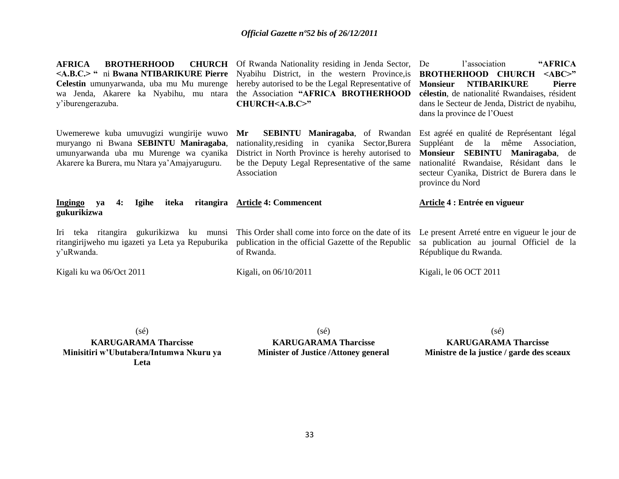**AFRICA BROTHERHOOD Celestin** umunyarwanda, uba mu Mu murenge wa Jenda, Akarere ka Nyabihu, mu ntara y"iburengerazuba.

Uwemerewe kuba umuvugizi wungirije wuwo muryango ni Bwana **SEBINTU Maniragaba**, umunyarwanda uba mu Murenge wa cyanika Akarere ka Burera, mu Ntara ya"Amajyaruguru.

**Ingingo ya 4: Igihe iteka ritangira Article 4: Commencent gukurikizwa**

y"uRwanda.

Kigali ku wa 06/Oct 2011

**<A.B.C.> "** ni **Bwana NTIBARIKURE Pierre**  Nyabihu District, in the western Province,is **CHURCH** Of Rwanda Nationality residing in Jenda Sector, De hereby autorised to be the Legal Representative of the Association **"AFRICA BROTHERHOOD CHURCH<A.B.C>"**

> **Mr SEBINTU Maniragaba**, of Rwandan nationality,residing in cyanika Sector,Burera District in North Province is herehy autorised to be the Deputy Legal Representative of the same Association

l'association 
"AFRICA **BROTHERHOOD CHURCH <ABC>" Monsieur NTIBARIKURE Pierre célestin**, de nationalité Rwandaises, résident dans le Secteur de Jenda, District de nyabihu, dans la province de l"Ouest

Est agréé en qualité de Représentant légal Suppléant de la même Association, **Monsieur SEBINTU Maniragaba**, de nationalité Rwandaise, Résidant dans le secteur Cyanika, District de Burera dans le province du Nord

#### Iri teka ritangira gukurikizwa ku munsi ritangirijweho mu igazeti ya Leta ya Repuburika This Order shall come into force on the date of its publication in the official Gazette of the Republic of Rwanda. **Article 4 : Entrée en vigueur** Le present Arreté entre en vigueur le jour de sa publication au journal Officiel de la République du Rwanda.

Kigali, on 06/10/2011

(sé)

Kigali, le 06 OCT 2011

**KARUGARAMA Tharcisse Ministre de la justice / garde des sceaux**

(sé)

**KARUGARAMA Tharcisse Minisitiri w'Ubutabera/Intumwa Nkuru ya Leta**

**KARUGARAMA Tharcisse Minister of Justice /Attoney general**

(sé)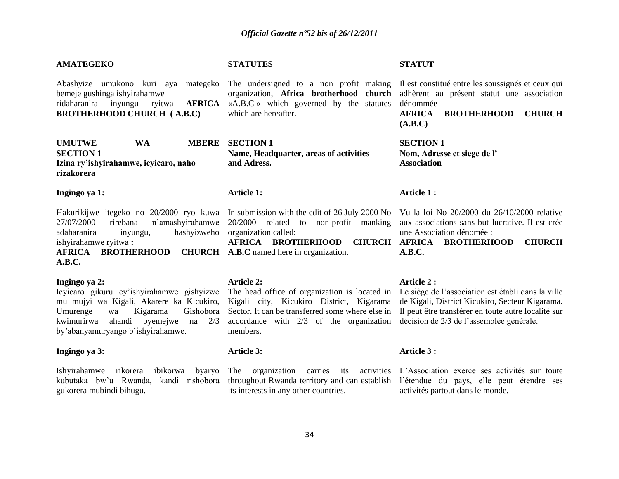## **AMATEGEKO**

Abashyize umukono kuri aya mategeko The undersigned to a non profit making Il est constitué entre les soussignés et ceux qui bemeje gushinga ishyirahamwe ridaharanira inyungu ryitwa **AFRICA**  «A.B.C » which governed by the statutes dénommée **BROTHERHOOD CHURCH ( A.B.C)** 

UMUTWE WA **SECTION 1 Izina ry'ishyirahamwe, icyicaro, naho rizakorera** 

## **Ingingo ya 1:**

Hakurikijwe itegeko no 20/2000 ryo kuwa In submission with the edit of 26 July 2000 No Vu la loi No 20/2000 du 26/10/2000 relative 27/07/2000 rirebana n"amashyirahamwe adaharanira inyungu, hashyizweho ishyirahamwe ryitwa **:** 

## **AFRICA BROTHERHOOD CHURCH A.B.C** named here in organization. **A.B.C.**

## **Ingingo ya 2:**

Icyicaro gikuru cy"ishyirahamwe gishyizwe The head office of organization is located in Le siège de l"association est établi dans la ville mu mujyi wa Kigali, Akarere ka Kicukiro, kwimurirwa ahandi byemejwe na 2/3 by"abanyamuryango b"ishyirahamwe.

## **Ingingo ya 3:**

kubutaka bw"u Rwanda, kandi rishobora gukorera mubindi bihugu.

## **STATUTES**

which are hereafter.

**MBERE SECTION 1 Name, Headquarter, areas of activities and Adress.** 

## **Article 1:**

20/2000 related to non-profit manking organization called:

#### **Article 2:**

Kigali city, Kicukiro District, Kigarama accordance with 2/3 of the organization décision de 2/3 de l"assemblée générale. members.

## **Article 3:**

its interests in any other countries.

## **STATUT**

organization, **Africa brotherhood church**  adhèrent au présent statut une association

**AFRICA BROTHERHOOD CHURCH (A.B.C)**

**SECTION 1 Nom, Adresse et siege de l' Association**

## **Article 1 :**

aux associations sans but lucrative. Il est crée une Association dénomée :

**AFRICA BROTHERHOOD CHURCH AFRICA BROTHERHOOD CHURCH A.B.C.**

## **Article 2 :**

Umurenge wa Kigarama Gishobora Sector. It can be transferred some where else in Il peut être transférer en toute autre localité sur de Kigali, District Kicukiro, Secteur Kigarama.

#### **Article 3 :**

Ishyirahamwe rikorera ibikorwa byaryo The organization carries its activities L'Association exerce ses activités sur toute throughout Rwanda territory and can establish l"étendue du pays, elle peut étendre ses activités partout dans le monde.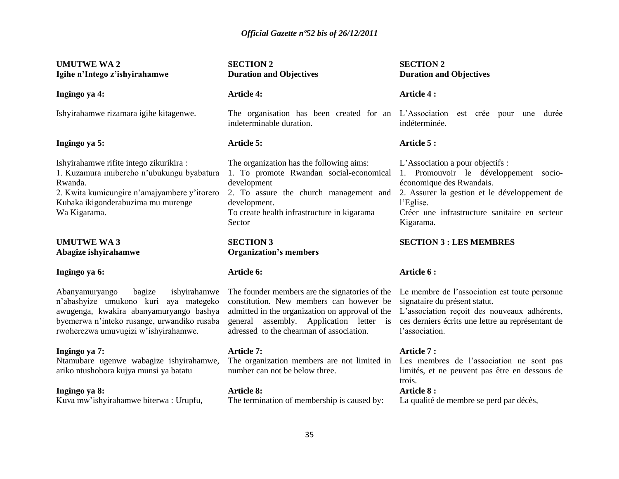| <b>UMUTWE WA2</b><br>Igihe n'Intego z'ishyirahamwe                                                                                                                                                                  | <b>SECTION 2</b><br><b>Duration and Objectives</b>                                                                                                                                                                                   | <b>SECTION 2</b><br><b>Duration and Objectives</b>                                                                                                                                                                               |  |
|---------------------------------------------------------------------------------------------------------------------------------------------------------------------------------------------------------------------|--------------------------------------------------------------------------------------------------------------------------------------------------------------------------------------------------------------------------------------|----------------------------------------------------------------------------------------------------------------------------------------------------------------------------------------------------------------------------------|--|
| Ingingo ya 4:                                                                                                                                                                                                       | <b>Article 4:</b>                                                                                                                                                                                                                    | <b>Article 4:</b>                                                                                                                                                                                                                |  |
| Ishyirahamwe rizamara igihe kitagenwe.                                                                                                                                                                              | The organisation has been created for an L'Association est crée pour une durée<br>indeterminable duration.                                                                                                                           | indéterminée.                                                                                                                                                                                                                    |  |
| Ingingo ya 5:                                                                                                                                                                                                       | Article 5:                                                                                                                                                                                                                           | Article 5:                                                                                                                                                                                                                       |  |
| Ishyirahamwe rifite intego zikurikira :<br>1. Kuzamura imibereho n'ubukungu byabatura<br>Rwanda.<br>2. Kwita kumicungire n'amajyambere y'itorero<br>Kubaka ikigonderabuzima mu murenge<br>Wa Kigarama.              | The organization has the following aims:<br>1. To promote Rwandan social-economical<br>development<br>2. To assure the church management and<br>development.<br>To create health infrastructure in kigarama<br>Sector                | L'Association a pour objectifs :<br>1. Promouvoir le développement socio-<br>économique des Rwandais.<br>2. Assurer la gestion et le développement de<br>l'Eglise.<br>Créer une infrastructure sanitaire en secteur<br>Kigarama. |  |
| <b>UMUTWE WA3</b><br>Abagize ishyirahamwe                                                                                                                                                                           | <b>SECTION 3</b><br><b>Organization's members</b>                                                                                                                                                                                    | <b>SECTION 3 : LES MEMBRES</b>                                                                                                                                                                                                   |  |
| Ingingo ya 6:                                                                                                                                                                                                       | Article 6:                                                                                                                                                                                                                           | Article 6:                                                                                                                                                                                                                       |  |
| bagize<br>ishyirahamwe<br>Abanyamuryango<br>n'abashyize umukono kuri aya mategeko<br>awugenga, kwakira abanyamuryango bashya<br>byemerwa n'inteko rusange, urwandiko rusaba<br>rwoherezwa umuvugizi w'ishyirahamwe. | The founder members are the signatories of the<br>constitution. New members can however be<br>admitted in the organization on approval of the<br>general assembly. Application letter is<br>adressed to the chearman of association. | Le membre de l'association est toute personne<br>signataire du présent statut.<br>L'association reçoit des nouveaux adhérents,<br>ces derniers écrits une lettre au représentant de<br>l'association.                            |  |
| Ingingo ya 7:<br>Ntamubare ugenwe wabagize ishyirahamwe,<br>ariko ntushobora kujya munsi ya batatu                                                                                                                  | Article 7:<br>The organization members are not limited in Les membres de l'association ne sont pas<br>number can not be below three.                                                                                                 | Article 7:<br>limités, et ne peuvent pas être en dessous de<br>trois.                                                                                                                                                            |  |
| Ingingo ya 8:<br>Kuva mw'ishyirahamwe biterwa: Urupfu,                                                                                                                                                              | <b>Article 8:</b><br>The termination of membership is caused by:                                                                                                                                                                     | <b>Article 8:</b><br>La qualité de membre se perd par décès,                                                                                                                                                                     |  |
| 35                                                                                                                                                                                                                  |                                                                                                                                                                                                                                      |                                                                                                                                                                                                                                  |  |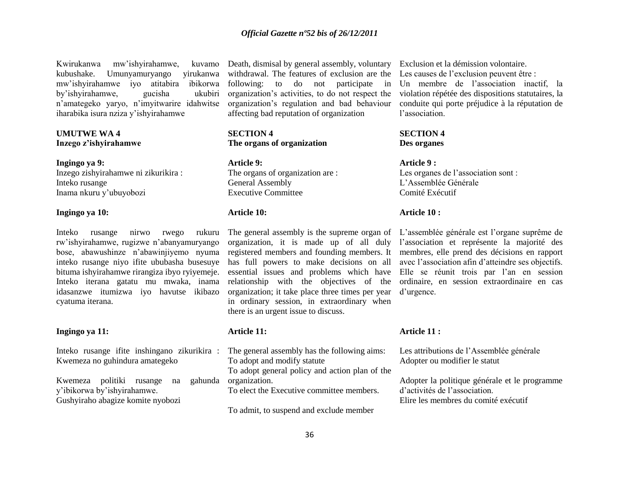Kwirukanwa mw"ishyirahamwe, kuvamo kubushake. Umunyamuryango yirukanwa mw"ishyirahamwe iyo atitabira ibikorwa by"ishyirahamwe, gucisha ukubiri n"amategeko yaryo, n"imyitwarire idahwitse iharabika isura nziza y"ishyirahamwe

## **UMUTWE WA 4 Inzego z'ishyirahamwe**

**Ingingo ya 9:** Inzego zishyirahamwe ni zikurikira : Inteko rusange Inama nkuru y"ubuyobozi

## **Ingingo ya 10:**

Inteko rusange nirwo rwego rukuru rw"ishyirahamwe, rugizwe n"abanyamuryango bose, abawushinze n"abawinjiyemo nyuma inteko rusange niyo ifite ububasha busesuye bituma ishyirahamwe rirangiza ibyo ryiyemeje. Inteko iterana gatatu mu mwaka, inama idasanzwe itumizwa iyo havutse ikibazo cyatuma iterana.

## **Ingingo ya 11:**

Inteko rusange ifite inshingano zikurikira : Kwemeza no guhindura amategeko

Kwemeza politiki rusange na y"ibikorwa by"ishyirahamwe. Gushyiraho abagize komite nyobozi

Death, dismisal by general assembly, voluntary Exclusion et la démission volontaire. withdrawal. The features of exclusion are the Les causes de l'exclusion peuvent être : following: to do not participate in organization"s regulation and bad behaviour affecting bad reputation of organization

## **SECTION 4 The organs of organization**

**Article 9:** The organs of organization are : General Assembly Executive Committee

#### **Article 10:**

organization; it take place three times per year d'urgence. in ordinary session, in extraordinary when there is an urgent issue to discuss.

## **Article 11:**

The general assembly has the following aims: To adopt and modify statute To adopt general policy and action plan of the gahunda organization. To elect the Executive committee members.

To admit, to suspend and exclude member

organization's activities, to do not respect the violation répétée des dispositions statutaires, la Un membre de l"association inactif, la conduite qui porte préjudice à la réputation de l"association.

## **SECTION 4 Des organes**

**Article 9 :** Les organes de l'association sont : L"Assemblée Générale Comité Exécutif

## **Article 10 :**

The general assembly is the supreme organ of L'assemblée générale est l'organe suprême de organization, it is made up of all duly l"association et représente la majorité des registered members and founding members. It membres, elle prend des décisions en rapport has full powers to make decisions on all avec l'association afin d'atteindre ses objectifs. essential issues and problems which have Elle se réunit trois par l"an en session relationship with the objectives of the ordinaire, en session extraordinaire en cas

## **Article 11 :**

Les attributions de l"Assemblée générale Adopter ou modifier le statut

Adopter la politique générale et le programme d"activités de l"association. Elire les membres du comité exécutif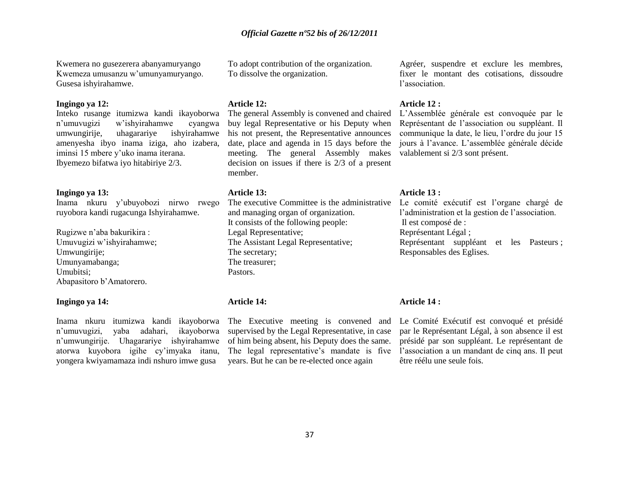Kwemera no gusezerera abanyamuryango Kwemeza umusanzu w"umunyamuryango. Gusesa ishyirahamwe.

#### **Ingingo ya 12:**

Inteko rusange itumizwa kandi ikayoborwa n"umuvugizi w"ishyirahamwe cyangwa umwungirije, uhagarariye ishyirahamwe amenyesha ibyo inama iziga, aho izabera, iminsi 15 mbere y"uko inama iterana. Ibyemezo bifatwa iyo hitabiriye 2/3.

#### **Ingingo ya 13:**

Inama nkuru y"ubuyobozi nirwo rwego ruyobora kandi rugacunga Ishyirahamwe.

Rugizwe n"aba bakurikira : Umuvugizi w"ishyirahamwe; Umwungirije; Umunyamabanga; Umubitsi; Abapasitoro b"Amatorero.

### **Ingingo ya 14:**

Inama nkuru itumizwa kandi ikayoborwa n"umuvugizi, yaba adahari, ikayoborwa n"umwungirije. Uhagarariye ishyirahamwe atorwa kuyobora igihe cy"imyaka itanu, yongera kwiyamamaza indi nshuro imwe gusa

To adopt contribution of the organization. To dissolve the organization.

#### **Article 12:**

The general Assembly is convened and chaired buy legal Representative or his Deputy when his not present, the Representative announces date, place and agenda in 15 days before the meeting. The general Assembly makes valablement si 2/3 sont présent. decision on issues if there is 2/3 of a present member.

#### **Article 13:**

and managing organ of organization. It consists of the following people: Legal Representative; The Assistant Legal Representative; The secretary; The treasurer; Pastors.

#### **Article 14:**

The Executive meeting is convened and supervised by the Legal Representative, in case of him being absent, his Deputy does the same. years. But he can be re-elected once again

Agréer, suspendre et exclure les membres, fixer le montant des cotisations, dissoudre l"association.

#### **Article 12 :**

L"Assemblée générale est convoquée par le Représentant de l"association ou suppléant. Il communique la date, le lieu, l"ordre du jour 15 jours à l"avance. L"assemblée générale décide

#### **Article 13 :**

The executive Committee is the administrative Le comité exécutif est l'organe chargé de l"administration et la gestion de l"association. Il est composé de : Représentant Légal ; Représentant suppléant et les Pasteurs ; Responsables des Eglises.

#### **Article 14 :**

The legal representative's mandate is five l'association a un mandant de cinq ans. Il peut Le Comité Exécutif est convoqué et présidé par le Représentant Légal, à son absence il est présidé par son suppléant. Le représentant de être réélu une seule fois.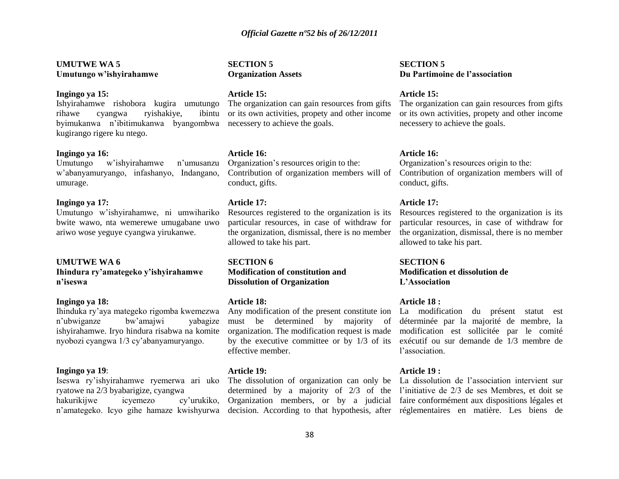#### **UMUTWE WA 5 Umutungo w'ishyirahamwe**

#### **Ingingo ya 15:**

Ishyirahamwe rishobora kugira umutungo rihawe cyangwa ryishakiye, byimukanwa n"ibitimukanwa byangombwa necessery to achieve the goals. kugirango rigere ku ntego.

#### **Ingingo ya 16:**

Umutungo w"ishyirahamwe n"umusanzu w"abanyamuryango, infashanyo, Indangano, umurage.

#### **Ingingo ya 17:**

Umutungo w"ishyirahamwe, ni umwihariko bwite wawo, nta wemerewe umugabane uwo ariwo wose yeguye cyangwa yirukanwe.

#### **UMUTWE WA 6**

**Ihindura ry'amategeko y'ishyirahamwe n'iseswa** 

#### **Ingingo ya 18:**

Ihinduka ry"aya mategeko rigomba kwemezwa n"ubwiganze bw"amajwi yabagize ishyirahamwe. Iryo hindura risabwa na komite nyobozi cyangwa 1/3 cy"abanyamuryango.

#### **Ingingo ya 19**:

Iseswa ry"ishyirahamwe ryemerwa ari uko ryatowe na 2/3 byabarigize, cyangwa hakurikijwe icyemezo cy"urukiko, n"amategeko. Icyo gihe hamaze kwishyurwa

#### **SECTION 5 Organization Assets**

#### **Article 15:**

The organization can gain resources from gifts ibintu or its own activities, propety and other income

#### **Article 16:**

Organization"s resources origin to the: Contribution of organization members will of conduct, gifts.

#### **Article 17:**

Resources registered to the organization is its particular resources, in case of withdraw for the organization, dismissal, there is no member allowed to take his part.

**SECTION 6 Modification of constitution and Dissolution of Organization** 

#### **Article 18:**

Any modification of the present constitute ion must be determined by majority of organization. The modification request is made effective member.

#### **Article 19:**

The dissolution of organization can only be La dissolution de l"association intervient sur

#### **SECTION 5 Du Partimoine de l'association**

#### **Article 15:**

The organization can gain resources from gifts or its own activities, propety and other income necessery to achieve the goals.

#### **Article 16:**

Organization"s resources origin to the: Contribution of organization members will of conduct, gifts.

#### **Article 17:**

Resources registered to the organization is its particular resources, in case of withdraw for the organization, dismissal, there is no member allowed to take his part.

**SECTION 6 Modification et dissolution de L'Association**

#### **Article 18 :**

by the executive committee or by 1/3 of its exécutif ou sur demande de 1/3 membre de La modification du présent statut est déterminée par la majorité de membre, la modification est sollicitée par le comité l"association.

#### **Article 19 :**

determined by a majority of 2/3 of the l"initiative de 2/3 de ses Membres, et doit se Organization members, or by a judicial faire conformément aux dispositions légales et decision. According to that hypothesis, after réglementaires en matière. Les biens de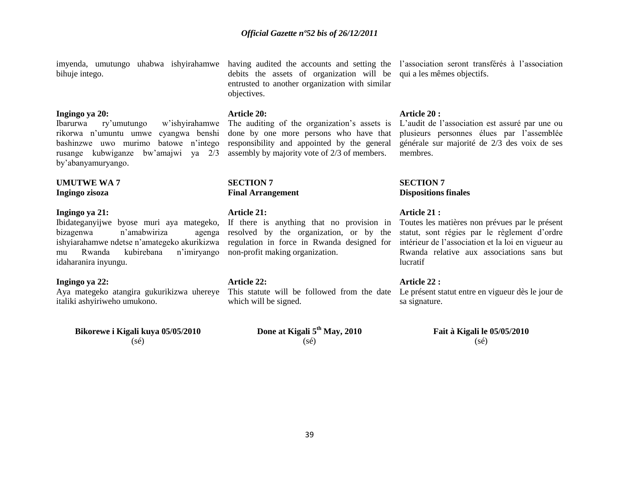bihuje intego.

#### **Ingingo ya 20:**

rikorwa n"umuntu umwe cyangwa benshi done by one more persons who have that rusange kubwiganze bw"amajwi ya 2/3 assembly by majority vote of 2/3 of members. by"abanyamuryango.

#### **UMUTWE WA 7 Ingingo zisoza**

#### **Ingingo ya 21:**

Ibidateganyijwe byose muri aya mategeko, If there is anything that no provision in bizagenwa n"amabwiriza agenga ishyiarahamwe ndetse n"amategeko akurikizwa mu Rwanda kubirebana n"imiryango idaharanira inyungu.

#### **Ingingo ya 22:**

italiki ashyiriweho umukono.

## **Bikorewe i Kigali kuya 05/05/2010** (sé)

debits the assets of organization will be qui a les mêmes objectifs. entrusted to another organization with similar objectives.

#### **Article 20:**

Ibarurwa ry'umutungo w'ishyirahamwe The auditing of the organization's assets is L'audit de l'association est assuré par une ou

#### **SECTION 7 Final Arrangement**

#### **Article 21:**

resolved by the organization, or by the non-profit making organization.

#### **Article 22:**

Aya mategeko atangira gukurikizwa uhereye This statute will be followed from the date Le présent statut entre en vigueur dès le jour de which will be signed.

> **Done at Kigali 5th May, 2010** (sé)

imyenda, umutungo uhabwa ishyirahamwe having audited the accounts and setting the l'association seront transférés à l'association

#### **Article 20 :**

bashinzwe uwo murimo batowe n'intego responsibility and appointed by the general générale sur majorité de 2/3 des voix de ses plusieurs personnes élues par l"assemblée membres.

#### **SECTION 7 Dispositions finales**

#### **Article 21 :**

regulation in force in Rwanda designed for intérieur de l'association et la loi en vigueur au Toutes les matières non prévues par le présent statut, sont régies par le règlement d"ordre Rwanda relative aux associations sans but lucratif

### **Article 22 :**

sa signature.

**Fait à Kigali le 05/05/2010** (sé)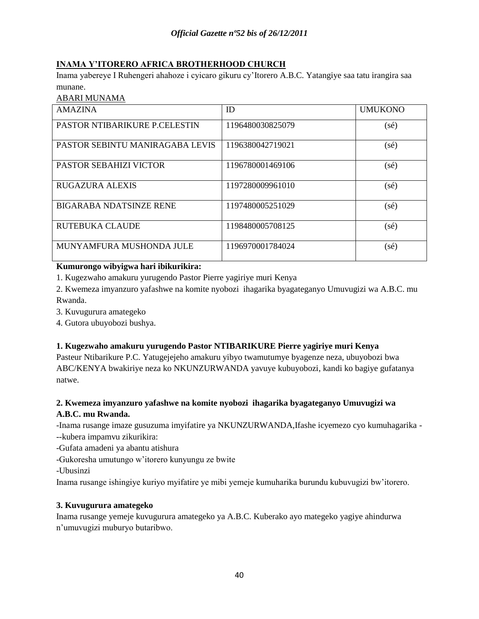# **INAMA Y'ITORERO AFRICA BROTHERHOOD CHURCH**

Inama yabereye I Ruhengeri ahahoze i cyicaro gikuru cy"Itorero A.B.C. Yatangiye saa tatu irangira saa munane.

## ABARI MUNAMA

| <b>AMAZINA</b>                       | ID               | <b>UMUKONO</b> |
|--------------------------------------|------------------|----------------|
| <b>PASTOR NTIBARIKURE P.CELESTIN</b> | 1196480030825079 | $(s\acute{e})$ |
| PASTOR SEBINTU MANIRAGABA LEVIS      | 1196380042719021 | (sé)           |
| <b>PASTOR SEBAHIZI VICTOR</b>        | 1196780001469106 | (sé)           |
| <b>RUGAZURA ALEXIS</b>               | 1197280009961010 | $(s\acute{e})$ |
| <b>BIGARABA NDATSINZE RENE</b>       | 1197480005251029 | (sé)           |
| RUTEBUKA CLAUDE                      | 1198480005708125 | $(s\acute{e})$ |
| MUNYAMFURA MUSHONDA JULE             | 1196970001784024 | $(s\acute{e})$ |

## **Kumurongo wibyigwa hari ibikurikira:**

1. Kugezwaho amakuru yurugendo Pastor Pierre yagiriye muri Kenya

2. Kwemeza imyanzuro yafashwe na komite nyobozi ihagarika byagateganyo Umuvugizi wa A.B.C. mu Rwanda.

3. Kuvugurura amategeko

4. Gutora ubuyobozi bushya.

## **1. Kugezwaho amakuru yurugendo Pastor NTIBARIKURE Pierre yagiriye muri Kenya**

Pasteur Ntibarikure P.C. Yatugejejeho amakuru yibyo twamutumye byagenze neza, ubuyobozi bwa ABC/KENYA bwakiriye neza ko NKUNZURWANDA yavuye kubuyobozi, kandi ko bagiye gufatanya natwe.

# **2. Kwemeza imyanzuro yafashwe na komite nyobozi ihagarika byagateganyo Umuvugizi wa A.B.C. mu Rwanda.**

-Inama rusange imaze gusuzuma imyifatire ya NKUNZURWANDA,Ifashe icyemezo cyo kumuhagarika -

- --kubera impamvu zikurikira:
- -Gufata amadeni ya abantu atishura
- -Gukoresha umutungo w"itorero kunyungu ze bwite

-Ubusinzi

Inama rusange ishingiye kuriyo myifatire ye mibi yemeje kumuharika burundu kubuvugizi bw"itorero.

## **3. Kuvugurura amategeko**

Inama rusange yemeje kuvugurura amategeko ya A.B.C. Kuberako ayo mategeko yagiye ahindurwa n"umuvugizi muburyo butaribwo.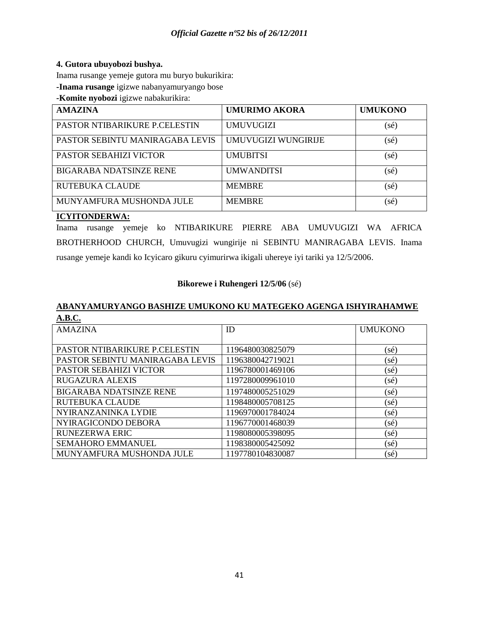## **4. Gutora ubuyobozi bushya.**

Inama rusange yemeje gutora mu buryo bukurikira:

**-Inama rusange** igizwe nabanyamuryango bose

**-Komite nyobozi** igizwe nabakurikira:

| <b>AMAZINA</b>                       | <b>UMURIMO AKORA</b> | <b>UMUKONO</b> |
|--------------------------------------|----------------------|----------------|
| <b>PASTOR NTIBARIKURE P.CELESTIN</b> | <b>UMUVUGIZI</b>     | (sé)           |
| PASTOR SEBINTU MANIRAGABA LEVIS      | UMUVUGIZI WUNGIRIJE  | (sé)           |
| <b>PASTOR SEBAHIZI VICTOR</b>        | <b>UMUBITSI</b>      | (sé)           |
| <b>BIGARABA NDATSINZE RENE</b>       | <b>UMWANDITSI</b>    | (sé)           |
| <b>RUTEBUKA CLAUDE</b>               | <b>MEMBRE</b>        | (sé)           |
| MUNYAMFURA MUSHONDA JULE             | <b>MEMBRE</b>        | (sé)           |

## **ICYITONDERWA:**

Inama rusange yemeje ko NTIBARIKURE PIERRE ABA UMUVUGIZI WA AFRICA BROTHERHOOD CHURCH, Umuvugizi wungirije ni SEBINTU MANIRAGABA LEVIS. Inama rusange yemeje kandi ko Icyicaro gikuru cyimurirwa ikigali uhereye iyi tariki ya 12/5/2006.

## **Bikorewe i Ruhengeri 12/5/06** (sé)

## **ABANYAMURYANGO BASHIZE UMUKONO KU MATEGEKO AGENGA ISHYIRAHAMWE A.B.C.**

| <b>AMAZINA</b>                  | ID               | <b>UMUKONO</b> |
|---------------------------------|------------------|----------------|
|                                 |                  |                |
|                                 |                  |                |
| PASTOR NTIBARIKURE P.CELESTIN   | 1196480030825079 | (sé)           |
| PASTOR SEBINTU MANIRAGABA LEVIS | 1196380042719021 | (sé)           |
| PASTOR SEBAHIZI VICTOR          | 1196780001469106 | $(s\acute{e})$ |
| <b>RUGAZURA ALEXIS</b>          | 1197280009961010 | (sé)           |
| <b>BIGARABA NDATSINZE RENE</b>  | 1197480005251029 | $(s\acute{e})$ |
| <b>RUTEBUKA CLAUDE</b>          | 1198480005708125 | (sé)           |
| NYIRANZANINKA LYDIE             | 1196970001784024 | (sé)           |
| NYIRAGICONDO DEBORA             | 1196770001468039 | $(s\acute{e})$ |
| <b>RUNEZERWA ERIC</b>           | 1198080005398095 | (sé)           |
| SEMAHORO EMMANUEL               | 1198380005425092 | $(s\acute{e})$ |
| MUNYAMFURA MUSHONDA JULE        | 1197780104830087 | (sé)           |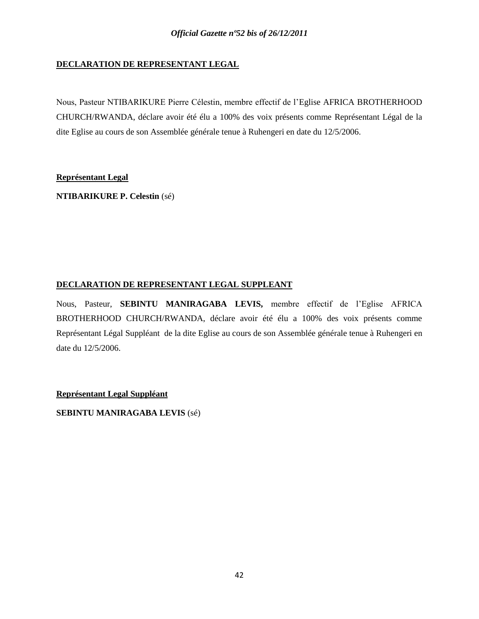## **DECLARATION DE REPRESENTANT LEGAL**

Nous, Pasteur NTIBARIKURE Pierre Célestin, membre effectif de l"Eglise AFRICA BROTHERHOOD CHURCH/RWANDA, déclare avoir été élu a 100% des voix présents comme Représentant Légal de la dite Eglise au cours de son Assemblée générale tenue à Ruhengeri en date du 12/5/2006.

## **Représentant Legal**

**NTIBARIKURE P. Celestin** (sé)

## **DECLARATION DE REPRESENTANT LEGAL SUPPLEANT**

Nous, Pasteur, **SEBINTU MANIRAGABA LEVIS,** membre effectif de l"Eglise AFRICA BROTHERHOOD CHURCH/RWANDA, déclare avoir été élu a 100% des voix présents comme Représentant Légal Suppléant de la dite Eglise au cours de son Assemblée générale tenue à Ruhengeri en date du 12/5/2006.

**Représentant Legal Suppléant**

**SEBINTU MANIRAGABA LEVIS** (sé)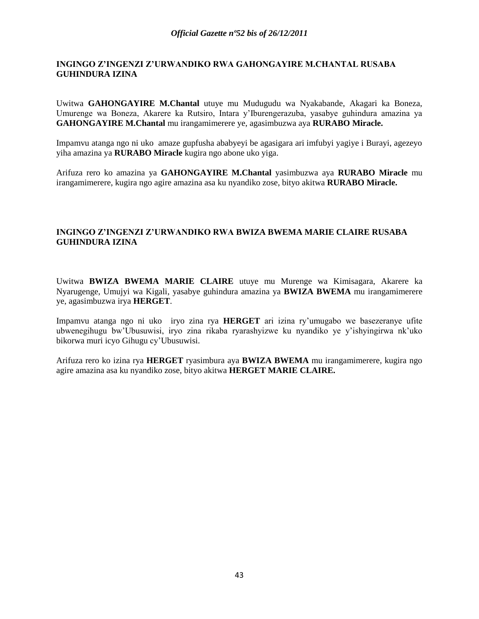## **INGINGO Z'INGENZI Z'URWANDIKO RWA GAHONGAYIRE M.CHANTAL RUSABA GUHINDURA IZINA**

Uwitwa **GAHONGAYIRE M.Chantal** utuye mu Mudugudu wa Nyakabande, Akagari ka Boneza, Umurenge wa Boneza, Akarere ka Rutsiro, Intara y"Iburengerazuba, yasabye guhindura amazina ya **GAHONGAYIRE M.Chantal** mu irangamimerere ye, agasimbuzwa aya **RURABO Miracle.** 

Impamvu atanga ngo ni uko amaze gupfusha ababyeyi be agasigara ari imfubyi yagiye i Burayi, agezeyo yiha amazina ya **RURABO Miracle** kugira ngo abone uko yiga.

Arifuza rero ko amazina ya **GAHONGAYIRE M.Chantal** yasimbuzwa aya **RURABO Miracle** mu irangamimerere, kugira ngo agire amazina asa ku nyandiko zose, bityo akitwa **RURABO Miracle.**

## **INGINGO Z'INGENZI Z'URWANDIKO RWA BWIZA BWEMA MARIE CLAIRE RUSABA GUHINDURA IZINA**

Uwitwa **BWIZA BWEMA MARIE CLAIRE** utuye mu Murenge wa Kimisagara, Akarere ka Nyarugenge, Umujyi wa Kigali, yasabye guhindura amazina ya **BWIZA BWEMA** mu irangamimerere ye, agasimbuzwa irya **HERGET**.

Impamvu atanga ngo ni uko iryo zina rya **HERGET** ari izina ry"umugabo we basezeranye ufite ubwenegihugu bw"Ubusuwisi, iryo zina rikaba ryarashyizwe ku nyandiko ye y"ishyingirwa nk"uko bikorwa muri icyo Gihugu cy"Ubusuwisi.

Arifuza rero ko izina rya **HERGET** ryasimbura aya **BWIZA BWEMA** mu irangamimerere, kugira ngo agire amazina asa ku nyandiko zose, bityo akitwa **HERGET MARIE CLAIRE.**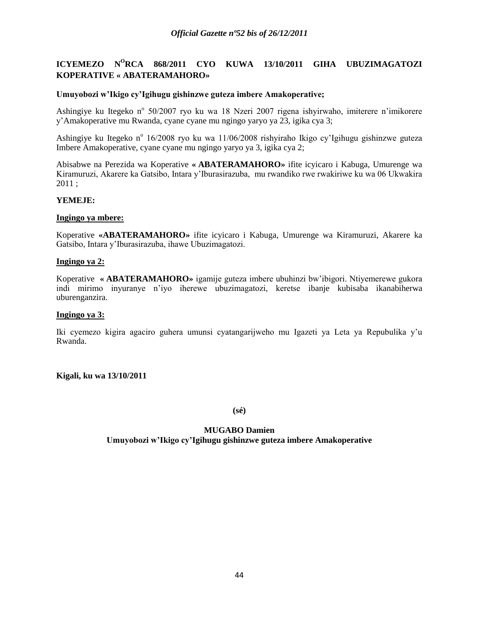# **ICYEMEZO N<sup>O</sup>RCA 868/2011 CYO KUWA 13/10/2011 GIHA UBUZIMAGATOZI KOPERATIVE « ABATERAMAHORO»**

### **Umuyobozi w'Ikigo cy'Igihugu gishinzwe guteza imbere Amakoperative;**

Ashingiye ku Itegeko nº 50/2007 ryo ku wa 18 Nzeri 2007 rigena ishyirwaho, imiterere n'imikorere y"Amakoperative mu Rwanda, cyane cyane mu ngingo yaryo ya 23, igika cya 3;

Ashingiye ku Itegeko n<sup>o</sup> 16/2008 ryo ku wa 11/06/2008 rishyiraho Ikigo cy'Igihugu gishinzwe guteza Imbere Amakoperative, cyane cyane mu ngingo yaryo ya 3, igika cya 2;

Abisabwe na Perezida wa Koperative **« ABATERAMAHORO»** ifite icyicaro i Kabuga, Umurenge wa Kiramuruzi, Akarere ka Gatsibo, Intara y"Iburasirazuba, mu rwandiko rwe rwakiriwe ku wa 06 Ukwakira 2011 ;

## **YEMEJE:**

#### **Ingingo ya mbere:**

Koperative **«ABATERAMAHORO»** ifite icyicaro i Kabuga, Umurenge wa Kiramuruzi, Akarere ka Gatsibo, Intara y"Iburasirazuba, ihawe Ubuzimagatozi.

## **Ingingo ya 2:**

Koperative **« ABATERAMAHORO»** igamije guteza imbere ubuhinzi bw"ibigori. Ntiyemerewe gukora indi mirimo inyuranye n"iyo iherewe ubuzimagatozi, keretse ibanje kubisaba ikanabiherwa uburenganzira.

#### **Ingingo ya 3:**

Iki cyemezo kigira agaciro guhera umunsi cyatangarijweho mu Igazeti ya Leta ya Repubulika y"u Rwanda.

#### **Kigali, ku wa 13/10/2011**

**(sé)**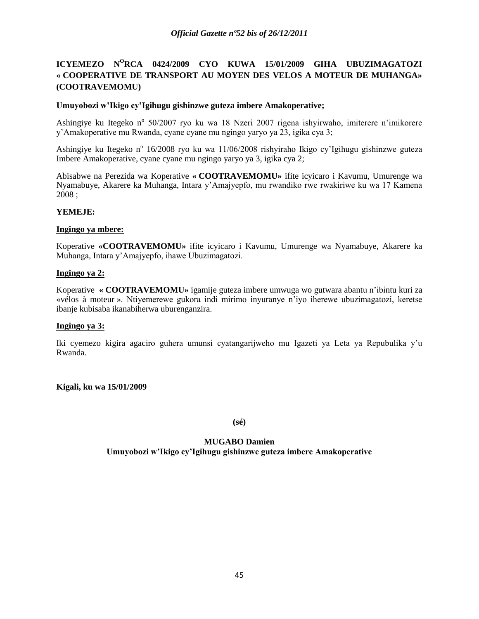# **ICYEMEZO N<sup>O</sup>RCA 0424/2009 CYO KUWA 15/01/2009 GIHA UBUZIMAGATOZI « COOPERATIVE DE TRANSPORT AU MOYEN DES VELOS A MOTEUR DE MUHANGA» (COOTRAVEMOMU)**

## **Umuyobozi w'Ikigo cy'Igihugu gishinzwe guteza imbere Amakoperative;**

Ashingiye ku Itegeko nº 50/2007 ryo ku wa 18 Nzeri 2007 rigena ishyirwaho, imiterere n'imikorere y"Amakoperative mu Rwanda, cyane cyane mu ngingo yaryo ya 23, igika cya 3;

Ashingiye ku Itegeko nº 16/2008 ryo ku wa 11/06/2008 rishyiraho Ikigo cy'Igihugu gishinzwe guteza Imbere Amakoperative, cyane cyane mu ngingo yaryo ya 3, igika cya 2;

Abisabwe na Perezida wa Koperative **« COOTRAVEMOMU»** ifite icyicaro i Kavumu, Umurenge wa Nyamabuye, Akarere ka Muhanga, Intara y"Amajyepfo, mu rwandiko rwe rwakiriwe ku wa 17 Kamena 2008 ;

## **YEMEJE:**

### **Ingingo ya mbere:**

Koperative **«COOTRAVEMOMU»** ifite icyicaro i Kavumu, Umurenge wa Nyamabuye, Akarere ka Muhanga, Intara y"Amajyepfo, ihawe Ubuzimagatozi.

### **Ingingo ya 2:**

Koperative **« COOTRAVEMOMU»** igamije guteza imbere umwuga wo gutwara abantu n"ibintu kuri za «vélos à moteur ». Ntiyemerewe gukora indi mirimo inyuranye n"iyo iherewe ubuzimagatozi, keretse ibanje kubisaba ikanabiherwa uburenganzira.

#### **Ingingo ya 3:**

Iki cyemezo kigira agaciro guhera umunsi cyatangarijweho mu Igazeti ya Leta ya Repubulika y"u Rwanda.

**Kigali, ku wa 15/01/2009**

**(sé)**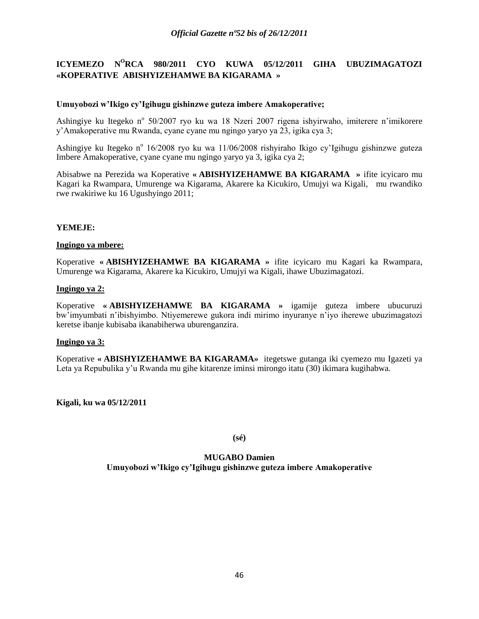# **ICYEMEZO N<sup>O</sup>RCA 980/2011 CYO KUWA 05/12/2011 GIHA UBUZIMAGATOZI «KOPERATIVE ABISHYIZEHAMWE BA KIGARAMA »**

### **Umuyobozi w'Ikigo cy'Igihugu gishinzwe guteza imbere Amakoperative;**

Ashingiye ku Itegeko nº 50/2007 ryo ku wa 18 Nzeri 2007 rigena ishyirwaho, imiterere n'imikorere y"Amakoperative mu Rwanda, cyane cyane mu ngingo yaryo ya 23, igika cya 3;

Ashingiye ku Itegeko nº 16/2008 ryo ku wa 11/06/2008 rishyiraho Ikigo cy'Igihugu gishinzwe guteza Imbere Amakoperative, cyane cyane mu ngingo yaryo ya 3, igika cya 2;

Abisabwe na Perezida wa Koperative **« ABISHYIZEHAMWE BA KIGARAMA »** ifite icyicaro mu Kagari ka Rwampara, Umurenge wa Kigarama, Akarere ka Kicukiro, Umujyi wa Kigali, mu rwandiko rwe rwakiriwe ku 16 Ugushyingo 2011;

### **YEMEJE:**

#### **Ingingo ya mbere:**

Koperative **« ABISHYIZEHAMWE BA KIGARAMA »** ifite icyicaro mu Kagari ka Rwampara, Umurenge wa Kigarama, Akarere ka Kicukiro, Umujyi wa Kigali, ihawe Ubuzimagatozi.

#### **Ingingo ya 2:**

Koperative **« ABISHYIZEHAMWE BA KIGARAMA »** igamije guteza imbere ubucuruzi bw"imyumbati n"ibishyimbo. Ntiyemerewe gukora indi mirimo inyuranye n"iyo iherewe ubuzimagatozi keretse ibanje kubisaba ikanabiherwa uburenganzira.

#### **Ingingo ya 3:**

Koperative **« ABISHYIZEHAMWE BA KIGARAMA»** itegetswe gutanga iki cyemezo mu Igazeti ya Leta ya Repubulika y"u Rwanda mu gihe kitarenze iminsi mirongo itatu (30) ikimara kugihabwa.

**Kigali, ku wa 05/12/2011**

**(sé)**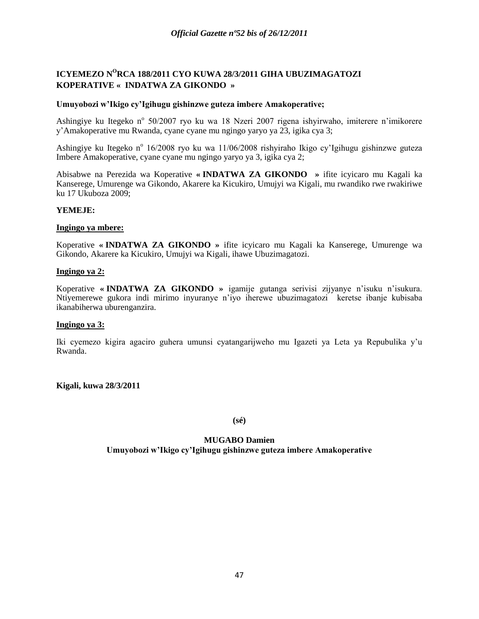# **ICYEMEZO N<sup>O</sup>RCA 188/2011 CYO KUWA 28/3/2011 GIHA UBUZIMAGATOZI KOPERATIVE « INDATWA ZA GIKONDO »**

### **Umuyobozi w'Ikigo cy'Igihugu gishinzwe guteza imbere Amakoperative;**

Ashingiye ku Itegeko nº 50/2007 ryo ku wa 18 Nzeri 2007 rigena ishyirwaho, imiterere n'imikorere y"Amakoperative mu Rwanda, cyane cyane mu ngingo yaryo ya 23, igika cya 3;

Ashingiye ku Itegeko nº 16/2008 ryo ku wa 11/06/2008 rishyiraho Ikigo cy'Igihugu gishinzwe guteza Imbere Amakoperative, cyane cyane mu ngingo yaryo ya 3, igika cya 2;

Abisabwe na Perezida wa Koperative **« INDATWA ZA GIKONDO »** ifite icyicaro mu Kagali ka Kanserege, Umurenge wa Gikondo, Akarere ka Kicukiro, Umujyi wa Kigali, mu rwandiko rwe rwakiriwe ku 17 Ukuboza 2009;

### **YEMEJE:**

### **Ingingo ya mbere:**

Koperative **« INDATWA ZA GIKONDO »** ifite icyicaro mu Kagali ka Kanserege, Umurenge wa Gikondo, Akarere ka Kicukiro, Umujyi wa Kigali, ihawe Ubuzimagatozi.

#### **Ingingo ya 2:**

Koperative **« INDATWA ZA GIKONDO »** igamije gutanga serivisi zijyanye n"isuku n"isukura. Ntiyemerewe gukora indi mirimo inyuranye n"iyo iherewe ubuzimagatozi keretse ibanje kubisaba ikanabiherwa uburenganzira.

#### **Ingingo ya 3:**

Iki cyemezo kigira agaciro guhera umunsi cyatangarijweho mu Igazeti ya Leta ya Repubulika y"u Rwanda.

**Kigali, kuwa 28/3/2011**

**(sé)**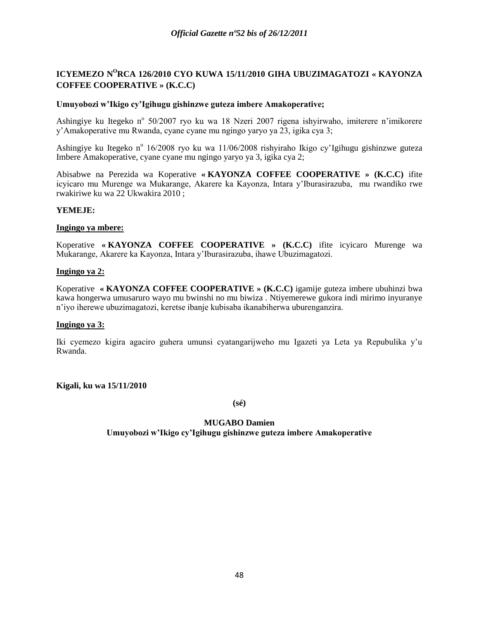# **ICYEMEZO N<sup>O</sup>RCA 126/2010 CYO KUWA 15/11/2010 GIHA UBUZIMAGATOZI « KAYONZA COFFEE COOPERATIVE » (K.C.C)**

## **Umuyobozi w'Ikigo cy'Igihugu gishinzwe guteza imbere Amakoperative;**

Ashingiye ku Itegeko nº 50/2007 ryo ku wa 18 Nzeri 2007 rigena ishyirwaho, imiterere n'imikorere y"Amakoperative mu Rwanda, cyane cyane mu ngingo yaryo ya 23, igika cya 3;

Ashingiye ku Itegeko nº 16/2008 ryo ku wa 11/06/2008 rishyiraho Ikigo cy'Igihugu gishinzwe guteza Imbere Amakoperative, cyane cyane mu ngingo yaryo ya 3, igika cya 2;

Abisabwe na Perezida wa Koperative **« KAYONZA COFFEE COOPERATIVE » (K.C.C)** ifite icyicaro mu Murenge wa Mukarange, Akarere ka Kayonza, Intara y"Iburasirazuba, mu rwandiko rwe rwakiriwe ku wa 22 Ukwakira 2010 ;

## **YEMEJE:**

### **Ingingo ya mbere:**

Koperative **« KAYONZA COFFEE COOPERATIVE » (K.C.C)** ifite icyicaro Murenge wa Mukarange, Akarere ka Kayonza, Intara y"Iburasirazuba, ihawe Ubuzimagatozi.

#### **Ingingo ya 2:**

Koperative **« KAYONZA COFFEE COOPERATIVE » (K.C.C)** igamije guteza imbere ubuhinzi bwa kawa hongerwa umusaruro wayo mu bwinshi no mu biwiza . Ntiyemerewe gukora indi mirimo inyuranye n"iyo iherewe ubuzimagatozi, keretse ibanje kubisaba ikanabiherwa uburenganzira.

## **Ingingo ya 3:**

Iki cyemezo kigira agaciro guhera umunsi cyatangarijweho mu Igazeti ya Leta ya Repubulika y"u Rwanda.

**Kigali, ku wa 15/11/2010**

**(sé)**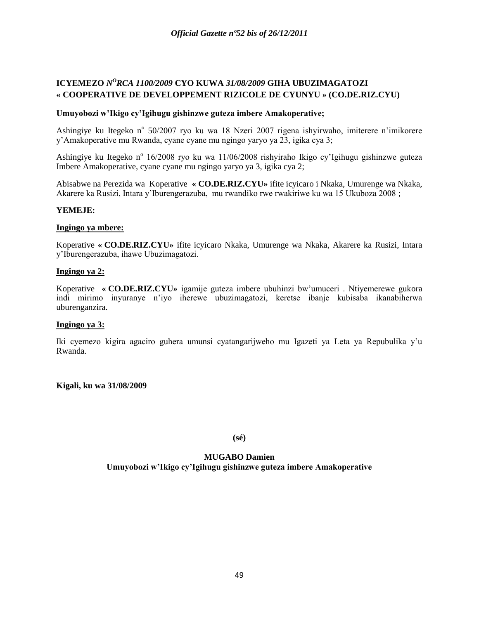# **ICYEMEZO** *N <sup>O</sup>RCA 1100/2009* **CYO KUWA** *31/08/2009* **GIHA UBUZIMAGATOZI « COOPERATIVE DE DEVELOPPEMENT RIZICOLE DE CYUNYU » (CO.DE.RIZ.CYU)**

## **Umuyobozi w'Ikigo cy'Igihugu gishinzwe guteza imbere Amakoperative;**

Ashingiye ku Itegeko nº 50/2007 ryo ku wa 18 Nzeri 2007 rigena ishyirwaho, imiterere n'imikorere y"Amakoperative mu Rwanda, cyane cyane mu ngingo yaryo ya 23, igika cya 3;

Ashingiye ku Itegeko n<sup>o</sup> 16/2008 ryo ku wa 11/06/2008 rishyiraho Ikigo cy'Igihugu gishinzwe guteza Imbere Amakoperative, cyane cyane mu ngingo yaryo ya 3, igika cya 2;

Abisabwe na Perezida wa Koperative **« CO.DE.RIZ.CYU»** ifite icyicaro i Nkaka, Umurenge wa Nkaka, Akarere ka Rusizi, Intara y"Iburengerazuba, mu rwandiko rwe rwakiriwe ku wa 15 Ukuboza 2008 ;

## **YEMEJE:**

## **Ingingo ya mbere:**

Koperative **« CO.DE.RIZ.CYU»** ifite icyicaro Nkaka, Umurenge wa Nkaka, Akarere ka Rusizi, Intara y"Iburengerazuba, ihawe Ubuzimagatozi.

### **Ingingo ya 2:**

Koperative **« CO.DE.RIZ.CYU»** igamije guteza imbere ubuhinzi bw"umuceri . Ntiyemerewe gukora indi mirimo inyuranye n"iyo iherewe ubuzimagatozi, keretse ibanje kubisaba ikanabiherwa uburenganzira.

## **Ingingo ya 3:**

Iki cyemezo kigira agaciro guhera umunsi cyatangarijweho mu Igazeti ya Leta ya Repubulika y"u Rwanda.

**Kigali, ku wa 31/08/2009**

**(sé)**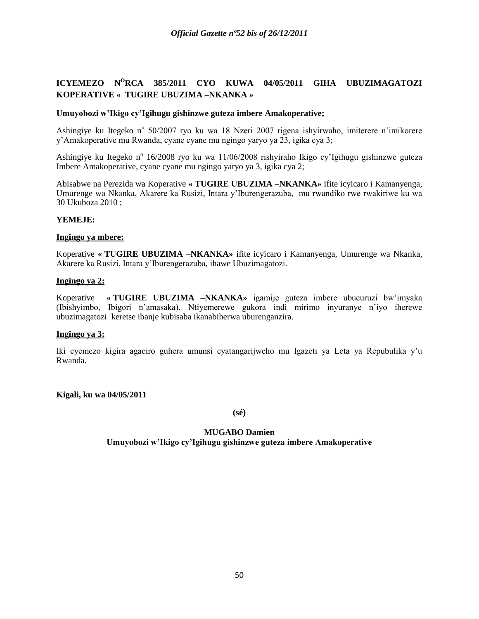# **ICYEMEZO N<sup>O</sup>RCA 385/2011 CYO KUWA 04/05/2011 GIHA UBUZIMAGATOZI KOPERATIVE « TUGIRE UBUZIMA –NKANKA »**

## **Umuyobozi w'Ikigo cy'Igihugu gishinzwe guteza imbere Amakoperative;**

Ashingiye ku Itegeko nº 50/2007 ryo ku wa 18 Nzeri 2007 rigena ishyirwaho, imiterere n'imikorere y"Amakoperative mu Rwanda, cyane cyane mu ngingo yaryo ya 23, igika cya 3;

Ashingiye ku Itegeko n<sup>o</sup> 16/2008 ryo ku wa 11/06/2008 rishyiraho Ikigo cy'Igihugu gishinzwe guteza Imbere Amakoperative, cyane cyane mu ngingo yaryo ya 3, igika cya 2;

Abisabwe na Perezida wa Koperative **« TUGIRE UBUZIMA –NKANKA»** ifite icyicaro i Kamanyenga, Umurenge wa Nkanka, Akarere ka Rusizi, Intara y"Iburengerazuba, mu rwandiko rwe rwakiriwe ku wa 30 Ukuboza 2010 ;

### **YEMEJE:**

### **Ingingo ya mbere:**

Koperative **« TUGIRE UBUZIMA –NKANKA»** ifite icyicaro i Kamanyenga, Umurenge wa Nkanka, Akarere ka Rusizi, Intara y"Iburengerazuba, ihawe Ubuzimagatozi.

#### **Ingingo ya 2:**

Koperative **« TUGIRE UBUZIMA –NKANKA»** igamije guteza imbere ubucuruzi bw"imyaka (Ibishyimbo, Ibigori n"amasaka). Ntiyemerewe gukora indi mirimo inyuranye n"iyo iherewe ubuzimagatozi keretse ibanje kubisaba ikanabiherwa uburenganzira.

## **Ingingo ya 3:**

Iki cyemezo kigira agaciro guhera umunsi cyatangarijweho mu Igazeti ya Leta ya Repubulika y"u Rwanda.

**Kigali, ku wa 04/05/2011**

**(sé)**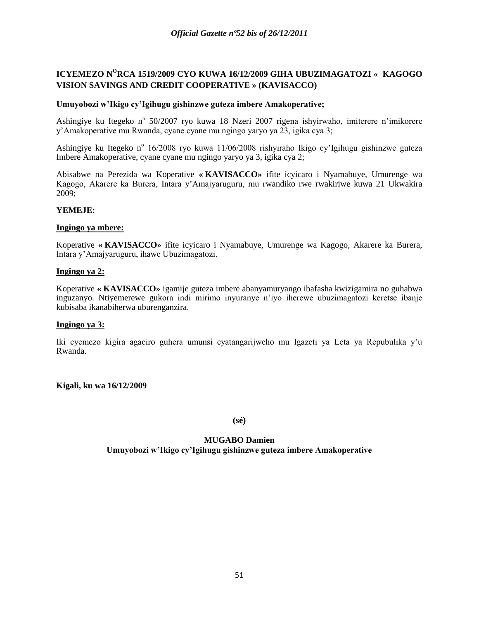# **ICYEMEZO N<sup>O</sup>RCA 1519/2009 CYO KUWA 16/12/2009 GIHA UBUZIMAGATOZI « KAGOGO VISION SAVINGS AND CREDIT COOPERATIVE » (KAVISACCO)**

### **Umuyobozi w'Ikigo cy'Igihugu gishinzwe guteza imbere Amakoperative;**

Ashingiye ku Itegeko nº 50/2007 ryo kuwa 18 Nzeri 2007 rigena ishyirwaho, imiterere n'imikorere y"Amakoperative mu Rwanda, cyane cyane mu ngingo yaryo ya 23, igika cya 3;

Ashingiye ku Itegeko nº 16/2008 ryo kuwa 11/06/2008 rishyiraho Ikigo cy'Igihugu gishinzwe guteza Imbere Amakoperative, cyane cyane mu ngingo yaryo ya 3, igika cya 2;

Abisabwe na Perezida wa Koperative **« KAVISACCO»** ifite icyicaro i Nyamabuye, Umurenge wa Kagogo, Akarere ka Burera, Intara y"Amajyaruguru, mu rwandiko rwe rwakiriwe kuwa 21 Ukwakira 2009;

## **YEMEJE:**

### **Ingingo ya mbere:**

Koperative **« KAVISACCO»** ifite icyicaro i Nyamabuye, Umurenge wa Kagogo, Akarere ka Burera, Intara y"Amajyaruguru, ihawe Ubuzimagatozi.

### **Ingingo ya 2:**

Koperative **« KAVISACCO»** igamije guteza imbere abanyamuryango ibafasha kwizigamira no guhabwa inguzanyo. Ntiyemerewe gukora indi mirimo inyuranye n"iyo iherewe ubuzimagatozi keretse ibanje kubisaba ikanabiherwa uburenganzira.

## **Ingingo ya 3:**

Iki cyemezo kigira agaciro guhera umunsi cyatangarijweho mu Igazeti ya Leta ya Repubulika y"u Rwanda.

**Kigali, ku wa 16/12/2009**

**(sé)**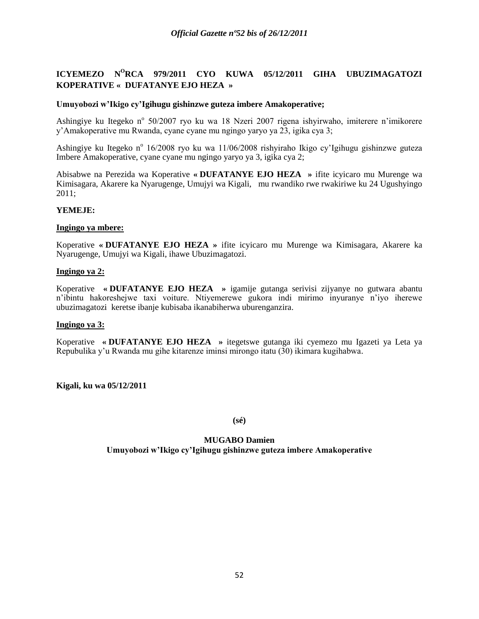# **ICYEMEZO N<sup>O</sup>RCA 979/2011 CYO KUWA 05/12/2011 GIHA UBUZIMAGATOZI KOPERATIVE « DUFATANYE EJO HEZA »**

## **Umuyobozi w'Ikigo cy'Igihugu gishinzwe guteza imbere Amakoperative;**

Ashingiye ku Itegeko nº 50/2007 ryo ku wa 18 Nzeri 2007 rigena ishyirwaho, imiterere n'imikorere y"Amakoperative mu Rwanda, cyane cyane mu ngingo yaryo ya 23, igika cya 3;

Ashingiye ku Itegeko nº 16/2008 ryo ku wa 11/06/2008 rishyiraho Ikigo cy'Igihugu gishinzwe guteza Imbere Amakoperative, cyane cyane mu ngingo yaryo ya 3, igika cya 2;

Abisabwe na Perezida wa Koperative **« DUFATANYE EJO HEZA »** ifite icyicaro mu Murenge wa Kimisagara, Akarere ka Nyarugenge, Umujyi wa Kigali, mu rwandiko rwe rwakiriwe ku 24 Ugushyingo 2011;

### **YEMEJE:**

### **Ingingo ya mbere:**

Koperative **« DUFATANYE EJO HEZA »** ifite icyicaro mu Murenge wa Kimisagara, Akarere ka Nyarugenge, Umujyi wa Kigali, ihawe Ubuzimagatozi.

### **Ingingo ya 2:**

Koperative **« DUFATANYE EJO HEZA »** igamije gutanga serivisi zijyanye no gutwara abantu n"ibintu hakoreshejwe taxi voiture. Ntiyemerewe gukora indi mirimo inyuranye n"iyo iherewe ubuzimagatozi keretse ibanje kubisaba ikanabiherwa uburenganzira.

## **Ingingo ya 3:**

Koperative **« DUFATANYE EJO HEZA »** itegetswe gutanga iki cyemezo mu Igazeti ya Leta ya Repubulika y"u Rwanda mu gihe kitarenze iminsi mirongo itatu (30) ikimara kugihabwa.

**Kigali, ku wa 05/12/2011**

**(sé)**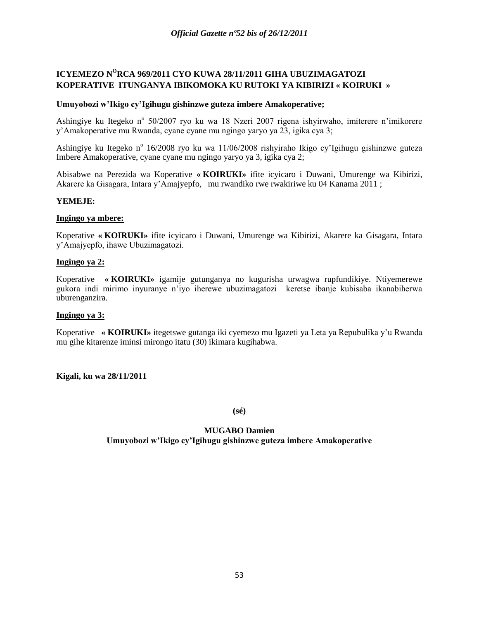# **ICYEMEZO N<sup>O</sup>RCA 969/2011 CYO KUWA 28/11/2011 GIHA UBUZIMAGATOZI KOPERATIVE ITUNGANYA IBIKOMOKA KU RUTOKI YA KIBIRIZI « KOIRUKI »**

### **Umuyobozi w'Ikigo cy'Igihugu gishinzwe guteza imbere Amakoperative;**

Ashingiye ku Itegeko nº 50/2007 ryo ku wa 18 Nzeri 2007 rigena ishyirwaho, imiterere n'imikorere y"Amakoperative mu Rwanda, cyane cyane mu ngingo yaryo ya 23, igika cya 3;

Ashingiye ku Itegeko nº 16/2008 ryo ku wa 11/06/2008 rishyiraho Ikigo cy'Igihugu gishinzwe guteza Imbere Amakoperative, cyane cyane mu ngingo yaryo ya 3, igika cya 2;

Abisabwe na Perezida wa Koperative **« KOIRUKI»** ifite icyicaro i Duwani, Umurenge wa Kibirizi, Akarere ka Gisagara, Intara y"Amajyepfo, mu rwandiko rwe rwakiriwe ku 04 Kanama 2011 ;

### **YEMEJE:**

#### **Ingingo ya mbere:**

Koperative **« KOIRUKI»** ifite icyicaro i Duwani, Umurenge wa Kibirizi, Akarere ka Gisagara, Intara y"Amajyepfo, ihawe Ubuzimagatozi.

#### **Ingingo ya 2:**

Koperative **« KOIRUKI»** igamije gutunganya no kugurisha urwagwa rupfundikiye. Ntiyemerewe gukora indi mirimo inyuranye n"iyo iherewe ubuzimagatozi keretse ibanje kubisaba ikanabiherwa uburenganzira.

#### **Ingingo ya 3:**

Koperative **« KOIRUKI»** itegetswe gutanga iki cyemezo mu Igazeti ya Leta ya Repubulika y"u Rwanda mu gihe kitarenze iminsi mirongo itatu (30) ikimara kugihabwa.

#### **Kigali, ku wa 28/11/2011**

**(sé)**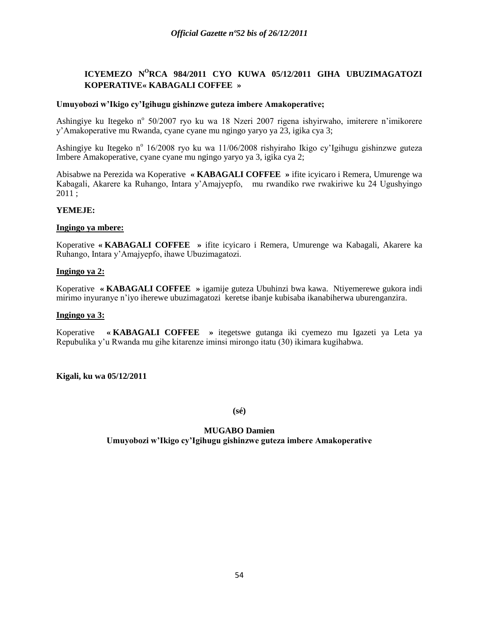# **ICYEMEZO N<sup>O</sup>RCA 984/2011 CYO KUWA 05/12/2011 GIHA UBUZIMAGATOZI KOPERATIVE« KABAGALI COFFEE »**

## **Umuyobozi w'Ikigo cy'Igihugu gishinzwe guteza imbere Amakoperative;**

Ashingiye ku Itegeko nº 50/2007 ryo ku wa 18 Nzeri 2007 rigena ishyirwaho, imiterere n'imikorere y"Amakoperative mu Rwanda, cyane cyane mu ngingo yaryo ya 23, igika cya 3;

Ashingiye ku Itegeko nº 16/2008 ryo ku wa 11/06/2008 rishyiraho Ikigo cy'Igihugu gishinzwe guteza Imbere Amakoperative, cyane cyane mu ngingo yaryo ya 3, igika cya 2;

Abisabwe na Perezida wa Koperative **« KABAGALI COFFEE »** ifite icyicaro i Remera, Umurenge wa Kabagali, Akarere ka Ruhango, Intara y"Amajyepfo, mu rwandiko rwe rwakiriwe ku 24 Ugushyingo  $2011:$ 

### **YEMEJE:**

### **Ingingo ya mbere:**

Koperative **« KABAGALI COFFEE »** ifite icyicaro i Remera, Umurenge wa Kabagali, Akarere ka Ruhango, Intara y"Amajyepfo, ihawe Ubuzimagatozi.

## **Ingingo ya 2:**

Koperative **« KABAGALI COFFEE »** igamije guteza Ubuhinzi bwa kawa. Ntiyemerewe gukora indi mirimo inyuranye n"iyo iherewe ubuzimagatozi keretse ibanje kubisaba ikanabiherwa uburenganzira.

#### **Ingingo ya 3:**

Koperative **« KABAGALI COFFEE »** itegetswe gutanga iki cyemezo mu Igazeti ya Leta ya Repubulika y"u Rwanda mu gihe kitarenze iminsi mirongo itatu (30) ikimara kugihabwa.

**Kigali, ku wa 05/12/2011**

**(sé)**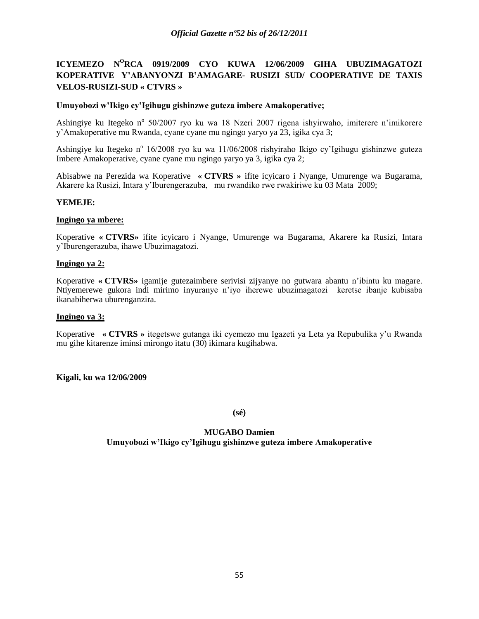# **ICYEMEZO N<sup>O</sup>RCA 0919/2009 CYO KUWA 12/06/2009 GIHA UBUZIMAGATOZI KOPERATIVE Y'ABANYONZI B'AMAGARE- RUSIZI SUD/ COOPERATIVE DE TAXIS VELOS-RUSIZI-SUD « CTVRS »**

## **Umuyobozi w'Ikigo cy'Igihugu gishinzwe guteza imbere Amakoperative;**

Ashingiye ku Itegeko nº 50/2007 ryo ku wa 18 Nzeri 2007 rigena ishyirwaho, imiterere n'imikorere y"Amakoperative mu Rwanda, cyane cyane mu ngingo yaryo ya 23, igika cya 3;

Ashingiye ku Itegeko nº 16/2008 ryo ku wa 11/06/2008 rishyiraho Ikigo cy'Igihugu gishinzwe guteza Imbere Amakoperative, cyane cyane mu ngingo yaryo ya 3, igika cya 2;

Abisabwe na Perezida wa Koperative **« CTVRS »** ifite icyicaro i Nyange, Umurenge wa Bugarama, Akarere ka Rusizi, Intara y"Iburengerazuba, mu rwandiko rwe rwakiriwe ku 03 Mata 2009;

## **YEMEJE:**

### **Ingingo ya mbere:**

Koperative **« CTVRS»** ifite icyicaro i Nyange, Umurenge wa Bugarama, Akarere ka Rusizi, Intara y"Iburengerazuba, ihawe Ubuzimagatozi.

### **Ingingo ya 2:**

Koperative **« CTVRS»** igamije gutezaimbere serivisi zijyanye no gutwara abantu n"ibintu ku magare. Ntiyemerewe gukora indi mirimo inyuranye n"iyo iherewe ubuzimagatozi keretse ibanje kubisaba ikanabiherwa uburenganzira.

#### **Ingingo ya 3:**

Koperative **« CTVRS »** itegetswe gutanga iki cyemezo mu Igazeti ya Leta ya Repubulika y"u Rwanda mu gihe kitarenze iminsi mirongo itatu (30) ikimara kugihabwa.

## **Kigali, ku wa 12/06/2009**

**(sé)**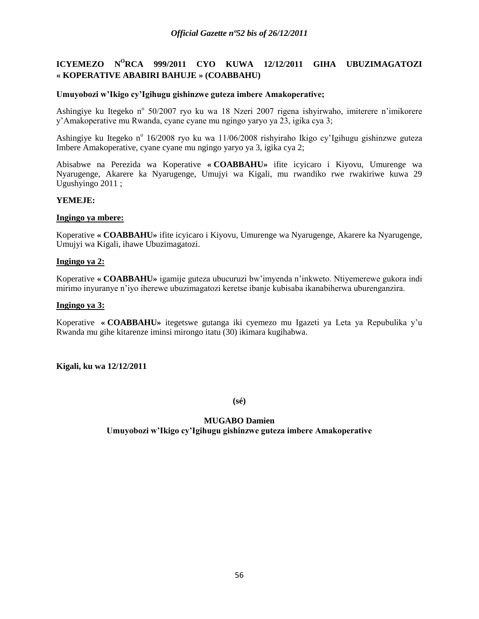# **ICYEMEZO N<sup>O</sup>RCA 999/2011 CYO KUWA 12/12/2011 GIHA UBUZIMAGATOZI « KOPERATIVE ABABIRI BAHUJE » (COABBAHU)**

### **Umuyobozi w'Ikigo cy'Igihugu gishinzwe guteza imbere Amakoperative;**

Ashingiye ku Itegeko nº 50/2007 ryo ku wa 18 Nzeri 2007 rigena ishyirwaho, imiterere n'imikorere y"Amakoperative mu Rwanda, cyane cyane mu ngingo yaryo ya 23, igika cya 3;

Ashingiye ku Itegeko n<sup>o</sup> 16/2008 ryo ku wa 11/06/2008 rishyiraho Ikigo cy'Igihugu gishinzwe guteza Imbere Amakoperative, cyane cyane mu ngingo yaryo ya 3, igika cya 2;

Abisabwe na Perezida wa Koperative **« COABBAHU»** ifite icyicaro i Kiyovu, Umurenge wa Nyarugenge, Akarere ka Nyarugenge, Umujyi wa Kigali, mu rwandiko rwe rwakiriwe kuwa 29 Ugushyingo 2011 ;

### **YEMEJE:**

#### **Ingingo ya mbere:**

Koperative **« COABBAHU»** ifite icyicaro i Kiyovu, Umurenge wa Nyarugenge, Akarere ka Nyarugenge, Umujyi wa Kigali, ihawe Ubuzimagatozi.

#### **Ingingo ya 2:**

Koperative **« COABBAHU»** igamije guteza ubucuruzi bw"imyenda n"inkweto. Ntiyemerewe gukora indi mirimo inyuranye n"iyo iherewe ubuzimagatozi keretse ibanje kubisaba ikanabiherwa uburenganzira.

#### **Ingingo ya 3:**

Koperative **« COABBAHU»** itegetswe gutanga iki cyemezo mu Igazeti ya Leta ya Repubulika y"u Rwanda mu gihe kitarenze iminsi mirongo itatu (30) ikimara kugihabwa.

#### **Kigali, ku wa 12/12/2011**

**(sé)**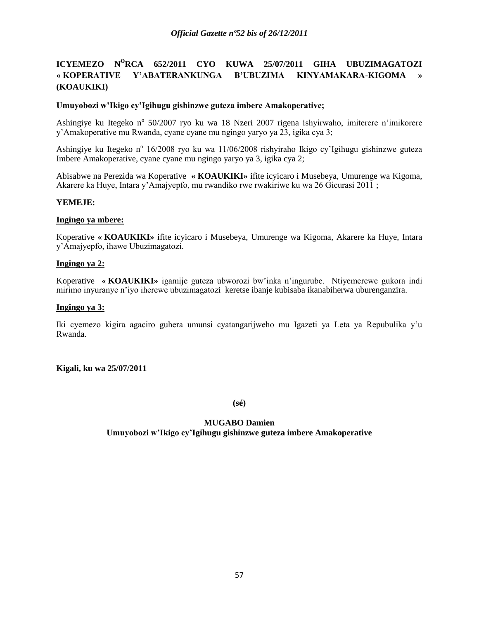# **ICYEMEZO N<sup>O</sup>RCA 652/2011 CYO KUWA 25/07/2011 GIHA UBUZIMAGATOZI « KOPERATIVE Y'ABATERANKUNGA B'UBUZIMA KINYAMAKARA-KIGOMA » (KOAUKIKI)**

## **Umuyobozi w'Ikigo cy'Igihugu gishinzwe guteza imbere Amakoperative;**

Ashingiye ku Itegeko nº 50/2007 ryo ku wa 18 Nzeri 2007 rigena ishyirwaho, imiterere n'imikorere y"Amakoperative mu Rwanda, cyane cyane mu ngingo yaryo ya 23, igika cya 3;

Ashingiye ku Itegeko nº 16/2008 ryo ku wa 11/06/2008 rishyiraho Ikigo cy'Igihugu gishinzwe guteza Imbere Amakoperative, cyane cyane mu ngingo yaryo ya 3, igika cya 2;

Abisabwe na Perezida wa Koperative **« KOAUKIKI»** ifite icyicaro i Musebeya, Umurenge wa Kigoma, Akarere ka Huye, Intara y"Amajyepfo, mu rwandiko rwe rwakiriwe ku wa 26 Gicurasi 2011 ;

## **YEMEJE:**

### **Ingingo ya mbere:**

Koperative **« KOAUKIKI»** ifite icyicaro i Musebeya, Umurenge wa Kigoma, Akarere ka Huye, Intara y"Amajyepfo, ihawe Ubuzimagatozi.

### **Ingingo ya 2:**

Koperative **« KOAUKIKI»** igamije guteza ubworozi bw"inka n"ingurube. Ntiyemerewe gukora indi mirimo inyuranye n"iyo iherewe ubuzimagatozi keretse ibanje kubisaba ikanabiherwa uburenganzira.

### **Ingingo ya 3:**

Iki cyemezo kigira agaciro guhera umunsi cyatangarijweho mu Igazeti ya Leta ya Repubulika y"u Rwanda.

## **Kigali, ku wa 25/07/2011**

**(sé)**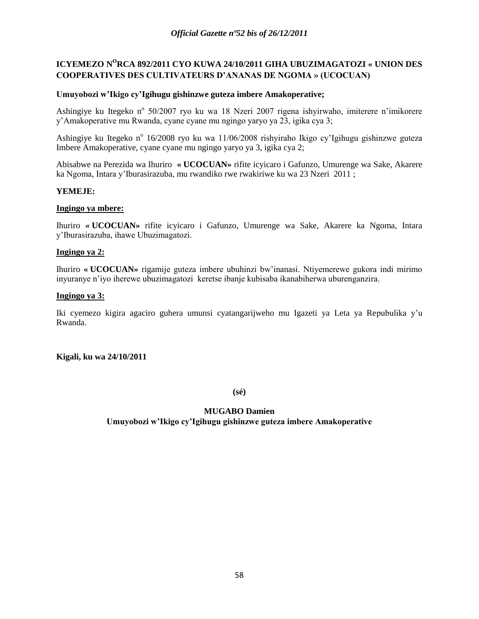# **ICYEMEZO N<sup>O</sup>RCA 892/2011 CYO KUWA 24/10/2011 GIHA UBUZIMAGATOZI « UNION DES COOPERATIVES DES CULTIVATEURS D'ANANAS DE NGOMA » (UCOCUAN)**

## **Umuyobozi w'Ikigo cy'Igihugu gishinzwe guteza imbere Amakoperative;**

Ashingiye ku Itegeko nº 50/2007 ryo ku wa 18 Nzeri 2007 rigena ishyirwaho, imiterere n'imikorere y"Amakoperative mu Rwanda, cyane cyane mu ngingo yaryo ya 23, igika cya 3;

Ashingiye ku Itegeko n<sup>o</sup> 16/2008 ryo ku wa 11/06/2008 rishyiraho Ikigo cy'Igihugu gishinzwe guteza Imbere Amakoperative, cyane cyane mu ngingo yaryo ya 3, igika cya 2;

Abisabwe na Perezida wa Ihuriro **« UCOCUAN»** rifite icyicaro i Gafunzo, Umurenge wa Sake, Akarere ka Ngoma, Intara y"Iburasirazuba, mu rwandiko rwe rwakiriwe ku wa 23 Nzeri 2011 ;

### **YEMEJE:**

### **Ingingo ya mbere:**

Ihuriro **« UCOCUAN»** rifite icyicaro i Gafunzo, Umurenge wa Sake, Akarere ka Ngoma, Intara y"Iburasirazuba, ihawe Ubuzimagatozi.

#### **Ingingo ya 2:**

Ihuriro **« UCOCUAN»** rigamije guteza imbere ubuhinzi bw"inanasi. Ntiyemerewe gukora indi mirimo inyuranye n"iyo iherewe ubuzimagatozi keretse ibanje kubisaba ikanabiherwa uburenganzira.

#### **Ingingo ya 3:**

Iki cyemezo kigira agaciro guhera umunsi cyatangarijweho mu Igazeti ya Leta ya Repubulika y"u Rwanda.

#### **Kigali, ku wa 24/10/2011**

**(sé)**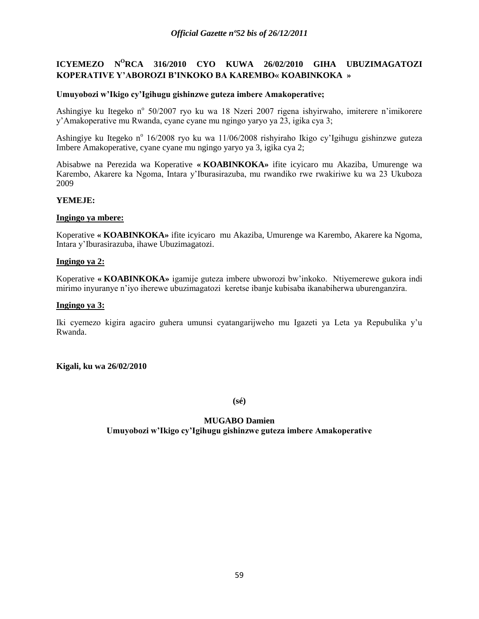# **ICYEMEZO N<sup>O</sup>RCA 316/2010 CYO KUWA 26/02/2010 GIHA UBUZIMAGATOZI KOPERATIVE Y'ABOROZI B'INKOKO BA KAREMBO« KOABINKOKA »**

### **Umuyobozi w'Ikigo cy'Igihugu gishinzwe guteza imbere Amakoperative;**

Ashingiye ku Itegeko nº 50/2007 ryo ku wa 18 Nzeri 2007 rigena ishyirwaho, imiterere n'imikorere y"Amakoperative mu Rwanda, cyane cyane mu ngingo yaryo ya 23, igika cya 3;

Ashingiye ku Itegeko n<sup>o</sup> 16/2008 ryo ku wa 11/06/2008 rishyiraho Ikigo cy'Igihugu gishinzwe guteza Imbere Amakoperative, cyane cyane mu ngingo yaryo ya 3, igika cya 2;

Abisabwe na Perezida wa Koperative **« KOABINKOKA»** ifite icyicaro mu Akaziba, Umurenge wa Karembo, Akarere ka Ngoma, Intara y"Iburasirazuba, mu rwandiko rwe rwakiriwe ku wa 23 Ukuboza 2009

### **YEMEJE:**

#### **Ingingo ya mbere:**

Koperative **« KOABINKOKA»** ifite icyicaro mu Akaziba, Umurenge wa Karembo, Akarere ka Ngoma, Intara y"Iburasirazuba, ihawe Ubuzimagatozi.

#### **Ingingo ya 2:**

Koperative **« KOABINKOKA»** igamije guteza imbere ubworozi bw"inkoko. Ntiyemerewe gukora indi mirimo inyuranye n"iyo iherewe ubuzimagatozi keretse ibanje kubisaba ikanabiherwa uburenganzira.

#### **Ingingo ya 3:**

Iki cyemezo kigira agaciro guhera umunsi cyatangarijweho mu Igazeti ya Leta ya Repubulika y"u Rwanda.

#### **Kigali, ku wa 26/02/2010**

**(sé)**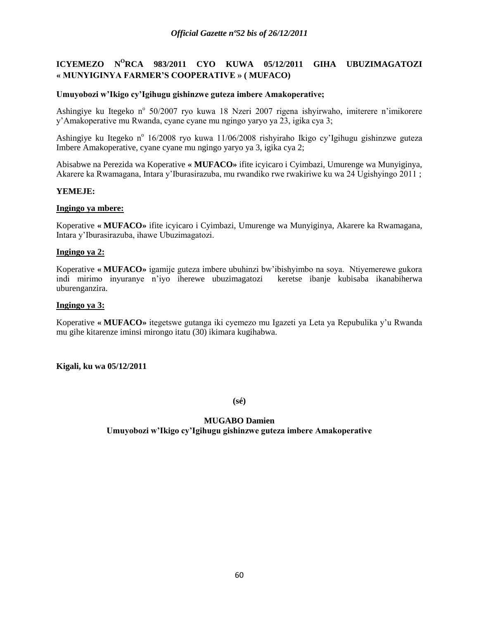# **ICYEMEZO N<sup>O</sup>RCA 983/2011 CYO KUWA 05/12/2011 GIHA UBUZIMAGATOZI « MUNYIGINYA FARMER'S COOPERATIVE » ( MUFACO)**

### **Umuyobozi w'Ikigo cy'Igihugu gishinzwe guteza imbere Amakoperative;**

Ashingiye ku Itegeko nº 50/2007 ryo kuwa 18 Nzeri 2007 rigena ishyirwaho, imiterere n'imikorere y"Amakoperative mu Rwanda, cyane cyane mu ngingo yaryo ya 23, igika cya 3;

Ashingiye ku Itegeko n<sup>o</sup> 16/2008 ryo kuwa 11/06/2008 rishyiraho Ikigo cy'Igihugu gishinzwe guteza Imbere Amakoperative, cyane cyane mu ngingo yaryo ya 3, igika cya 2;

Abisabwe na Perezida wa Koperative **« MUFACO»** ifite icyicaro i Cyimbazi, Umurenge wa Munyiginya, Akarere ka Rwamagana, Intara y"Iburasirazuba, mu rwandiko rwe rwakiriwe ku wa 24 Ugishyingo 2011 ;

### **YEMEJE:**

### **Ingingo ya mbere:**

Koperative **« MUFACO»** ifite icyicaro i Cyimbazi, Umurenge wa Munyiginya, Akarere ka Rwamagana, Intara y"Iburasirazuba, ihawe Ubuzimagatozi.

### **Ingingo ya 2:**

Koperative **« MUFACO»** igamije guteza imbere ubuhinzi bw"ibishyimbo na soya. Ntiyemerewe gukora indi mirimo inyuranye n"iyo iherewe ubuzimagatozi keretse ibanje kubisaba ikanabiherwa uburenganzira.

#### **Ingingo ya 3:**

Koperative **« MUFACO»** itegetswe gutanga iki cyemezo mu Igazeti ya Leta ya Repubulika y"u Rwanda mu gihe kitarenze iminsi mirongo itatu (30) ikimara kugihabwa.

#### **Kigali, ku wa 05/12/2011**

**(sé)**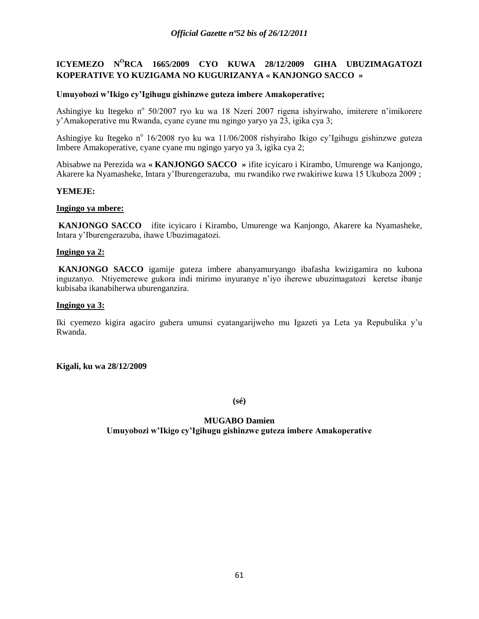# **ICYEMEZO N<sup>O</sup>RCA 1665/2009 CYO KUWA 28/12/2009 GIHA UBUZIMAGATOZI KOPERATIVE YO KUZIGAMA NO KUGURIZANYA « KANJONGO SACCO »**

## **Umuyobozi w'Ikigo cy'Igihugu gishinzwe guteza imbere Amakoperative;**

Ashingiye ku Itegeko nº 50/2007 ryo ku wa 18 Nzeri 2007 rigena ishyirwaho, imiterere n'imikorere y"Amakoperative mu Rwanda, cyane cyane mu ngingo yaryo ya 23, igika cya 3;

Ashingiye ku Itegeko n<sup>o</sup> 16/2008 ryo ku wa 11/06/2008 rishyiraho Ikigo cy'Igihugu gishinzwe guteza Imbere Amakoperative, cyane cyane mu ngingo yaryo ya 3, igika cya 2;

Abisabwe na Perezida wa **« KANJONGO SACCO »** ifite icyicaro i Kirambo, Umurenge wa Kanjongo, Akarere ka Nyamasheke, Intara y"Iburengerazuba, mu rwandiko rwe rwakiriwe kuwa 15 Ukuboza 2009 ;

### **YEMEJE:**

#### **Ingingo ya mbere:**

**KANJONGO SACCO** ifite icyicaro i Kirambo, Umurenge wa Kanjongo, Akarere ka Nyamasheke, Intara y"Iburengerazuba, ihawe Ubuzimagatozi.

### **Ingingo ya 2:**

**KANJONGO SACCO** igamije guteza imbere abanyamuryango ibafasha kwizigamira no kubona inguzanyo. Ntiyemerewe gukora indi mirimo inyuranye n"iyo iherewe ubuzimagatozi keretse ibanje kubisaba ikanabiherwa uburenganzira.

#### **Ingingo ya 3:**

Iki cyemezo kigira agaciro guhera umunsi cyatangarijweho mu Igazeti ya Leta ya Repubulika y"u Rwanda.

**Kigali, ku wa 28/12/2009**

**(sé)**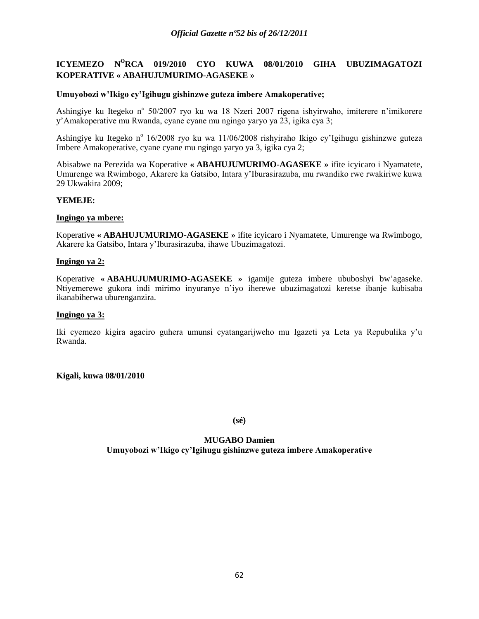# **ICYEMEZO N<sup>O</sup>RCA 019/2010 CYO KUWA 08/01/2010 GIHA UBUZIMAGATOZI KOPERATIVE « ABAHUJUMURIMO-AGASEKE »**

### **Umuyobozi w'Ikigo cy'Igihugu gishinzwe guteza imbere Amakoperative;**

Ashingiye ku Itegeko nº 50/2007 ryo ku wa 18 Nzeri 2007 rigena ishyirwaho, imiterere n'imikorere y"Amakoperative mu Rwanda, cyane cyane mu ngingo yaryo ya 23, igika cya 3;

Ashingiye ku Itegeko n<sup>o</sup> 16/2008 ryo ku wa 11/06/2008 rishyiraho Ikigo cy'Igihugu gishinzwe guteza Imbere Amakoperative, cyane cyane mu ngingo yaryo ya 3, igika cya 2;

Abisabwe na Perezida wa Koperative **« ABAHUJUMURIMO-AGASEKE »** ifite icyicaro i Nyamatete, Umurenge wa Rwimbogo, Akarere ka Gatsibo, Intara y"Iburasirazuba, mu rwandiko rwe rwakiriwe kuwa 29 Ukwakira 2009;

### **YEMEJE:**

#### **Ingingo ya mbere:**

Koperative **« ABAHUJUMURIMO-AGASEKE »** ifite icyicaro i Nyamatete, Umurenge wa Rwimbogo, Akarere ka Gatsibo, Intara y"Iburasirazuba, ihawe Ubuzimagatozi.

#### **Ingingo ya 2:**

Koperative **« ABAHUJUMURIMO-AGASEKE »** igamije guteza imbere ububoshyi bw"agaseke. Ntiyemerewe gukora indi mirimo inyuranye n"iyo iherewe ubuzimagatozi keretse ibanje kubisaba ikanabiherwa uburenganzira.

#### **Ingingo ya 3:**

Iki cyemezo kigira agaciro guhera umunsi cyatangarijweho mu Igazeti ya Leta ya Repubulika y"u Rwanda.

#### **Kigali, kuwa 08/01/2010**

**(sé)**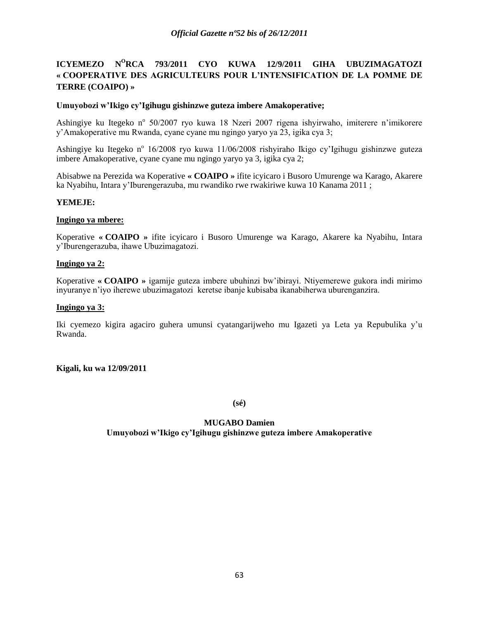# **ICYEMEZO N<sup>O</sup>RCA 793/2011 CYO KUWA 12/9/2011 GIHA UBUZIMAGATOZI « COOPERATIVE DES AGRICULTEURS POUR L'INTENSIFICATION DE LA POMME DE TERRE (COAIPO) »**

## **Umuyobozi w'Ikigo cy'Igihugu gishinzwe guteza imbere Amakoperative;**

Ashingiye ku Itegeko nº 50/2007 ryo kuwa 18 Nzeri 2007 rigena ishyirwaho, imiterere n'imikorere y"Amakoperative mu Rwanda, cyane cyane mu ngingo yaryo ya 23, igika cya 3;

Ashingiye ku Itegeko nº 16/2008 ryo kuwa 11/06/2008 rishyiraho Ikigo cy'Igihugu gishinzwe guteza imbere Amakoperative, cyane cyane mu ngingo yaryo ya 3, igika cya 2;

Abisabwe na Perezida wa Koperative **« COAIPO »** ifite icyicaro i Busoro Umurenge wa Karago, Akarere ka Nyabihu, Intara y"Iburengerazuba, mu rwandiko rwe rwakiriwe kuwa 10 Kanama 2011 ;

## **YEMEJE:**

### **Ingingo ya mbere:**

Koperative **« COAIPO »** ifite icyicaro i Busoro Umurenge wa Karago, Akarere ka Nyabihu, Intara y"Iburengerazuba, ihawe Ubuzimagatozi.

## **Ingingo ya 2:**

Koperative **« COAIPO »** igamije guteza imbere ubuhinzi bw"ibirayi. Ntiyemerewe gukora indi mirimo inyuranye n"iyo iherewe ubuzimagatozi keretse ibanje kubisaba ikanabiherwa uburenganzira.

## **Ingingo ya 3:**

Iki cyemezo kigira agaciro guhera umunsi cyatangarijweho mu Igazeti ya Leta ya Repubulika y"u Rwanda.

## **Kigali, ku wa 12/09/2011**

**(sé)**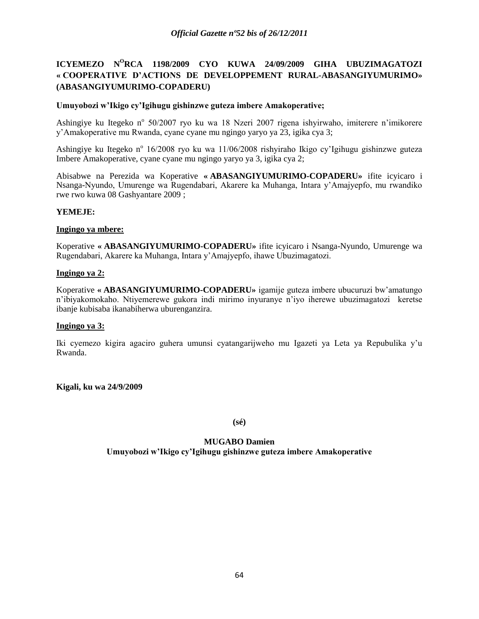# **ICYEMEZO N<sup>O</sup>RCA 1198/2009 CYO KUWA 24/09/2009 GIHA UBUZIMAGATOZI « COOPERATIVE D'ACTIONS DE DEVELOPPEMENT RURAL-ABASANGIYUMURIMO» (ABASANGIYUMURIMO-COPADERU)**

## **Umuyobozi w'Ikigo cy'Igihugu gishinzwe guteza imbere Amakoperative;**

Ashingiye ku Itegeko n° 50/2007 ryo ku wa 18 Nzeri 2007 rigena ishyirwaho, imiterere n'imikorere y"Amakoperative mu Rwanda, cyane cyane mu ngingo yaryo ya 23, igika cya 3;

Ashingiye ku Itegeko nº 16/2008 ryo ku wa 11/06/2008 rishyiraho Ikigo cy'Igihugu gishinzwe guteza Imbere Amakoperative, cyane cyane mu ngingo yaryo ya 3, igika cya 2;

Abisabwe na Perezida wa Koperative **« ABASANGIYUMURIMO-COPADERU»** ifite icyicaro i Nsanga-Nyundo, Umurenge wa Rugendabari, Akarere ka Muhanga, Intara y"Amajyepfo, mu rwandiko rwe rwo kuwa 08 Gashyantare 2009 ;

## **YEMEJE:**

### **Ingingo ya mbere:**

Koperative **« ABASANGIYUMURIMO-COPADERU»** ifite icyicaro i Nsanga-Nyundo, Umurenge wa Rugendabari, Akarere ka Muhanga, Intara y"Amajyepfo, ihawe Ubuzimagatozi.

### **Ingingo ya 2:**

Koperative **« ABASANGIYUMURIMO-COPADERU»** igamije guteza imbere ubucuruzi bw"amatungo n"ibiyakomokaho. Ntiyemerewe gukora indi mirimo inyuranye n"iyo iherewe ubuzimagatozi keretse ibanje kubisaba ikanabiherwa uburenganzira.

#### **Ingingo ya 3:**

Iki cyemezo kigira agaciro guhera umunsi cyatangarijweho mu Igazeti ya Leta ya Repubulika y"u Rwanda.

**Kigali, ku wa 24/9/2009**

**(sé)**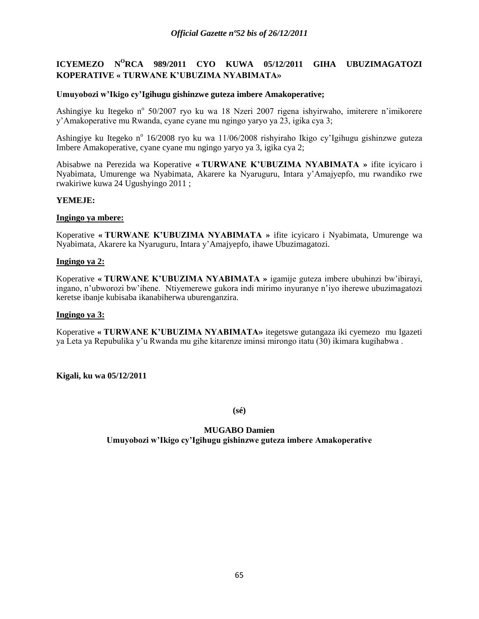# **ICYEMEZO N<sup>O</sup>RCA 989/2011 CYO KUWA 05/12/2011 GIHA UBUZIMAGATOZI KOPERATIVE « TURWANE K'UBUZIMA NYABIMATA»**

### **Umuyobozi w'Ikigo cy'Igihugu gishinzwe guteza imbere Amakoperative;**

Ashingiye ku Itegeko n° 50/2007 ryo ku wa 18 Nzeri 2007 rigena ishyirwaho, imiterere n'imikorere y"Amakoperative mu Rwanda, cyane cyane mu ngingo yaryo ya 23, igika cya 3;

Ashingiye ku Itegeko n<sup>o</sup> 16/2008 ryo ku wa 11/06/2008 rishyiraho Ikigo cy'Igihugu gishinzwe guteza Imbere Amakoperative, cyane cyane mu ngingo yaryo ya 3, igika cya 2;

Abisabwe na Perezida wa Koperative **« TURWANE K'UBUZIMA NYABIMATA »** ifite icyicaro i Nyabimata, Umurenge wa Nyabimata, Akarere ka Nyaruguru, Intara y"Amajyepfo, mu rwandiko rwe rwakiriwe kuwa 24 Ugushyingo 2011 ;

### **YEMEJE:**

#### **Ingingo ya mbere:**

Koperative **« TURWANE K'UBUZIMA NYABIMATA »** ifite icyicaro i Nyabimata, Umurenge wa Nyabimata, Akarere ka Nyaruguru, Intara y"Amajyepfo, ihawe Ubuzimagatozi.

#### **Ingingo ya 2:**

Koperative **« TURWANE K'UBUZIMA NYABIMATA »** igamije guteza imbere ubuhinzi bw"ibirayi, ingano, n"ubworozi bw"ihene. Ntiyemerewe gukora indi mirimo inyuranye n"iyo iherewe ubuzimagatozi keretse ibanje kubisaba ikanabiherwa uburenganzira.

### **Ingingo ya 3:**

Koperative **« TURWANE K'UBUZIMA NYABIMATA»** itegetswe gutangaza iki cyemezo mu Igazeti ya Leta ya Repubulika y"u Rwanda mu gihe kitarenze iminsi mirongo itatu (30) ikimara kugihabwa .

**Kigali, ku wa 05/12/2011**

**(sé)**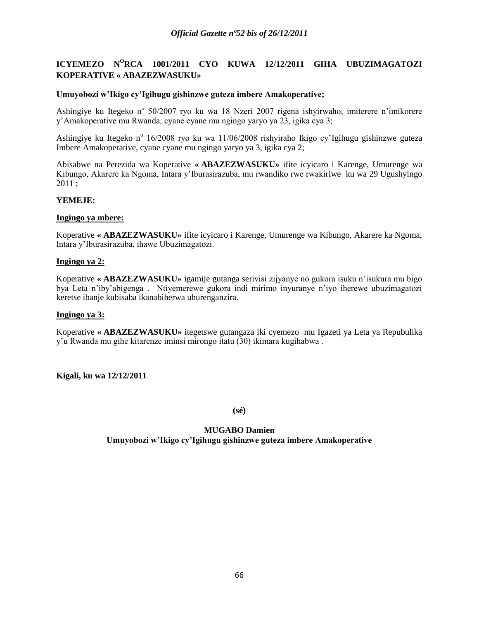# **ICYEMEZO N<sup>O</sup>RCA 1001/2011 CYO KUWA 12/12/2011 GIHA UBUZIMAGATOZI KOPERATIVE « ABAZEZWASUKU»**

### **Umuyobozi w'Ikigo cy'Igihugu gishinzwe guteza imbere Amakoperative;**

Ashingiye ku Itegeko n° 50/2007 ryo ku wa 18 Nzeri 2007 rigena ishyirwaho, imiterere n'imikorere y"Amakoperative mu Rwanda, cyane cyane mu ngingo yaryo ya 23, igika cya 3;

Ashingiye ku Itegeko n<sup>o</sup> 16/2008 ryo ku wa 11/06/2008 rishyiraho Ikigo cy'Igihugu gishinzwe guteza Imbere Amakoperative, cyane cyane mu ngingo yaryo ya 3, igika cya 2;

Abisabwe na Perezida wa Koperative **« ABAZEZWASUKU»** ifite icyicaro i Karenge, Umurenge wa Kibungo, Akarere ka Ngoma, Intara y"Iburasirazuba, mu rwandiko rwe rwakiriwe ku wa 29 Ugushyingo 2011 ;

## **YEMEJE:**

#### **Ingingo ya mbere:**

Koperative **« ABAZEZWASUKU»** ifite icyicaro i Karenge, Umurenge wa Kibungo, Akarere ka Ngoma, Intara y"Iburasirazuba, ihawe Ubuzimagatozi.

#### **Ingingo ya 2:**

Koperative **« ABAZEZWASUKU»** igamije gutanga serivisi zijyanye no gukora isuku n"isukura mu bigo bya Leta n"iby"abigenga . Ntiyemerewe gukora indi mirimo inyuranye n"iyo iherewe ubuzimagatozi keretse ibanje kubisaba ikanabiherwa uburenganzira.

### **Ingingo ya 3:**

Koperative **« ABAZEZWASUKU»** itegetswe gutangaza iki cyemezo mu Igazeti ya Leta ya Repubulika y"u Rwanda mu gihe kitarenze iminsi mirongo itatu (30) ikimara kugihabwa .

**Kigali, ku wa 12/12/2011**

**(sé)**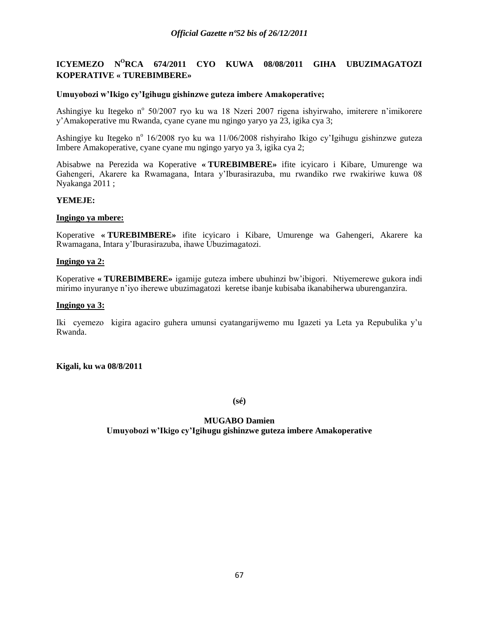# **ICYEMEZO N<sup>O</sup>RCA 674/2011 CYO KUWA 08/08/2011 GIHA UBUZIMAGATOZI KOPERATIVE « TUREBIMBERE»**

### **Umuyobozi w'Ikigo cy'Igihugu gishinzwe guteza imbere Amakoperative;**

Ashingiye ku Itegeko n° 50/2007 ryo ku wa 18 Nzeri 2007 rigena ishyirwaho, imiterere n'imikorere y"Amakoperative mu Rwanda, cyane cyane mu ngingo yaryo ya 23, igika cya 3;

Ashingiye ku Itegeko n<sup>o</sup> 16/2008 ryo ku wa 11/06/2008 rishyiraho Ikigo cy'Igihugu gishinzwe guteza Imbere Amakoperative, cyane cyane mu ngingo yaryo ya 3, igika cya 2;

Abisabwe na Perezida wa Koperative **« TUREBIMBERE»** ifite icyicaro i Kibare, Umurenge wa Gahengeri, Akarere ka Rwamagana, Intara y"Iburasirazuba, mu rwandiko rwe rwakiriwe kuwa 08 Nyakanga 2011 ;

### **YEMEJE:**

#### **Ingingo ya mbere:**

Koperative **« TUREBIMBERE»** ifite icyicaro i Kibare, Umurenge wa Gahengeri, Akarere ka Rwamagana, Intara y"Iburasirazuba, ihawe Ubuzimagatozi.

### **Ingingo ya 2:**

Koperative **« TUREBIMBERE»** igamije guteza imbere ubuhinzi bw"ibigori. Ntiyemerewe gukora indi mirimo inyuranye n"iyo iherewe ubuzimagatozi keretse ibanje kubisaba ikanabiherwa uburenganzira.

#### **Ingingo ya 3:**

Iki cyemezo kigira agaciro guhera umunsi cyatangarijwemo mu Igazeti ya Leta ya Repubulika y"u Rwanda.

#### **Kigali, ku wa 08/8/2011**

**(sé)**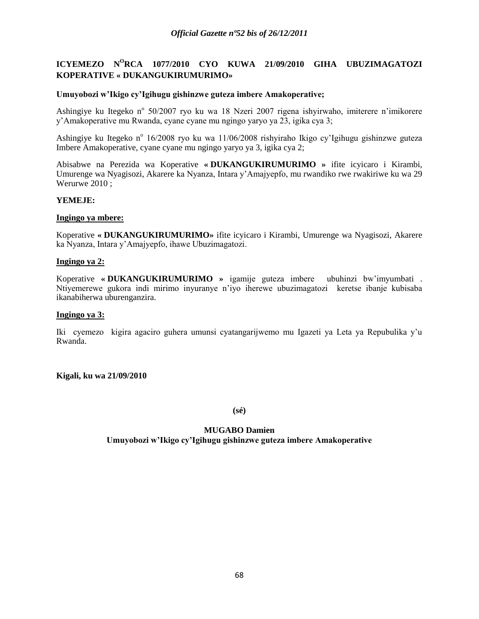# **ICYEMEZO N<sup>O</sup>RCA 1077/2010 CYO KUWA 21/09/2010 GIHA UBUZIMAGATOZI KOPERATIVE « DUKANGUKIRUMURIMO»**

### **Umuyobozi w'Ikigo cy'Igihugu gishinzwe guteza imbere Amakoperative;**

Ashingiye ku Itegeko n° 50/2007 ryo ku wa 18 Nzeri 2007 rigena ishyirwaho, imiterere n'imikorere y"Amakoperative mu Rwanda, cyane cyane mu ngingo yaryo ya 23, igika cya 3;

Ashingiye ku Itegeko n<sup>o</sup> 16/2008 ryo ku wa 11/06/2008 rishyiraho Ikigo cy'Igihugu gishinzwe guteza Imbere Amakoperative, cyane cyane mu ngingo yaryo ya 3, igika cya 2;

Abisabwe na Perezida wa Koperative **« DUKANGUKIRUMURIMO »** ifite icyicaro i Kirambi, Umurenge wa Nyagisozi, Akarere ka Nyanza, Intara y"Amajyepfo, mu rwandiko rwe rwakiriwe ku wa 29 Werurwe 2010 ;

### **YEMEJE:**

#### **Ingingo ya mbere:**

Koperative **« DUKANGUKIRUMURIMO»** ifite icyicaro i Kirambi, Umurenge wa Nyagisozi, Akarere ka Nyanza, Intara y"Amajyepfo, ihawe Ubuzimagatozi.

#### **Ingingo ya 2:**

Koperative **« DUKANGUKIRUMURIMO »** igamije guteza imbere ubuhinzi bw"imyumbati . Ntiyemerewe gukora indi mirimo inyuranye n"iyo iherewe ubuzimagatozi keretse ibanje kubisaba ikanabiherwa uburenganzira.

#### **Ingingo ya 3:**

Iki cyemezo kigira agaciro guhera umunsi cyatangarijwemo mu Igazeti ya Leta ya Repubulika y"u Rwanda.

**Kigali, ku wa 21/09/2010**

**(sé)**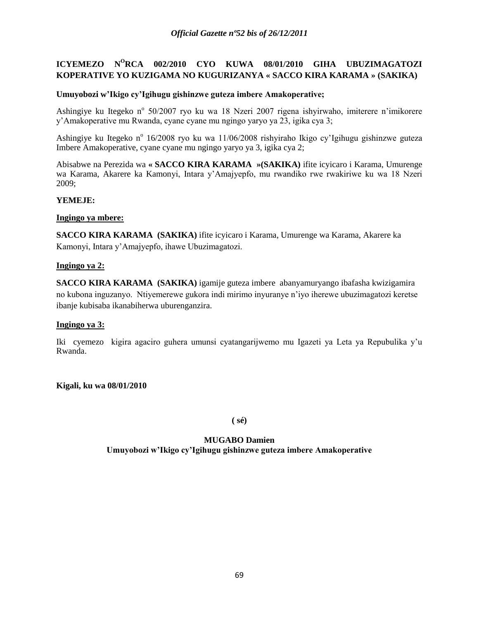# **ICYEMEZO N<sup>O</sup>RCA 002/2010 CYO KUWA 08/01/2010 GIHA UBUZIMAGATOZI KOPERATIVE YO KUZIGAMA NO KUGURIZANYA « SACCO KIRA KARAMA » (SAKIKA)**

## **Umuyobozi w'Ikigo cy'Igihugu gishinzwe guteza imbere Amakoperative;**

Ashingiye ku Itegeko n° 50/2007 ryo ku wa 18 Nzeri 2007 rigena ishyirwaho, imiterere n'imikorere y"Amakoperative mu Rwanda, cyane cyane mu ngingo yaryo ya 23, igika cya 3;

Ashingiye ku Itegeko n<sup>o</sup> 16/2008 ryo ku wa 11/06/2008 rishyiraho Ikigo cy'Igihugu gishinzwe guteza Imbere Amakoperative, cyane cyane mu ngingo yaryo ya 3, igika cya 2;

Abisabwe na Perezida wa **« SACCO KIRA KARAMA »(SAKIKA)** ifite icyicaro i Karama, Umurenge wa Karama, Akarere ka Kamonyi, Intara y"Amajyepfo, mu rwandiko rwe rwakiriwe ku wa 18 Nzeri 2009;

## **YEMEJE:**

## **Ingingo ya mbere:**

**SACCO KIRA KARAMA (SAKIKA)** ifite icyicaro i Karama, Umurenge wa Karama, Akarere ka Kamonyi, Intara y"Amajyepfo, ihawe Ubuzimagatozi.

## **Ingingo ya 2:**

**SACCO KIRA KARAMA (SAKIKA)** igamije guteza imbere abanyamuryango ibafasha kwizigamira no kubona inguzanyo. Ntiyemerewe gukora indi mirimo inyuranye n"iyo iherewe ubuzimagatozi keretse ibanje kubisaba ikanabiherwa uburenganzira.

## **Ingingo ya 3:**

Iki cyemezo kigira agaciro guhera umunsi cyatangarijwemo mu Igazeti ya Leta ya Repubulika y"u Rwanda.

**Kigali, ku wa 08/01/2010**

**( sé)**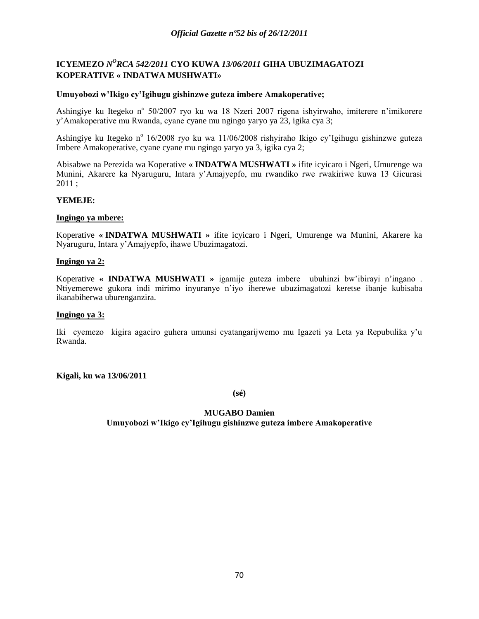# **ICYEMEZO** *N <sup>O</sup>RCA 542/2011* **CYO KUWA** *13/06/2011* **GIHA UBUZIMAGATOZI KOPERATIVE « INDATWA MUSHWATI»**

### **Umuyobozi w'Ikigo cy'Igihugu gishinzwe guteza imbere Amakoperative;**

Ashingiye ku Itegeko n° 50/2007 ryo ku wa 18 Nzeri 2007 rigena ishyirwaho, imiterere n'imikorere y"Amakoperative mu Rwanda, cyane cyane mu ngingo yaryo ya 23, igika cya 3;

Ashingiye ku Itegeko n<sup>o</sup> 16/2008 ryo ku wa 11/06/2008 rishyiraho Ikigo cy'Igihugu gishinzwe guteza Imbere Amakoperative, cyane cyane mu ngingo yaryo ya 3, igika cya 2;

Abisabwe na Perezida wa Koperative **« INDATWA MUSHWATI »** ifite icyicaro i Ngeri, Umurenge wa Munini, Akarere ka Nyaruguru, Intara y"Amajyepfo, mu rwandiko rwe rwakiriwe kuwa 13 Gicurasi 2011 ;

## **YEMEJE:**

#### **Ingingo ya mbere:**

Koperative **« INDATWA MUSHWATI »** ifite icyicaro i Ngeri, Umurenge wa Munini, Akarere ka Nyaruguru, Intara y"Amajyepfo, ihawe Ubuzimagatozi.

#### **Ingingo ya 2:**

Koperative **« INDATWA MUSHWATI »** igamije guteza imbere ubuhinzi bw"ibirayi n"ingano . Ntiyemerewe gukora indi mirimo inyuranye n"iyo iherewe ubuzimagatozi keretse ibanje kubisaba ikanabiherwa uburenganzira.

#### **Ingingo ya 3:**

Iki cyemezo kigira agaciro guhera umunsi cyatangarijwemo mu Igazeti ya Leta ya Repubulika y"u Rwanda.

**Kigali, ku wa 13/06/2011**

**(sé)**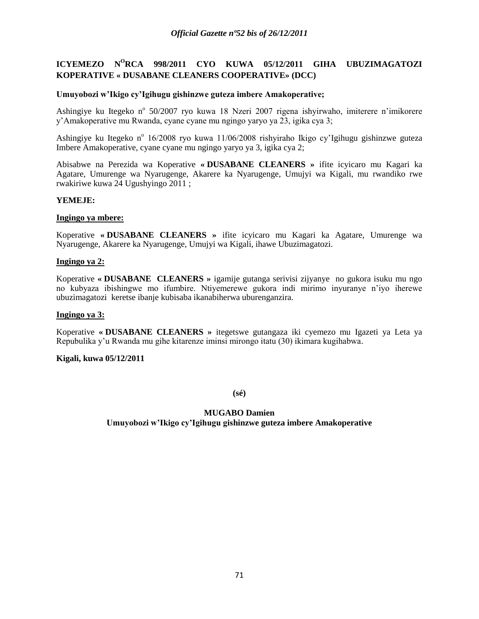# **ICYEMEZO N<sup>O</sup>RCA 998/2011 CYO KUWA 05/12/2011 GIHA UBUZIMAGATOZI KOPERATIVE « DUSABANE CLEANERS COOPERATIVE» (DCC)**

### **Umuyobozi w'Ikigo cy'Igihugu gishinzwe guteza imbere Amakoperative;**

Ashingiye ku Itegeko nº 50/2007 ryo kuwa 18 Nzeri 2007 rigena ishyirwaho, imiterere n'imikorere y"Amakoperative mu Rwanda, cyane cyane mu ngingo yaryo ya 23, igika cya 3;

Ashingiye ku Itegeko n<sup>o</sup> 16/2008 ryo kuwa 11/06/2008 rishyiraho Ikigo cy'Igihugu gishinzwe guteza Imbere Amakoperative, cyane cyane mu ngingo yaryo ya 3, igika cya 2;

Abisabwe na Perezida wa Koperative **« DUSABANE CLEANERS »** ifite icyicaro mu Kagari ka Agatare, Umurenge wa Nyarugenge, Akarere ka Nyarugenge, Umujyi wa Kigali, mu rwandiko rwe rwakiriwe kuwa 24 Ugushyingo 2011 ;

### **YEMEJE:**

#### **Ingingo ya mbere:**

Koperative **« DUSABANE CLEANERS »** ifite icyicaro mu Kagari ka Agatare, Umurenge wa Nyarugenge, Akarere ka Nyarugenge, Umujyi wa Kigali, ihawe Ubuzimagatozi.

#### **Ingingo ya 2:**

Koperative **« DUSABANE CLEANERS »** igamije gutanga serivisi zijyanye no gukora isuku mu ngo no kubyaza ibishingwe mo ifumbire. Ntiyemerewe gukora indi mirimo inyuranye n"iyo iherewe ubuzimagatozi keretse ibanje kubisaba ikanabiherwa uburenganzira.

### **Ingingo ya 3:**

Koperative **« DUSABANE CLEANERS »** itegetswe gutangaza iki cyemezo mu Igazeti ya Leta ya Repubulika y"u Rwanda mu gihe kitarenze iminsi mirongo itatu (30) ikimara kugihabwa.

#### **Kigali, kuwa 05/12/2011**

**(sé)**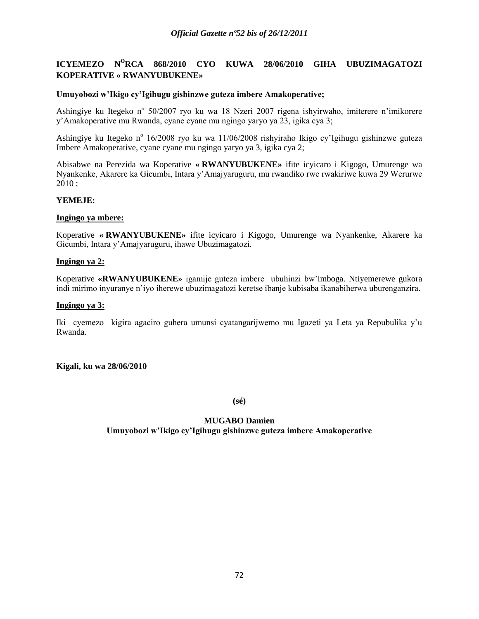# **ICYEMEZO N<sup>O</sup>RCA 868/2010 CYO KUWA 28/06/2010 GIHA UBUZIMAGATOZI KOPERATIVE « RWANYUBUKENE»**

### **Umuyobozi w'Ikigo cy'Igihugu gishinzwe guteza imbere Amakoperative;**

Ashingiye ku Itegeko n° 50/2007 ryo ku wa 18 Nzeri 2007 rigena ishyirwaho, imiterere n'imikorere y"Amakoperative mu Rwanda, cyane cyane mu ngingo yaryo ya 23, igika cya 3;

Ashingiye ku Itegeko n<sup>o</sup> 16/2008 ryo ku wa 11/06/2008 rishyiraho Ikigo cy'Igihugu gishinzwe guteza Imbere Amakoperative, cyane cyane mu ngingo yaryo ya 3, igika cya 2;

Abisabwe na Perezida wa Koperative **« RWANYUBUKENE»** ifite icyicaro i Kigogo, Umurenge wa Nyankenke, Akarere ka Gicumbi, Intara y"Amajyaruguru, mu rwandiko rwe rwakiriwe kuwa 29 Werurwe 2010 ;

## **YEMEJE:**

#### **Ingingo ya mbere:**

Koperative **« RWANYUBUKENE»** ifite icyicaro i Kigogo, Umurenge wa Nyankenke, Akarere ka Gicumbi, Intara y"Amajyaruguru, ihawe Ubuzimagatozi.

#### **Ingingo ya 2:**

Koperative **«RWANYUBUKENE»** igamije guteza imbere ubuhinzi bw"imboga. Ntiyemerewe gukora indi mirimo inyuranye n"iyo iherewe ubuzimagatozi keretse ibanje kubisaba ikanabiherwa uburenganzira.

#### **Ingingo ya 3:**

Iki cyemezo kigira agaciro guhera umunsi cyatangarijwemo mu Igazeti ya Leta ya Repubulika y"u Rwanda.

#### **Kigali, ku wa 28/06/2010**

**(sé)**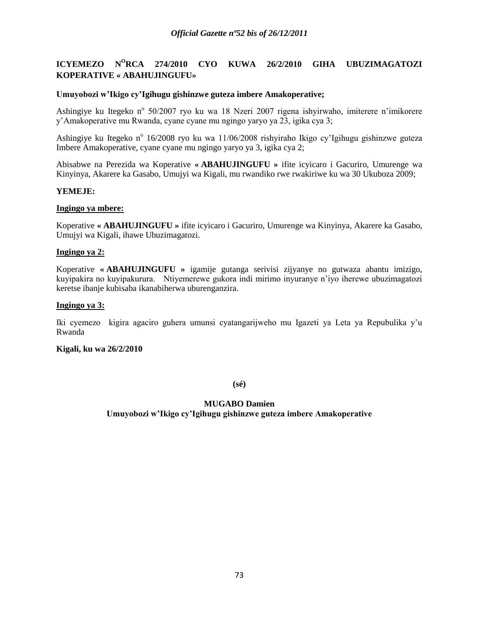# **ICYEMEZO N<sup>O</sup>RCA 274/2010 CYO KUWA 26/2/2010 GIHA UBUZIMAGATOZI KOPERATIVE « ABAHUJINGUFU»**

## **Umuyobozi w'Ikigo cy'Igihugu gishinzwe guteza imbere Amakoperative;**

Ashingiye ku Itegeko nº 50/2007 ryo ku wa 18 Nzeri 2007 rigena ishyirwaho, imiterere n'imikorere y"Amakoperative mu Rwanda, cyane cyane mu ngingo yaryo ya 23, igika cya 3;

Ashingiye ku Itegeko n<sup>o</sup> 16/2008 ryo ku wa 11/06/2008 rishyiraho Ikigo cy'Igihugu gishinzwe guteza Imbere Amakoperative, cyane cyane mu ngingo yaryo ya 3, igika cya 2;

Abisabwe na Perezida wa Koperative **« ABAHUJINGUFU »** ifite icyicaro i Gacuriro, Umurenge wa Kinyinya, Akarere ka Gasabo, Umujyi wa Kigali, mu rwandiko rwe rwakiriwe ku wa 30 Ukuboza 2009;

## **YEMEJE:**

## **Ingingo ya mbere:**

Koperative **« ABAHUJINGUFU »** ifite icyicaro i Gacuriro, Umurenge wa Kinyinya, Akarere ka Gasabo, Umujyi wa Kigali, ihawe Ubuzimagatozi.

#### **Ingingo ya 2:**

Koperative **« ABAHUJINGUFU »** igamije gutanga serivisi zijyanye no gutwaza abantu imizigo, kuyipakira no kuyipakurura. Ntiyemerewe gukora indi mirimo inyuranye n"iyo iherewe ubuzimagatozi keretse ibanje kubisaba ikanabiherwa uburenganzira.

#### **Ingingo ya 3:**

Iki cyemezo kigira agaciro guhera umunsi cyatangarijweho mu Igazeti ya Leta ya Repubulika y"u Rwanda

#### **Kigali, ku wa 26/2/2010**

**(sé)**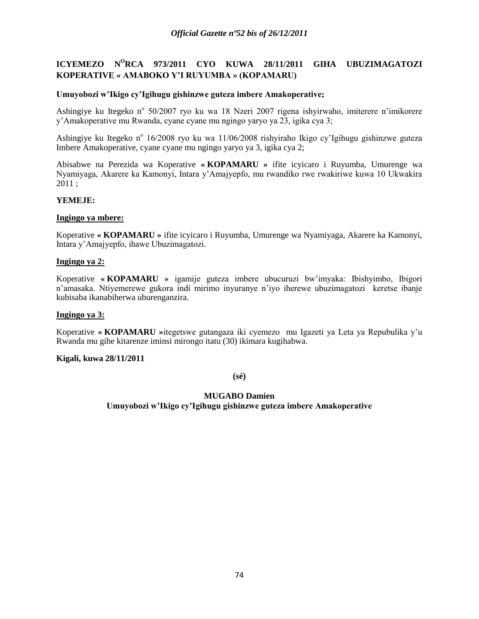# **ICYEMEZO N<sup>O</sup>RCA 973/2011 CYO KUWA 28/11/2011 GIHA UBUZIMAGATOZI KOPERATIVE « AMABOKO Y'I RUYUMBA » (KOPAMARU)**

## **Umuyobozi w'Ikigo cy'Igihugu gishinzwe guteza imbere Amakoperative;**

Ashingiye ku Itegeko nº 50/2007 ryo ku wa 18 Nzeri 2007 rigena ishyirwaho, imiterere n'imikorere y"Amakoperative mu Rwanda, cyane cyane mu ngingo yaryo ya 23, igika cya 3;

Ashingiye ku Itegeko n<sup>o</sup> 16/2008 ryo ku wa 11/06/2008 rishyiraho Ikigo cy'Igihugu gishinzwe guteza Imbere Amakoperative, cyane cyane mu ngingo yaryo ya 3, igika cya 2;

Abisabwe na Perezida wa Koperative **« KOPAMARU »** ifite icyicaro i Ruyumba, Umurenge wa Nyamiyaga, Akarere ka Kamonyi, Intara y"Amajyepfo, mu rwandiko rwe rwakiriwe kuwa 10 Ukwakira 2011 ;

## **YEMEJE:**

#### **Ingingo ya mbere:**

Koperative **« KOPAMARU »** ifite icyicaro i Ruyumba, Umurenge wa Nyamiyaga, Akarere ka Kamonyi, Intara y"Amajyepfo, ihawe Ubuzimagatozi.

#### **Ingingo ya 2:**

Koperative **« KOPAMARU »** igamije guteza imbere ubucuruzi bw"imyaka: Ibishyimbo, Ibigori n"amasaka. Ntiyemerewe gukora indi mirimo inyuranye n"iyo iherewe ubuzimagatozi keretse ibanje kubisaba ikanabiherwa uburenganzira.

#### **Ingingo ya 3:**

Koperative **« KOPAMARU »**itegetswe gutangaza iki cyemezo mu Igazeti ya Leta ya Repubulika y"u Rwanda mu gihe kitarenze iminsi mirongo itatu (30) ikimara kugihabwa.

#### **Kigali, kuwa 28/11/2011**

**(sé)**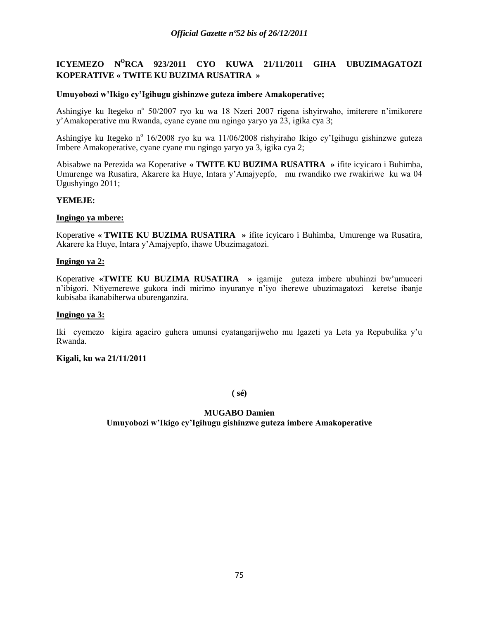# **ICYEMEZO N<sup>O</sup>RCA 923/2011 CYO KUWA 21/11/2011 GIHA UBUZIMAGATOZI KOPERATIVE « TWITE KU BUZIMA RUSATIRA »**

## **Umuyobozi w'Ikigo cy'Igihugu gishinzwe guteza imbere Amakoperative;**

Ashingiye ku Itegeko nº 50/2007 ryo ku wa 18 Nzeri 2007 rigena ishyirwaho, imiterere n'imikorere y"Amakoperative mu Rwanda, cyane cyane mu ngingo yaryo ya 23, igika cya 3;

Ashingiye ku Itegeko n<sup>o</sup> 16/2008 ryo ku wa 11/06/2008 rishyiraho Ikigo cy'Igihugu gishinzwe guteza Imbere Amakoperative, cyane cyane mu ngingo yaryo ya 3, igika cya 2;

Abisabwe na Perezida wa Koperative **« TWITE KU BUZIMA RUSATIRA »** ifite icyicaro i Buhimba, Umurenge wa Rusatira, Akarere ka Huye, Intara y"Amajyepfo, mu rwandiko rwe rwakiriwe ku wa 04 Ugushyingo 2011;

## **YEMEJE:**

#### **Ingingo ya mbere:**

Koperative **« TWITE KU BUZIMA RUSATIRA »** ifite icyicaro i Buhimba, Umurenge wa Rusatira, Akarere ka Huye, Intara y"Amajyepfo, ihawe Ubuzimagatozi.

#### **Ingingo ya 2:**

Koperative **«TWITE KU BUZIMA RUSATIRA »** igamije guteza imbere ubuhinzi bw"umuceri n"ibigori. Ntiyemerewe gukora indi mirimo inyuranye n"iyo iherewe ubuzimagatozi keretse ibanje kubisaba ikanabiherwa uburenganzira.

#### **Ingingo ya 3:**

Iki cyemezo kigira agaciro guhera umunsi cyatangarijweho mu Igazeti ya Leta ya Repubulika y"u Rwanda.

## **Kigali, ku wa 21/11/2011**

**( sé)**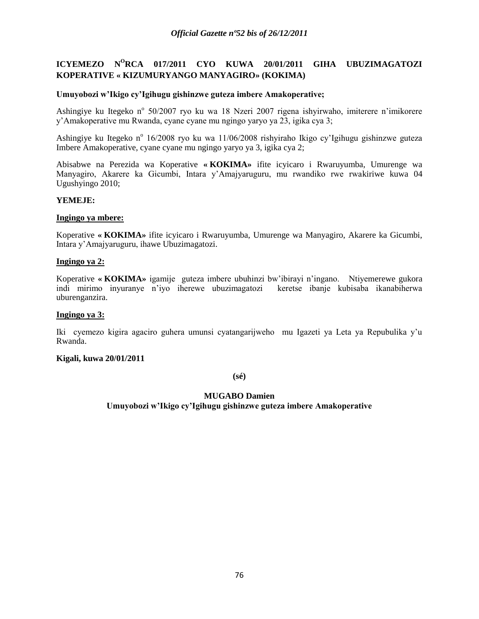# **ICYEMEZO N<sup>O</sup>RCA 017/2011 CYO KUWA 20/01/2011 GIHA UBUZIMAGATOZI KOPERATIVE « KIZUMURYANGO MANYAGIRO» (KOKIMA)**

## **Umuyobozi w'Ikigo cy'Igihugu gishinzwe guteza imbere Amakoperative;**

Ashingiye ku Itegeko nº 50/2007 ryo ku wa 18 Nzeri 2007 rigena ishyirwaho, imiterere n'imikorere y"Amakoperative mu Rwanda, cyane cyane mu ngingo yaryo ya 23, igika cya 3;

Ashingiye ku Itegeko n<sup>o</sup> 16/2008 ryo ku wa 11/06/2008 rishyiraho Ikigo cy'Igihugu gishinzwe guteza Imbere Amakoperative, cyane cyane mu ngingo yaryo ya 3, igika cya 2;

Abisabwe na Perezida wa Koperative **« KOKIMA»** ifite icyicaro i Rwaruyumba, Umurenge wa Manyagiro, Akarere ka Gicumbi, Intara y"Amajyaruguru, mu rwandiko rwe rwakiriwe kuwa 04 Ugushyingo 2010;

## **YEMEJE:**

#### **Ingingo ya mbere:**

Koperative **« KOKIMA»** ifite icyicaro i Rwaruyumba, Umurenge wa Manyagiro, Akarere ka Gicumbi, Intara y"Amajyaruguru, ihawe Ubuzimagatozi.

#### **Ingingo ya 2:**

Koperative **« KOKIMA»** igamije guteza imbere ubuhinzi bw"ibirayi n"ingano. Ntiyemerewe gukora indi mirimo inyuranye n"iyo iherewe ubuzimagatozi keretse ibanje kubisaba ikanabiherwa uburenganzira.

#### **Ingingo ya 3:**

Iki cyemezo kigira agaciro guhera umunsi cyatangarijweho mu Igazeti ya Leta ya Repubulika y"u Rwanda.

### **Kigali, kuwa 20/01/2011**

**(sé)**

## **MUGABO Damien**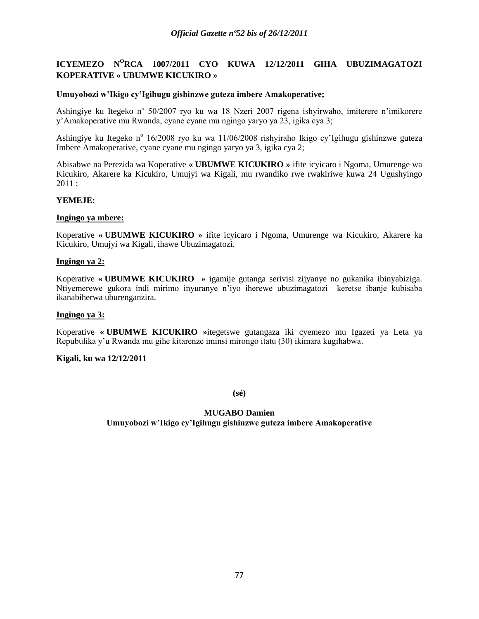# **ICYEMEZO N<sup>O</sup>RCA 1007/2011 CYO KUWA 12/12/2011 GIHA UBUZIMAGATOZI KOPERATIVE « UBUMWE KICUKIRO »**

## **Umuyobozi w'Ikigo cy'Igihugu gishinzwe guteza imbere Amakoperative;**

Ashingiye ku Itegeko nº 50/2007 ryo ku wa 18 Nzeri 2007 rigena ishyirwaho, imiterere n'imikorere y"Amakoperative mu Rwanda, cyane cyane mu ngingo yaryo ya 23, igika cya 3;

Ashingiye ku Itegeko n<sup>o</sup> 16/2008 ryo ku wa 11/06/2008 rishyiraho Ikigo cy'Igihugu gishinzwe guteza Imbere Amakoperative, cyane cyane mu ngingo yaryo ya 3, igika cya 2;

Abisabwe na Perezida wa Koperative **« UBUMWE KICUKIRO »** ifite icyicaro i Ngoma, Umurenge wa Kicukiro, Akarere ka Kicukiro, Umujyi wa Kigali, mu rwandiko rwe rwakiriwe kuwa 24 Ugushyingo 2011 ;

## **YEMEJE:**

#### **Ingingo ya mbere:**

Koperative **« UBUMWE KICUKIRO »** ifite icyicaro i Ngoma, Umurenge wa Kicukiro, Akarere ka Kicukiro, Umujyi wa Kigali, ihawe Ubuzimagatozi.

#### **Ingingo ya 2:**

Koperative **« UBUMWE KICUKIRO »** igamije gutanga serivisi zijyanye no gukanika ibinyabiziga. Ntiyemerewe gukora indi mirimo inyuranye n"iyo iherewe ubuzimagatozi keretse ibanje kubisaba ikanabiherwa uburenganzira.

#### **Ingingo ya 3:**

Koperative **« UBUMWE KICUKIRO »**itegetswe gutangaza iki cyemezo mu Igazeti ya Leta ya Repubulika y"u Rwanda mu gihe kitarenze iminsi mirongo itatu (30) ikimara kugihabwa.

#### **Kigali, ku wa 12/12/2011**

**(sé)**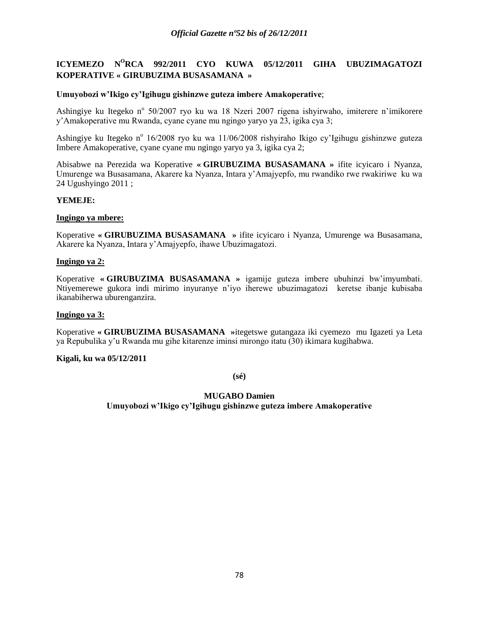# **ICYEMEZO N<sup>O</sup>RCA 992/2011 CYO KUWA 05/12/2011 GIHA UBUZIMAGATOZI KOPERATIVE « GIRUBUZIMA BUSASAMANA »**

## **Umuyobozi w'Ikigo cy'Igihugu gishinzwe guteza imbere Amakoperative**;

Ashingiye ku Itegeko nº 50/2007 ryo ku wa 18 Nzeri 2007 rigena ishyirwaho, imiterere n'imikorere y"Amakoperative mu Rwanda, cyane cyane mu ngingo yaryo ya 23, igika cya 3;

Ashingiye ku Itegeko n<sup>o</sup> 16/2008 ryo ku wa 11/06/2008 rishyiraho Ikigo cy'Igihugu gishinzwe guteza Imbere Amakoperative, cyane cyane mu ngingo yaryo ya 3, igika cya 2;

Abisabwe na Perezida wa Koperative **« GIRUBUZIMA BUSASAMANA »** ifite icyicaro i Nyanza, Umurenge wa Busasamana, Akarere ka Nyanza, Intara y"Amajyepfo, mu rwandiko rwe rwakiriwe ku wa 24 Ugushyingo 2011 ;

## **YEMEJE:**

#### **Ingingo ya mbere:**

Koperative **« GIRUBUZIMA BUSASAMANA »** ifite icyicaro i Nyanza, Umurenge wa Busasamana, Akarere ka Nyanza, Intara y"Amajyepfo, ihawe Ubuzimagatozi.

#### **Ingingo ya 2:**

Koperative **« GIRUBUZIMA BUSASAMANA »** igamije guteza imbere ubuhinzi bw"imyumbati. Ntiyemerewe gukora indi mirimo inyuranye n"iyo iherewe ubuzimagatozi keretse ibanje kubisaba ikanabiherwa uburenganzira.

## **Ingingo ya 3:**

Koperative **« GIRUBUZIMA BUSASAMANA »**itegetswe gutangaza iki cyemezo mu Igazeti ya Leta ya Repubulika y"u Rwanda mu gihe kitarenze iminsi mirongo itatu (30) ikimara kugihabwa.

## **Kigali, ku wa 05/12/2011**

**(sé)**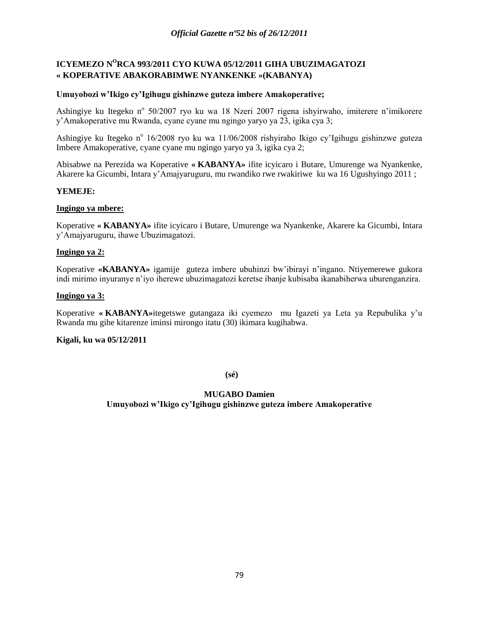# **ICYEMEZO N<sup>O</sup>RCA 993/2011 CYO KUWA 05/12/2011 GIHA UBUZIMAGATOZI « KOPERATIVE ABAKORABIMWE NYANKENKE »(KABANYA)**

## **Umuyobozi w'Ikigo cy'Igihugu gishinzwe guteza imbere Amakoperative;**

Ashingiye ku Itegeko nº 50/2007 ryo ku wa 18 Nzeri 2007 rigena ishyirwaho, imiterere n'imikorere y"Amakoperative mu Rwanda, cyane cyane mu ngingo yaryo ya 23, igika cya 3;

Ashingiye ku Itegeko n<sup>o</sup> 16/2008 ryo ku wa 11/06/2008 rishyiraho Ikigo cy'Igihugu gishinzwe guteza Imbere Amakoperative, cyane cyane mu ngingo yaryo ya 3, igika cya 2;

Abisabwe na Perezida wa Koperative **« KABANYA»** ifite icyicaro i Butare, Umurenge wa Nyankenke, Akarere ka Gicumbi, Intara y"Amajyaruguru, mu rwandiko rwe rwakiriwe ku wa 16 Ugushyingo 2011 ;

## **YEMEJE:**

## **Ingingo ya mbere:**

Koperative **« KABANYA»** ifite icyicaro i Butare, Umurenge wa Nyankenke, Akarere ka Gicumbi, Intara y"Amajyaruguru, ihawe Ubuzimagatozi.

## **Ingingo ya 2:**

Koperative **«KABANYA»** igamije guteza imbere ubuhinzi bw"ibirayi n"ingano. Ntiyemerewe gukora indi mirimo inyuranye n"iyo iherewe ubuzimagatozi keretse ibanje kubisaba ikanabiherwa uburenganzira.

### **Ingingo ya 3:**

Koperative **« KABANYA»**itegetswe gutangaza iki cyemezo mu Igazeti ya Leta ya Repubulika y"u Rwanda mu gihe kitarenze iminsi mirongo itatu (30) ikimara kugihabwa.

### **Kigali, ku wa 05/12/2011**

**(sé)**